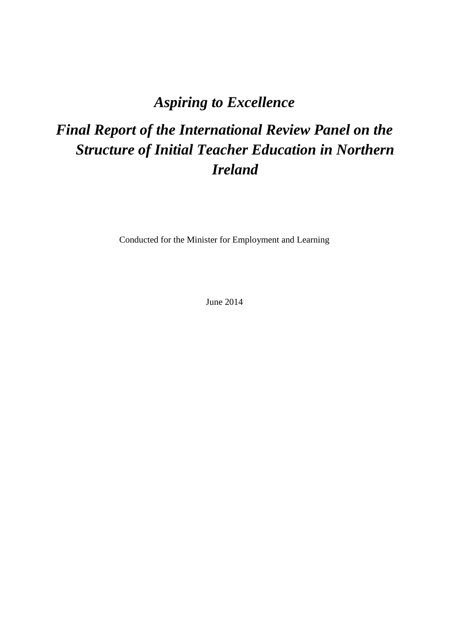## *Aspiring to Excellence*

# *Final Report of the International Review Panel on the Structure of Initial Teacher Education in Northern Ireland*

Conducted for the Minister for Employment and Learning

June 2014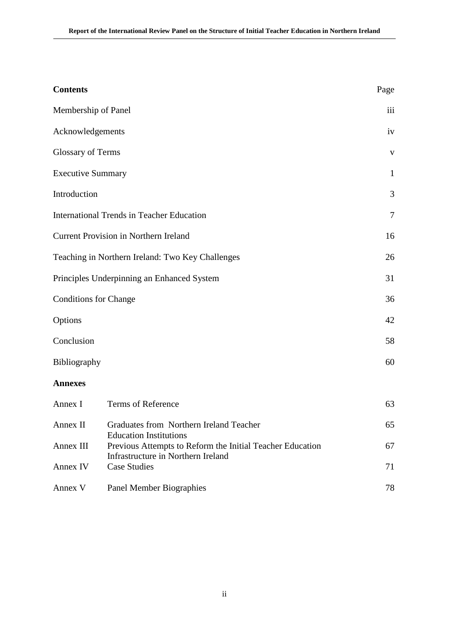| <b>Contents</b>                                                       |                                                                                            | Page         |  |  |
|-----------------------------------------------------------------------|--------------------------------------------------------------------------------------------|--------------|--|--|
| Membership of Panel                                                   |                                                                                            | iii          |  |  |
| Acknowledgements                                                      |                                                                                            | iv           |  |  |
| <b>Glossary of Terms</b>                                              |                                                                                            | $\mathbf{V}$ |  |  |
| <b>Executive Summary</b>                                              |                                                                                            | $\mathbf{1}$ |  |  |
| Introduction                                                          |                                                                                            | 3            |  |  |
|                                                                       | <b>International Trends in Teacher Education</b>                                           | $\tau$       |  |  |
|                                                                       | <b>Current Provision in Northern Ireland</b>                                               | 16           |  |  |
| Teaching in Northern Ireland: Two Key Challenges                      |                                                                                            |              |  |  |
| Principles Underpinning an Enhanced System                            |                                                                                            |              |  |  |
| <b>Conditions for Change</b>                                          |                                                                                            | 36           |  |  |
| Options                                                               |                                                                                            | 42           |  |  |
| Conclusion                                                            |                                                                                            | 58           |  |  |
| Bibliography                                                          |                                                                                            | 60           |  |  |
| <b>Annexes</b>                                                        |                                                                                            |              |  |  |
| Annex I                                                               | Terms of Reference                                                                         | 63           |  |  |
| Annex II                                                              | Graduates from Northern Ireland Teacher                                                    | 65           |  |  |
| Annex III                                                             | <b>Education Institutions</b><br>Previous Attempts to Reform the Initial Teacher Education | 67           |  |  |
| Infrastructure in Northern Ireland<br><b>Case Studies</b><br>Annex IV |                                                                                            |              |  |  |
| Annex V                                                               | Panel Member Biographies                                                                   | 78           |  |  |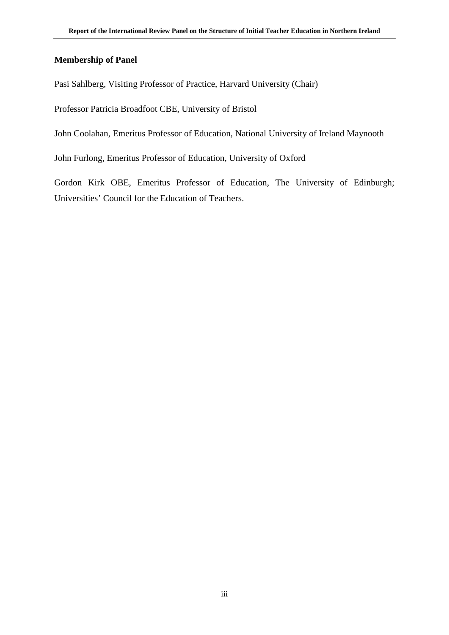### **Membership of Panel**

Pasi Sahlberg, Visiting Professor of Practice, Harvard University (Chair)

Professor Patricia Broadfoot CBE, University of Bristol

John Coolahan, Emeritus Professor of Education, National University of Ireland Maynooth

John Furlong, Emeritus Professor of Education, University of Oxford

Gordon Kirk OBE, Emeritus Professor of Education, The University of Edinburgh; Universities' Council for the Education of Teachers.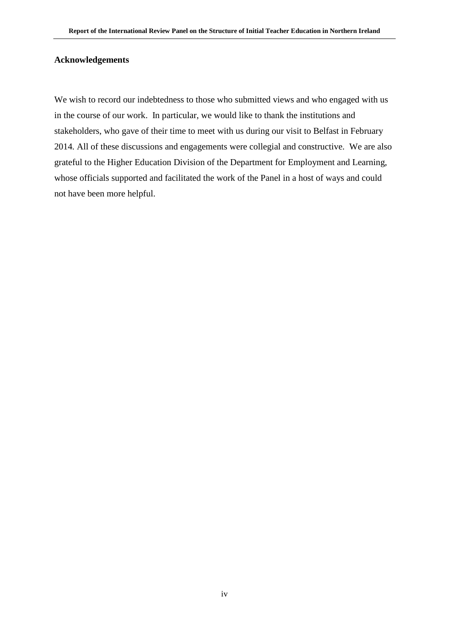#### **Acknowledgements**

We wish to record our indebtedness to those who submitted views and who engaged with us in the course of our work. In particular, we would like to thank the institutions and stakeholders, who gave of their time to meet with us during our visit to Belfast in February 2014*.* All of these discussions and engagements were collegial and constructive. We are also grateful to the Higher Education Division of the Department for Employment and Learning, whose officials supported and facilitated the work of the Panel in a host of ways and could not have been more helpful.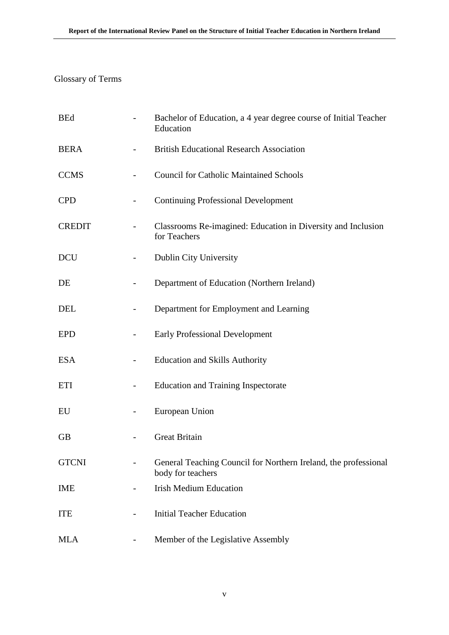### Glossary of Terms

| <b>BEd</b>    |                   | Bachelor of Education, a 4 year degree course of Initial Teacher<br>Education        |
|---------------|-------------------|--------------------------------------------------------------------------------------|
| <b>BERA</b>   |                   | <b>British Educational Research Association</b>                                      |
| <b>CCMS</b>   |                   | <b>Council for Catholic Maintained Schools</b>                                       |
| <b>CPD</b>    |                   | <b>Continuing Professional Development</b>                                           |
| <b>CREDIT</b> |                   | Classrooms Re-imagined: Education in Diversity and Inclusion<br>for Teachers         |
| <b>DCU</b>    |                   | Dublin City University                                                               |
| DE            |                   | Department of Education (Northern Ireland)                                           |
| <b>DEL</b>    |                   | Department for Employment and Learning                                               |
| <b>EPD</b>    |                   | <b>Early Professional Development</b>                                                |
| <b>ESA</b>    |                   | <b>Education and Skills Authority</b>                                                |
| <b>ETI</b>    |                   | <b>Education and Training Inspectorate</b>                                           |
| EU            | $\qquad \qquad -$ | European Union                                                                       |
| <b>GB</b>     |                   | <b>Great Britain</b>                                                                 |
| <b>GTCNI</b>  |                   | General Teaching Council for Northern Ireland, the professional<br>body for teachers |
| <b>IME</b>    |                   | <b>Irish Medium Education</b>                                                        |
| <b>ITE</b>    |                   | <b>Initial Teacher Education</b>                                                     |
| <b>MLA</b>    |                   | Member of the Legislative Assembly                                                   |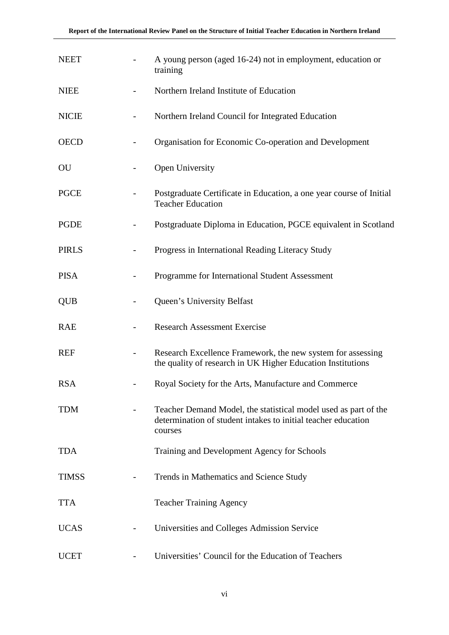| <b>NEET</b>  | A young person (aged 16-24) not in employment, education or<br>training                                                                     |
|--------------|---------------------------------------------------------------------------------------------------------------------------------------------|
| <b>NIEE</b>  | Northern Ireland Institute of Education                                                                                                     |
| <b>NICIE</b> | Northern Ireland Council for Integrated Education                                                                                           |
| <b>OECD</b>  | Organisation for Economic Co-operation and Development                                                                                      |
| OU           | Open University                                                                                                                             |
| <b>PGCE</b>  | Postgraduate Certificate in Education, a one year course of Initial<br><b>Teacher Education</b>                                             |
| PGDE         | Postgraduate Diploma in Education, PGCE equivalent in Scotland                                                                              |
| <b>PIRLS</b> | Progress in International Reading Literacy Study                                                                                            |
| <b>PISA</b>  | Programme for International Student Assessment                                                                                              |
| <b>QUB</b>   | Queen's University Belfast                                                                                                                  |
| <b>RAE</b>   | <b>Research Assessment Exercise</b>                                                                                                         |
| <b>REF</b>   | Research Excellence Framework, the new system for assessing<br>the quality of research in UK Higher Education Institutions                  |
| <b>RSA</b>   | Royal Society for the Arts, Manufacture and Commerce                                                                                        |
| TDM          | Teacher Demand Model, the statistical model used as part of the<br>determination of student intakes to initial teacher education<br>courses |
| <b>TDA</b>   | Training and Development Agency for Schools                                                                                                 |
| <b>TIMSS</b> | Trends in Mathematics and Science Study                                                                                                     |
| <b>TTA</b>   | <b>Teacher Training Agency</b>                                                                                                              |
| <b>UCAS</b>  | Universities and Colleges Admission Service                                                                                                 |
| <b>UCET</b>  | Universities' Council for the Education of Teachers                                                                                         |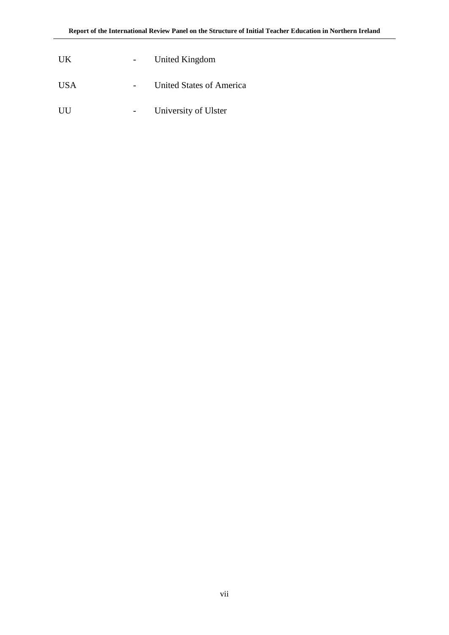| UK  | United Kingdom           |
|-----|--------------------------|
| USA | United States of America |
| UU  | University of Ulster     |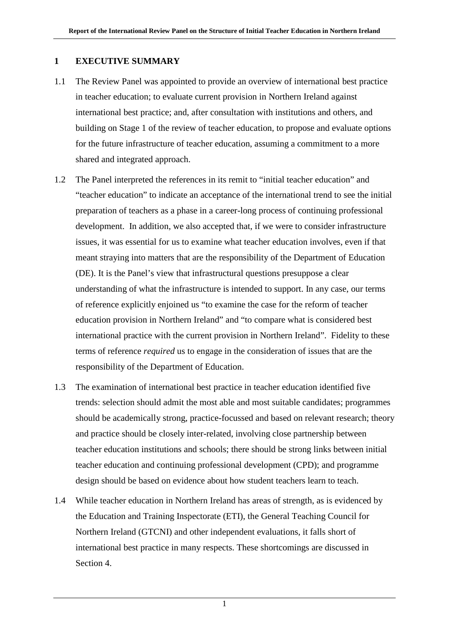### **1 EXECUTIVE SUMMARY**

- 1.1 The Review Panel was appointed to provide an overview of international best practice in teacher education; to evaluate current provision in Northern Ireland against international best practice; and, after consultation with institutions and others, and building on Stage 1 of the review of teacher education, to propose and evaluate options for the future infrastructure of teacher education, assuming a commitment to a more shared and integrated approach.
- 1.2 The Panel interpreted the references in its remit to "initial teacher education" and "teacher education" to indicate an acceptance of the international trend to see the initial preparation of teachers as a phase in a career-long process of continuing professional development. In addition, we also accepted that, if we were to consider infrastructure issues, it was essential for us to examine what teacher education involves, even if that meant straying into matters that are the responsibility of the Department of Education (DE). It is the Panel's view that infrastructural questions presuppose a clear understanding of what the infrastructure is intended to support. In any case, our terms of reference explicitly enjoined us "to examine the case for the reform of teacher education provision in Northern Ireland" and "to compare what is considered best international practice with the current provision in Northern Ireland". Fidelity to these terms of reference *required* us to engage in the consideration of issues that are the responsibility of the Department of Education.
- 1.3 The examination of international best practice in teacher education identified five trends: selection should admit the most able and most suitable candidates; programmes should be academically strong, practice-focussed and based on relevant research; theory and practice should be closely inter-related, involving close partnership between teacher education institutions and schools; there should be strong links between initial teacher education and continuing professional development (CPD); and programme design should be based on evidence about how student teachers learn to teach.
- 1.4 While teacher education in Northern Ireland has areas of strength, as is evidenced by the Education and Training Inspectorate (ETI), the General Teaching Council for Northern Ireland (GTCNI) and other independent evaluations, it falls short of international best practice in many respects. These shortcomings are discussed in Section 4.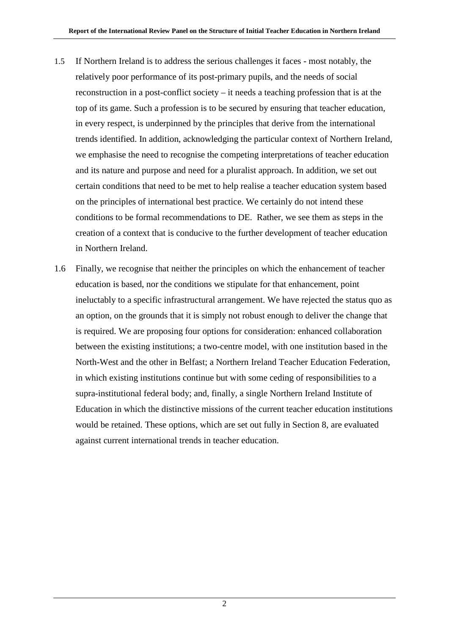- 1.5 If Northern Ireland is to address the serious challenges it faces most notably, the relatively poor performance of its post-primary pupils, and the needs of social reconstruction in a post-conflict society – it needs a teaching profession that is at the top of its game. Such a profession is to be secured by ensuring that teacher education, in every respect, is underpinned by the principles that derive from the international trends identified. In addition, acknowledging the particular context of Northern Ireland, we emphasise the need to recognise the competing interpretations of teacher education and its nature and purpose and need for a pluralist approach. In addition, we set out certain conditions that need to be met to help realise a teacher education system based on the principles of international best practice. We certainly do not intend these conditions to be formal recommendations to DE. Rather, we see them as steps in the creation of a context that is conducive to the further development of teacher education in Northern Ireland.
- 1.6 Finally, we recognise that neither the principles on which the enhancement of teacher education is based, nor the conditions we stipulate for that enhancement, point ineluctably to a specific infrastructural arrangement. We have rejected the status quo as an option, on the grounds that it is simply not robust enough to deliver the change that is required. We are proposing four options for consideration: enhanced collaboration between the existing institutions; a two-centre model, with one institution based in the North-West and the other in Belfast; a Northern Ireland Teacher Education Federation, in which existing institutions continue but with some ceding of responsibilities to a supra-institutional federal body; and, finally, a single Northern Ireland Institute of Education in which the distinctive missions of the current teacher education institutions would be retained. These options, which are set out fully in Section 8, are evaluated against current international trends in teacher education.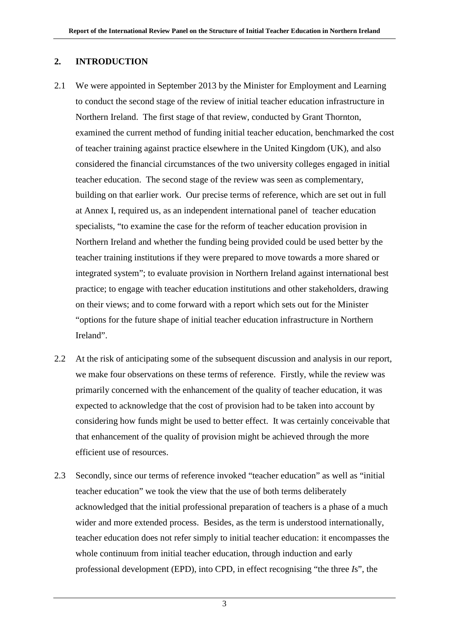### **2. INTRODUCTION**

- 2.1 We were appointed in September 2013 by the Minister for Employment and Learning to conduct the second stage of the review of initial teacher education infrastructure in Northern Ireland. The first stage of that review, conducted by Grant Thornton, examined the current method of funding initial teacher education, benchmarked the cost of teacher training against practice elsewhere in the United Kingdom (UK), and also considered the financial circumstances of the two university colleges engaged in initial teacher education. The second stage of the review was seen as complementary, building on that earlier work. Our precise terms of reference, which are set out in full at Annex I, required us, as an independent international panel of teacher education specialists, "to examine the case for the reform of teacher education provision in Northern Ireland and whether the funding being provided could be used better by the teacher training institutions if they were prepared to move towards a more shared or integrated system"; to evaluate provision in Northern Ireland against international best practice; to engage with teacher education institutions and other stakeholders, drawing on their views; and to come forward with a report which sets out for the Minister "options for the future shape of initial teacher education infrastructure in Northern Ireland".
- 2.2 At the risk of anticipating some of the subsequent discussion and analysis in our report, we make four observations on these terms of reference. Firstly, while the review was primarily concerned with the enhancement of the quality of teacher education, it was expected to acknowledge that the cost of provision had to be taken into account by considering how funds might be used to better effect. It was certainly conceivable that that enhancement of the quality of provision might be achieved through the more efficient use of resources.
- 2.3 Secondly, since our terms of reference invoked "teacher education" as well as "initial teacher education" we took the view that the use of both terms deliberately acknowledged that the initial professional preparation of teachers is a phase of a much wider and more extended process. Besides, as the term is understood internationally, teacher education does not refer simply to initial teacher education: it encompasses the whole continuum from initial teacher education, through induction and early professional development (EPD), into CPD*,* in effect recognising "the three *I*s", the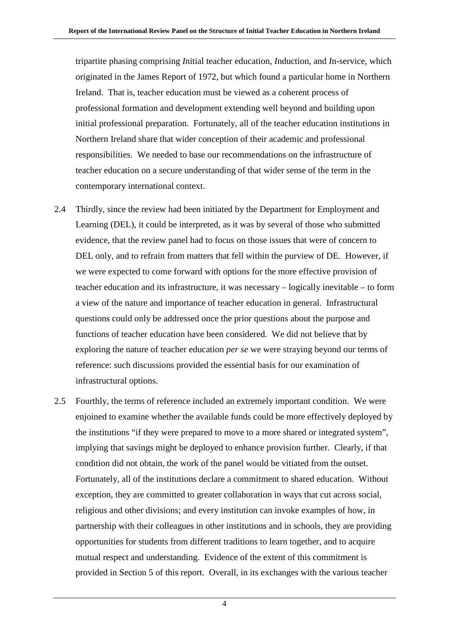tripartite phasing comprising *I*nitial teacher education, *I*nduction, and *I*n-service, which originated in the James Report of 1972, but which found a particular home in Northern Ireland. That is, teacher education must be viewed as a coherent process of professional formation and development extending well beyond and building upon initial professional preparation. Fortunately, all of the teacher education institutions in Northern Ireland share that wider conception of their academic and professional responsibilities. We needed to base our recommendations on the infrastructure of teacher education on a secure understanding of that wider sense of the term in the contemporary international context.

- 2.4 Thirdly, since the review had been initiated by the Department for Employment and Learning (DEL), it could be interpreted, as it was by several of those who submitted evidence, that the review panel had to focus on those issues that were of concern to DEL only, and to refrain from matters that fell within the purview of DE. However, if we were expected to come forward with options for the more effective provision of teacher education and its infrastructure, it was necessary – logically inevitable – to form a view of the nature and importance of teacher education in general. Infrastructural questions could only be addressed once the prior questions about the purpose and functions of teacher education have been considered. We did not believe that by exploring the nature of teacher education *per se* we were straying beyond our terms of reference: such discussions provided the essential basis for our examination of infrastructural options.
- 2.5 Fourthly, the terms of reference included an extremely important condition. We were enjoined to examine whether the available funds could be more effectively deployed by the institutions "if they were prepared to move to a more shared or integrated system", implying that savings might be deployed to enhance provision further. Clearly, if that condition did not obtain, the work of the panel would be vitiated from the outset. Fortunately, all of the institutions declare a commitment to shared education. Without exception, they are committed to greater collaboration in ways that cut across social, religious and other divisions; and every institution can invoke examples of how, in partnership with their colleagues in other institutions and in schools, they are providing opportunities for students from different traditions to learn together, and to acquire mutual respect and understanding. Evidence of the extent of this commitment is provided in Section 5 of this report. Overall, in its exchanges with the various teacher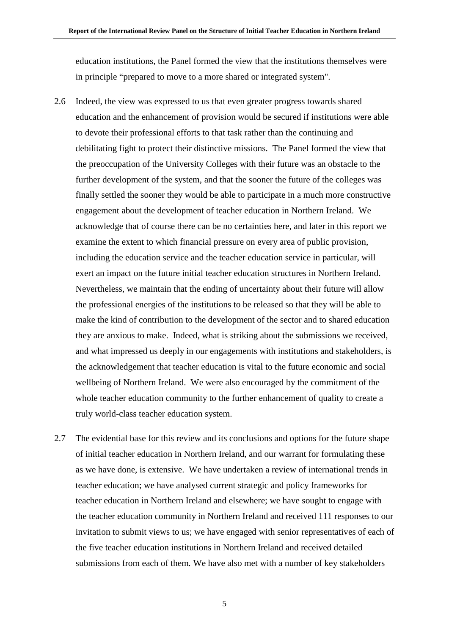education institutions, the Panel formed the view that the institutions themselves were in principle "prepared to move to a more shared or integrated system".

- 2.6 Indeed, the view was expressed to us that even greater progress towards shared education and the enhancement of provision would be secured if institutions were able to devote their professional efforts to that task rather than the continuing and debilitating fight to protect their distinctive missions. The Panel formed the view that the preoccupation of the University Colleges with their future was an obstacle to the further development of the system, and that the sooner the future of the colleges was finally settled the sooner they would be able to participate in a much more constructive engagement about the development of teacher education in Northern Ireland. We acknowledge that of course there can be no certainties here, and later in this report we examine the extent to which financial pressure on every area of public provision, including the education service and the teacher education service in particular, will exert an impact on the future initial teacher education structures in Northern Ireland. Nevertheless, we maintain that the ending of uncertainty about their future will allow the professional energies of the institutions to be released so that they will be able to make the kind of contribution to the development of the sector and to shared education they are anxious to make. Indeed, what is striking about the submissions we received, and what impressed us deeply in our engagements with institutions and stakeholders, is the acknowledgement that teacher education is vital to the future economic and social wellbeing of Northern Ireland. We were also encouraged by the commitment of the whole teacher education community to the further enhancement of quality to create a truly world-class teacher education system.
- 2.7 The evidential base for this review and its conclusions and options for the future shape of initial teacher education in Northern Ireland, and our warrant for formulating these as we have done, is extensive. We have undertaken a review of international trends in teacher education; we have analysed current strategic and policy frameworks for teacher education in Northern Ireland and elsewhere; we have sought to engage with the teacher education community in Northern Ireland and received 111 responses to our invitation to submit views to us; we have engaged with senior representatives of each of the five teacher education institutions in Northern Ireland and received detailed submissions from each of them*.* We have also met with a number of key stakeholders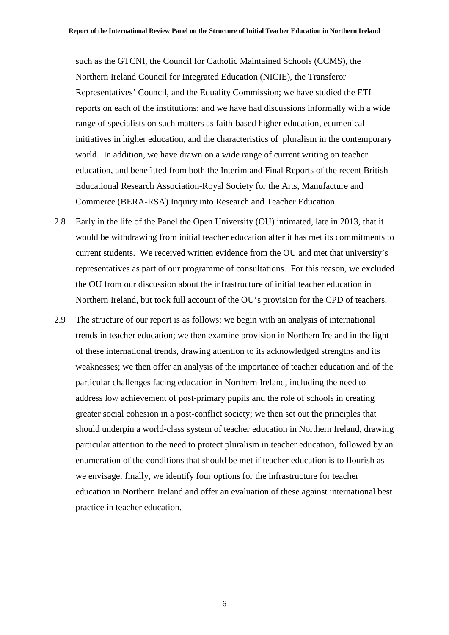such as the GTCNI, the Council for Catholic Maintained Schools (CCMS), the Northern Ireland Council for Integrated Education (NICIE), the Transferor Representatives' Council, and the Equality Commission; we have studied the ETI reports on each of the institutions; and we have had discussions informally with a wide range of specialists on such matters as faith-based higher education, ecumenical initiatives in higher education, and the characteristics of pluralism in the contemporary world. In addition, we have drawn on a wide range of current writing on teacher education, and benefitted from both the Interim and Final Reports of the recent British Educational Research Association-Royal Society for the Arts, Manufacture and Commerce (BERA-RSA) Inquiry into Research and Teacher Education.

- 2.8 Early in the life of the Panel the Open University (OU) intimated, late in 2013, that it would be withdrawing from initial teacher education after it has met its commitments to current students. We received written evidence from the OU and met that university's representatives as part of our programme of consultations. For this reason, we excluded the OU from our discussion about the infrastructure of initial teacher education in Northern Ireland, but took full account of the OU's provision for the CPD of teachers.
- 2.9 The structure of our report is as follows: we begin with an analysis of international trends in teacher education; we then examine provision in Northern Ireland in the light of these international trends, drawing attention to its acknowledged strengths and its weaknesses; we then offer an analysis of the importance of teacher education and of the particular challenges facing education in Northern Ireland, including the need to address low achievement of post-primary pupils and the role of schools in creating greater social cohesion in a post-conflict society; we then set out the principles that should underpin a world-class system of teacher education in Northern Ireland, drawing particular attention to the need to protect pluralism in teacher education, followed by an enumeration of the conditions that should be met if teacher education is to flourish as we envisage; finally, we identify four options for the infrastructure for teacher education in Northern Ireland and offer an evaluation of these against international best practice in teacher education.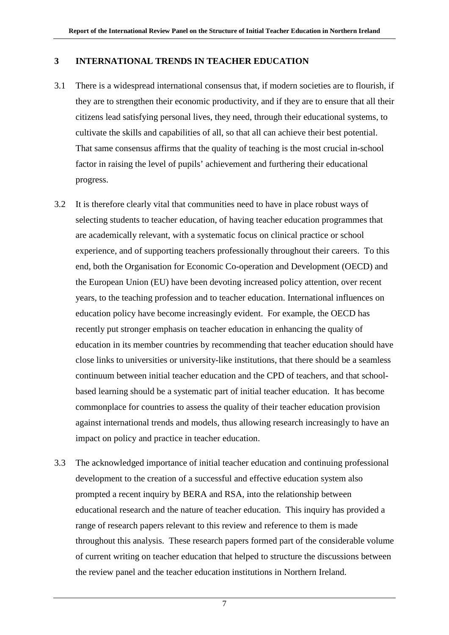### **3 INTERNATIONAL TRENDS IN TEACHER EDUCATION**

- 3.1 There is a widespread international consensus that, if modern societies are to flourish, if they are to strengthen their economic productivity, and if they are to ensure that all their citizens lead satisfying personal lives, they need, through their educational systems, to cultivate the skills and capabilities of all, so that all can achieve their best potential. That same consensus affirms that the quality of teaching is the most crucial in-school factor in raising the level of pupils' achievement and furthering their educational progress.
- 3.2 It is therefore clearly vital that communities need to have in place robust ways of selecting students to teacher education, of having teacher education programmes that are academically relevant, with a systematic focus on clinical practice or school experience, and of supporting teachers professionally throughout their careers. To this end, both the Organisation for Economic Co-operation and Development (OECD) and the European Union (EU) have been devoting increased policy attention, over recent years, to the teaching profession and to teacher education. International influences on education policy have become increasingly evident. For example, the OECD has recently put stronger emphasis on teacher education in enhancing the quality of education in its member countries by recommending that teacher education should have close links to universities or university-like institutions, that there should be a seamless continuum between initial teacher education and the CPD of teachers, and that schoolbased learning should be a systematic part of initial teacher education. It has become commonplace for countries to assess the quality of their teacher education provision against international trends and models, thus allowing research increasingly to have an impact on policy and practice in teacher education.
- 3.3 The acknowledged importance of initial teacher education and continuing professional development to the creation of a successful and effective education system also prompted a recent inquiry by BERA and RSA, into the relationship between educational research and the nature of teacher education. This inquiry has provided a range of research papers relevant to this review and reference to them is made throughout this analysis. These research papers formed part of the considerable volume of current writing on teacher education that helped to structure the discussions between the review panel and the teacher education institutions in Northern Ireland.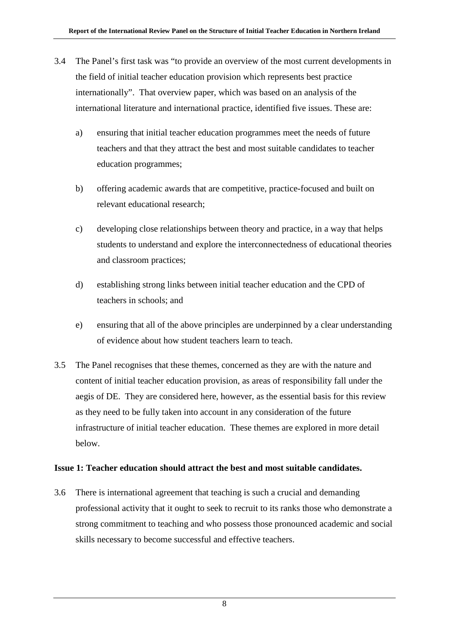- 3.4 The Panel's first task was "to provide an overview of the most current developments in the field of initial teacher education provision which represents best practice internationally". That overview paper, which was based on an analysis of the international literature and international practice, identified five issues. These are:
	- a) ensuring that initial teacher education programmes meet the needs of future teachers and that they attract the best and most suitable candidates to teacher education programmes;
	- b) offering academic awards that are competitive, practice-focused and built on relevant educational research;
	- c) developing close relationships between theory and practice, in a way that helps students to understand and explore the interconnectedness of educational theories and classroom practices;
	- d) establishing strong links between initial teacher education and the CPD of teachers in schools; and
	- e) ensuring that all of the above principles are underpinned by a clear understanding of evidence about how student teachers learn to teach.
- 3.5 The Panel recognises that these themes, concerned as they are with the nature and content of initial teacher education provision, as areas of responsibility fall under the aegis of DE. They are considered here, however, as the essential basis for this review as they need to be fully taken into account in any consideration of the future infrastructure of initial teacher education. These themes are explored in more detail below.

### **Issue 1: Teacher education should attract the best and most suitable candidates.**

3.6 There is international agreement that teaching is such a crucial and demanding professional activity that it ought to seek to recruit to its ranks those who demonstrate a strong commitment to teaching and who possess those pronounced academic and social skills necessary to become successful and effective teachers.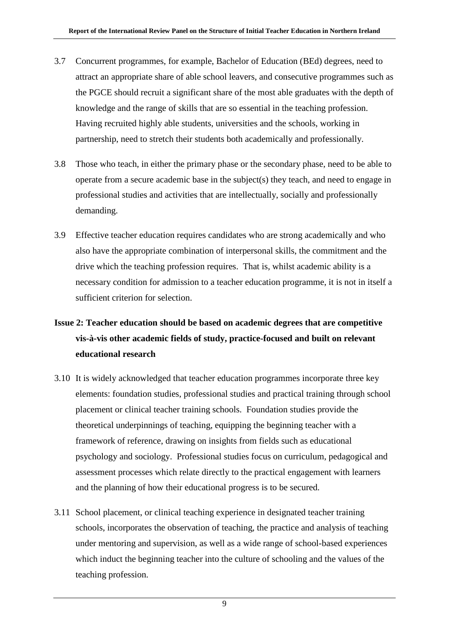- 3.7 Concurrent programmes, for example, Bachelor of Education (BEd) degrees, need to attract an appropriate share of able school leavers, and consecutive programmes such as the PGCE should recruit a significant share of the most able graduates with the depth of knowledge and the range of skills that are so essential in the teaching profession. Having recruited highly able students, universities and the schools, working in partnership, need to stretch their students both academically and professionally.
- 3.8 Those who teach, in either the primary phase or the secondary phase, need to be able to operate from a secure academic base in the subject(s) they teach, and need to engage in professional studies and activities that are intellectually, socially and professionally demanding.
- 3.9 Effective teacher education requires candidates who are strong academically and who also have the appropriate combination of interpersonal skills, the commitment and the drive which the teaching profession requires. That is, whilst academic ability is a necessary condition for admission to a teacher education programme, it is not in itself a sufficient criterion for selection.

### **Issue 2: Teacher education should be based on academic degrees that are competitive vis-à-vis other academic fields of study, practice-focused and built on relevant educational research**

- 3.10 It is widely acknowledged that teacher education programmes incorporate three key elements: foundation studies, professional studies and practical training through school placement or clinical teacher training schools. Foundation studies provide the theoretical underpinnings of teaching, equipping the beginning teacher with a framework of reference, drawing on insights from fields such as educational psychology and sociology. Professional studies focus on curriculum, pedagogical and assessment processes which relate directly to the practical engagement with learners and the planning of how their educational progress is to be secured.
- 3.11 School placement, or clinical teaching experience in designated teacher training schools, incorporates the observation of teaching, the practice and analysis of teaching under mentoring and supervision, as well as a wide range of school-based experiences which induct the beginning teacher into the culture of schooling and the values of the teaching profession.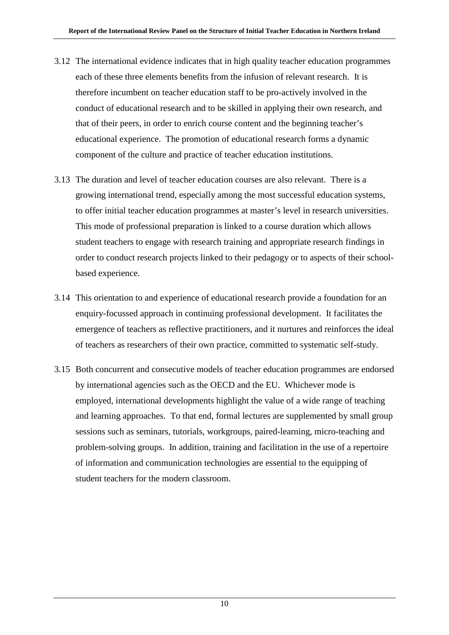- 3.12 The international evidence indicates that in high quality teacher education programmes each of these three elements benefits from the infusion of relevant research. It is therefore incumbent on teacher education staff to be pro-actively involved in the conduct of educational research and to be skilled in applying their own research, and that of their peers, in order to enrich course content and the beginning teacher's educational experience. The promotion of educational research forms a dynamic component of the culture and practice of teacher education institutions.
- 3.13 The duration and level of teacher education courses are also relevant. There is a growing international trend, especially among the most successful education systems, to offer initial teacher education programmes at master's level in research universities. This mode of professional preparation is linked to a course duration which allows student teachers to engage with research training and appropriate research findings in order to conduct research projects linked to their pedagogy or to aspects of their schoolbased experience.
- 3.14 This orientation to and experience of educational research provide a foundation for an enquiry-focussed approach in continuing professional development. It facilitates the emergence of teachers as reflective practitioners, and it nurtures and reinforces the ideal of teachers as researchers of their own practice, committed to systematic self-study.
- 3.15 Both concurrent and consecutive models of teacher education programmes are endorsed by international agencies such as the OECD and the EU. Whichever mode is employed, international developments highlight the value of a wide range of teaching and learning approaches. To that end, formal lectures are supplemented by small group sessions such as seminars, tutorials, workgroups, paired-learning, micro-teaching and problem-solving groups. In addition, training and facilitation in the use of a repertoire of information and communication technologies are essential to the equipping of student teachers for the modern classroom.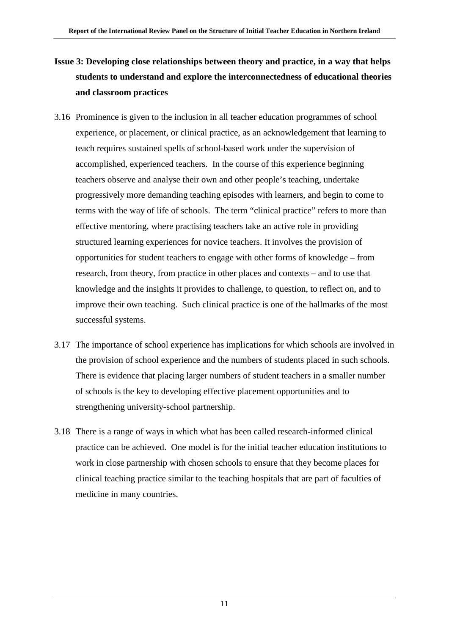### **Issue 3: Developing close relationships between theory and practice, in a way that helps students to understand and explore the interconnectedness of educational theories and classroom practices**

- 3.16 Prominence is given to the inclusion in all teacher education programmes of school experience, or placement, or clinical practice, as an acknowledgement that learning to teach requires sustained spells of school-based work under the supervision of accomplished, experienced teachers. In the course of this experience beginning teachers observe and analyse their own and other people's teaching, undertake progressively more demanding teaching episodes with learners, and begin to come to terms with the way of life of schools. The term "clinical practice" refers to more than effective mentoring, where practising teachers take an active role in providing structured learning experiences for novice teachers. It involves the provision of opportunities for student teachers to engage with other forms of knowledge – from research, from theory, from practice in other places and contexts – and to use that knowledge and the insights it provides to challenge, to question, to reflect on, and to improve their own teaching. Such clinical practice is one of the hallmarks of the most successful systems.
- 3.17 The importance of school experience has implications for which schools are involved in the provision of school experience and the numbers of students placed in such schools. There is evidence that placing larger numbers of student teachers in a smaller number of schools is the key to developing effective placement opportunities and to strengthening university-school partnership.
- 3.18 There is a range of ways in which what has been called research-informed clinical practice can be achieved. One model is for the initial teacher education institutions to work in close partnership with chosen schools to ensure that they become places for clinical teaching practice similar to the teaching hospitals that are part of faculties of medicine in many countries.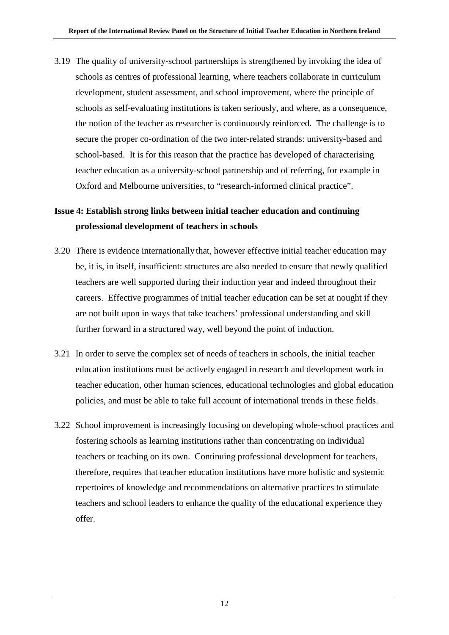3.19 The quality of university-school partnerships is strengthened by invoking the idea of schools as centres of professional learning, where teachers collaborate in curriculum development, student assessment, and school improvement, where the principle of schools as self-evaluating institutions is taken seriously, and where, as a consequence, the notion of the teacher as researcher is continuously reinforced. The challenge is to secure the proper co-ordination of the two inter-related strands: university-based and school-based. It is for this reason that the practice has developed of characterising teacher education as a university-school partnership and of referring, for example in Oxford and Melbourne universities, to "research-informed clinical practice".

### **Issue 4: Establish strong links between initial teacher education and continuing professional development of teachers in schools**

- 3.20 There is evidence internationally that, however effective initial teacher education may be, it is, in itself, insufficient: structures are also needed to ensure that newly qualified teachers are well supported during their induction year and indeed throughout their careers. Effective programmes of initial teacher education can be set at nought if they are not built upon in ways that take teachers' professional understanding and skill further forward in a structured way, well beyond the point of induction.
- 3.21 In order to serve the complex set of needs of teachers in schools, the initial teacher education institutions must be actively engaged in research and development work in teacher education, other human sciences, educational technologies and global education policies, and must be able to take full account of international trends in these fields.
- 3.22 School improvement is increasingly focusing on developing whole-school practices and fostering schools as learning institutions rather than concentrating on individual teachers or teaching on its own. Continuing professional development for teachers, therefore, requires that teacher education institutions have more holistic and systemic repertoires of knowledge and recommendations on alternative practices to stimulate teachers and school leaders to enhance the quality of the educational experience they offer.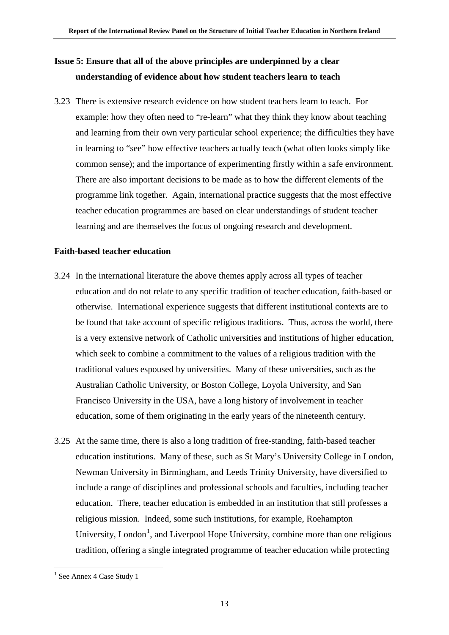### **Issue 5: Ensure that all of the above principles are underpinned by a clear understanding of evidence about how student teachers learn to teach**

3.23 There is extensive research evidence on how student teachers learn to teach. For example: how they often need to "re-learn" what they think they know about teaching and learning from their own very particular school experience; the difficulties they have in learning to "see" how effective teachers actually teach (what often looks simply like common sense); and the importance of experimenting firstly within a safe environment. There are also important decisions to be made as to how the different elements of the programme link together. Again, international practice suggests that the most effective teacher education programmes are based on clear understandings of student teacher learning and are themselves the focus of ongoing research and development.

### **Faith-based teacher education**

- 3.24 In the international literature the above themes apply across all types of teacher education and do not relate to any specific tradition of teacher education, faith-based or otherwise. International experience suggests that different institutional contexts are to be found that take account of specific religious traditions. Thus, across the world, there is a very extensive network of Catholic universities and institutions of higher education, which seek to combine a commitment to the values of a religious tradition with the traditional values espoused by universities. Many of these universities, such as the Australian Catholic University, or Boston College, Loyola University, and San Francisco University in the USA, have a long history of involvement in teacher education, some of them originating in the early years of the nineteenth century.
- 3.25 At the same time, there is also a long tradition of free-standing, faith-based teacher education institutions. Many of these, such as St Mary's University College in London, Newman University in Birmingham, and Leeds Trinity University, have diversified to include a range of disciplines and professional schools and faculties, including teacher education. There, teacher education is embedded in an institution that still professes a religious mission. Indeed, some such institutions, for example, Roehampton University, London<sup>[1](#page-19-0)</sup>, and Liverpool Hope University, combine more than one religious tradition, offering a single integrated programme of teacher education while protecting

<span id="page-19-0"></span> $1$  See Annex 4 Case Study 1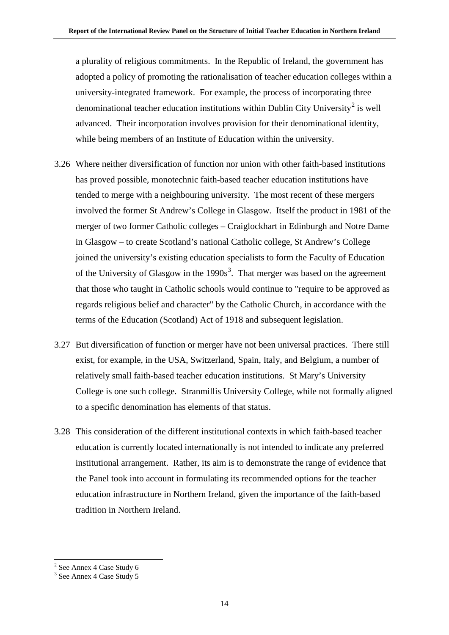a plurality of religious commitments. In the Republic of Ireland, the government has adopted a policy of promoting the rationalisation of teacher education colleges within a university-integrated framework. For example, the process of incorporating three denominational teacher education institutions within Dublin City University<sup>[2](#page-20-0)</sup> is well advanced. Their incorporation involves provision for their denominational identity, while being members of an Institute of Education within the university.

- 3.26 Where neither diversification of function nor union with other faith-based institutions has proved possible, monotechnic faith-based teacher education institutions have tended to merge with a neighbouring university. The most recent of these mergers involved the former St Andrew's College in Glasgow. Itself the product in 1981 of the merger of two former Catholic colleges – Craiglockhart in Edinburgh and Notre Dame in Glasgow – to create Scotland's national Catholic college, St Andrew's College joined the university's existing education specialists to form the Faculty of Education of the University of Glasgow in the  $1990s<sup>3</sup>$  $1990s<sup>3</sup>$  $1990s<sup>3</sup>$ . That merger was based on the agreement that those who taught in Catholic schools would continue to "require to be approved as regards religious belief and character" by the Catholic Church, in accordance with the terms of the Education (Scotland) Act of 1918 and subsequent legislation.
- 3.27 But diversification of function or merger have not been universal practices. There still exist, for example, in the USA, Switzerland, Spain, Italy, and Belgium, a number of relatively small faith-based teacher education institutions. St Mary's University College is one such college. Stranmillis University College, while not formally aligned to a specific denomination has elements of that status.
- 3.28 This consideration of the different institutional contexts in which faith-based teacher education is currently located internationally is not intended to indicate any preferred institutional arrangement. Rather, its aim is to demonstrate the range of evidence that the Panel took into account in formulating its recommended options for the teacher education infrastructure in Northern Ireland, given the importance of the faith-based tradition in Northern Ireland.

<span id="page-20-0"></span> <sup>2</sup> See Annex 4 Case Study 6

<span id="page-20-1"></span><sup>3</sup> See Annex 4 Case Study 5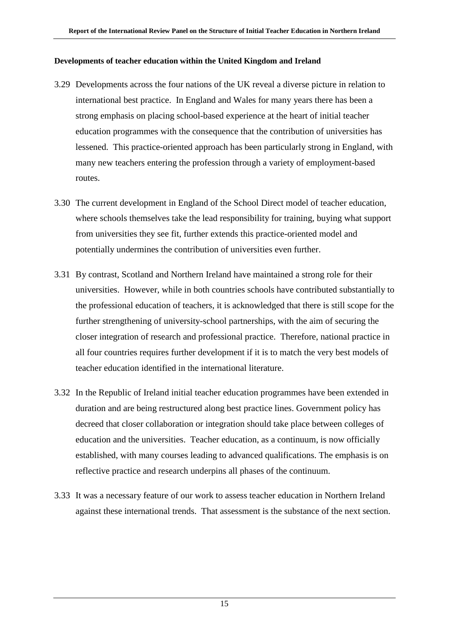### **Developments of teacher education within the United Kingdom and Ireland**

- 3.29 Developments across the four nations of the UK reveal a diverse picture in relation to international best practice. In England and Wales for many years there has been a strong emphasis on placing school-based experience at the heart of initial teacher education programmes with the consequence that the contribution of universities has lessened. This practice-oriented approach has been particularly strong in England, with many new teachers entering the profession through a variety of employment-based routes.
- 3.30 The current development in England of the School Direct model of teacher education, where schools themselves take the lead responsibility for training, buying what support from universities they see fit, further extends this practice-oriented model and potentially undermines the contribution of universities even further.
- 3.31 By contrast, Scotland and Northern Ireland have maintained a strong role for their universities. However, while in both countries schools have contributed substantially to the professional education of teachers, it is acknowledged that there is still scope for the further strengthening of university-school partnerships, with the aim of securing the closer integration of research and professional practice. Therefore, national practice in all four countries requires further development if it is to match the very best models of teacher education identified in the international literature.
- 3.32 In the Republic of Ireland initial teacher education programmes have been extended in duration and are being restructured along best practice lines. Government policy has decreed that closer collaboration or integration should take place between colleges of education and the universities. Teacher education, as a continuum, is now officially established, with many courses leading to advanced qualifications. The emphasis is on reflective practice and research underpins all phases of the continuum.
- 3.33 It was a necessary feature of our work to assess teacher education in Northern Ireland against these international trends. That assessment is the substance of the next section.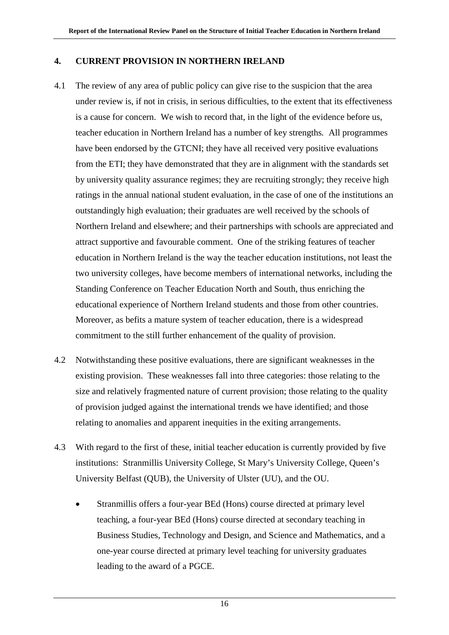### **4. CURRENT PROVISION IN NORTHERN IRELAND**

- 4.1 The review of any area of public policy can give rise to the suspicion that the area under review is, if not in crisis, in serious difficulties, to the extent that its effectiveness is a cause for concern. We wish to record that, in the light of the evidence before us, teacher education in Northern Ireland has a number of key strengths*.* All programmes have been endorsed by the GTCNI; they have all received very positive evaluations from the ETI; they have demonstrated that they are in alignment with the standards set by university quality assurance regimes; they are recruiting strongly; they receive high ratings in the annual national student evaluation, in the case of one of the institutions an outstandingly high evaluation; their graduates are well received by the schools of Northern Ireland and elsewhere; and their partnerships with schools are appreciated and attract supportive and favourable comment. One of the striking features of teacher education in Northern Ireland is the way the teacher education institutions, not least the two university colleges, have become members of international networks, including the Standing Conference on Teacher Education North and South, thus enriching the educational experience of Northern Ireland students and those from other countries. Moreover, as befits a mature system of teacher education, there is a widespread commitment to the still further enhancement of the quality of provision.
- 4.2 Notwithstanding these positive evaluations, there are significant weaknesses in the existing provision. These weaknesses fall into three categories: those relating to the size and relatively fragmented nature of current provision; those relating to the quality of provision judged against the international trends we have identified; and those relating to anomalies and apparent inequities in the exiting arrangements.
- 4.3 With regard to the first of these, initial teacher education is currently provided by five institutions: Stranmillis University College, St Mary's University College, Queen's University Belfast (QUB), the University of Ulster (UU), and the OU.
	- Stranmillis offers a four-year BEd (Hons) course directed at primary level teaching, a four-year BEd (Hons) course directed at secondary teaching in Business Studies, Technology and Design, and Science and Mathematics, and a one-year course directed at primary level teaching for university graduates leading to the award of a PGCE.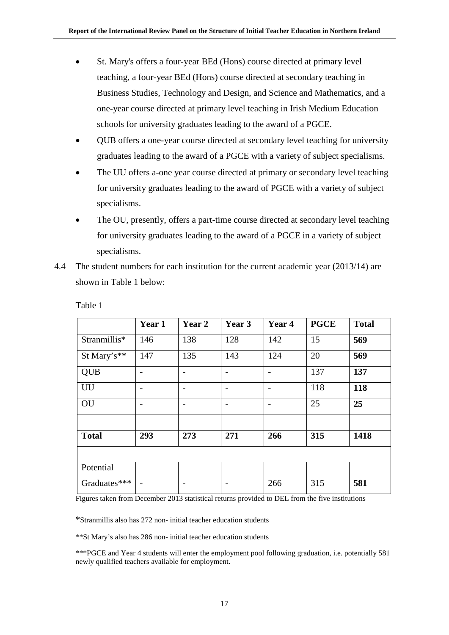- St. Mary's offers a four-year BEd (Hons) course directed at primary level teaching, a four-year BEd (Hons) course directed at secondary teaching in Business Studies, Technology and Design, and Science and Mathematics, and a one-year course directed at primary level teaching in Irish Medium Education schools for university graduates leading to the award of a PGCE.
- QUB offers a one-year course directed at secondary level teaching for university graduates leading to the award of a PGCE with a variety of subject specialisms.
- The UU offers a-one year course directed at primary or secondary level teaching for university graduates leading to the award of PGCE with a variety of subject specialisms.
- The OU, presently, offers a part-time course directed at secondary level teaching for university graduates leading to the award of a PGCE in a variety of subject specialisms.
- 4.4 The student numbers for each institution for the current academic year (2013/14) are shown in Table 1 below:

|              | Year 1 | Year 2                   | Year 3                   | Year 4                   | <b>PGCE</b> | <b>Total</b> |  |  |
|--------------|--------|--------------------------|--------------------------|--------------------------|-------------|--------------|--|--|
| Stranmillis* | 146    | 138                      | 128                      | 142                      | 15          | 569          |  |  |
| St Mary's**  | 147    | 135                      | 143                      | 124                      | 20          | 569          |  |  |
| <b>QUB</b>   |        | $\overline{a}$           | $\overline{\phantom{0}}$ | $\overline{\phantom{0}}$ | 137         | 137          |  |  |
| UU           |        |                          | $\overline{\phantom{0}}$ |                          | 118         | 118          |  |  |
| OU           |        | $\overline{\phantom{0}}$ | $\overline{a}$           |                          | 25          | 25           |  |  |
|              |        |                          |                          |                          |             |              |  |  |
| <b>Total</b> | 293    | 273                      | 271                      | 266                      | 315         | 1418         |  |  |
|              |        |                          |                          |                          |             |              |  |  |
| Potential    |        |                          |                          |                          |             |              |  |  |
| Graduates*** |        |                          |                          | 266                      | 315         | 581          |  |  |

Table 1

Figures taken from December 2013 statistical returns provided to DEL from the five institutions

\*Stranmillis also has 272 non- initial teacher education students

\*\*St Mary's also has 286 non- initial teacher education students

\*\*\*PGCE and Year 4 students will enter the employment pool following graduation, i.e. potentially 581 newly qualified teachers available for employment.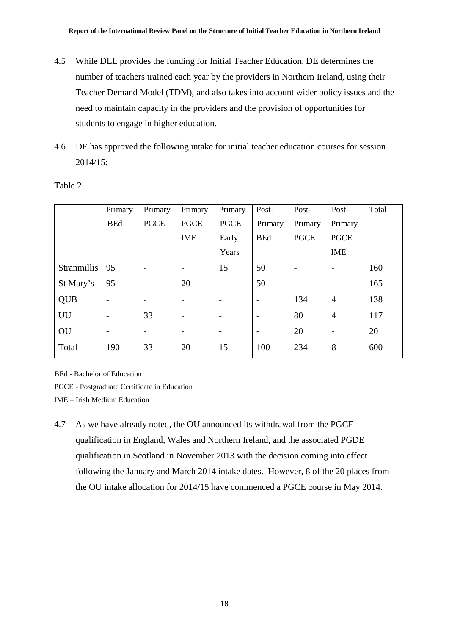- 4.5 While DEL provides the funding for Initial Teacher Education, DE determines the number of teachers trained each year by the providers in Northern Ireland, using their Teacher Demand Model (TDM), and also takes into account wider policy issues and the need to maintain capacity in the providers and the provision of opportunities for students to engage in higher education.
- 4.6 DE has approved the following intake for initial teacher education courses for session 2014/15:

|             | Primary                  | Primary                  | Primary                  | Primary                  | Post-                    | Post-       | Post-                    | Total |
|-------------|--------------------------|--------------------------|--------------------------|--------------------------|--------------------------|-------------|--------------------------|-------|
|             | <b>BEd</b>               | <b>PGCE</b>              | <b>PGCE</b>              | <b>PGCE</b>              | Primary                  | Primary     | Primary                  |       |
|             |                          |                          | <b>IME</b>               | Early                    | <b>BEd</b>               | <b>PGCE</b> | <b>PGCE</b>              |       |
|             |                          |                          |                          | Years                    |                          |             | <b>IME</b>               |       |
| Stranmillis | 95                       | $\overline{\phantom{a}}$ |                          | 15                       | 50                       |             | $\overline{\phantom{a}}$ | 160   |
| St Mary's   | 95                       | $\overline{\phantom{a}}$ | 20                       |                          | 50                       |             |                          | 165   |
| <b>QUB</b>  |                          |                          | $\overline{\phantom{a}}$ |                          | $\overline{\phantom{a}}$ | 134         | $\overline{4}$           | 138   |
| <b>UU</b>   | $\overline{\phantom{a}}$ | 33                       | $\overline{\phantom{a}}$ | $\overline{\phantom{0}}$ | $\overline{\phantom{a}}$ | 80          | $\overline{4}$           | 117   |
| OU          |                          |                          |                          |                          |                          | 20          |                          | 20    |
| Total       | 190                      | 33                       | 20                       | 15                       | 100                      | 234         | 8                        | 600   |

### Table 2

BEd - Bachelor of Education

PGCE - Postgraduate Certificate in Education

IME – Irish Medium Education

4.7 As we have already noted, the OU announced its withdrawal from the PGCE qualification in England, Wales and Northern Ireland, and the associated PGDE qualification in Scotland in November 2013 with the decision coming into effect following the January and March 2014 intake dates. However, 8 of the 20 places from the OU intake allocation for 2014/15 have commenced a PGCE course in May 2014.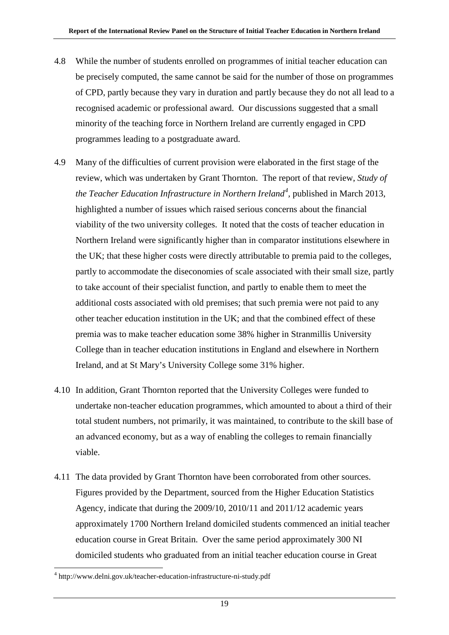- 4.8 While the number of students enrolled on programmes of initial teacher education can be precisely computed, the same cannot be said for the number of those on programmes of CPD, partly because they vary in duration and partly because they do not all lead to a recognised academic or professional award. Our discussions suggested that a small minority of the teaching force in Northern Ireland are currently engaged in CPD programmes leading to a postgraduate award.
- 4.9 Many of the difficulties of current provision were elaborated in the first stage of the review, which was undertaken by Grant Thornton. The report of that review, *Study of the Teacher Education Infrastructure in Northern Ireland[4](#page-25-0) ,* published in March 2013, highlighted a number of issues which raised serious concerns about the financial viability of the two university colleges. It noted that the costs of teacher education in Northern Ireland were significantly higher than in comparator institutions elsewhere in the UK; that these higher costs were directly attributable to premia paid to the colleges, partly to accommodate the diseconomies of scale associated with their small size, partly to take account of their specialist function, and partly to enable them to meet the additional costs associated with old premises; that such premia were not paid to any other teacher education institution in the UK; and that the combined effect of these premia was to make teacher education some 38% higher in Stranmillis University College than in teacher education institutions in England and elsewhere in Northern Ireland, and at St Mary's University College some 31% higher.
- 4.10 In addition, Grant Thornton reported that the University Colleges were funded to undertake non-teacher education programmes, which amounted to about a third of their total student numbers, not primarily, it was maintained, to contribute to the skill base of an advanced economy, but as a way of enabling the colleges to remain financially viable.
- 4.11 The data provided by Grant Thornton have been corroborated from other sources. Figures provided by the Department, sourced from the Higher Education Statistics Agency, indicate that during the 2009/10, 2010/11 and 2011/12 academic years approximately 1700 Northern Ireland domiciled students commenced an initial teacher education course in Great Britain. Over the same period approximately 300 NI domiciled students who graduated from an initial teacher education course in Great

<span id="page-25-0"></span> <sup>4</sup> http://www.delni.gov.uk/teacher-education-infrastructure-ni-study.pdf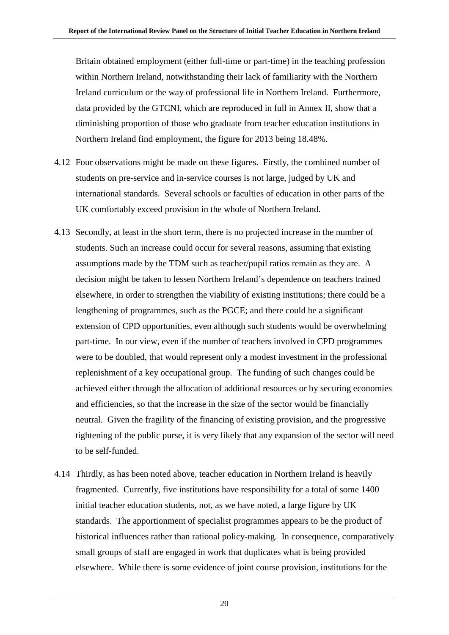Britain obtained employment (either full-time or part-time) in the teaching profession within Northern Ireland, notwithstanding their lack of familiarity with the Northern Ireland curriculum or the way of professional life in Northern Ireland. Furthermore, data provided by the GTCNI, which are reproduced in full in Annex II, show that a diminishing proportion of those who graduate from teacher education institutions in Northern Ireland find employment, the figure for 2013 being 18.48%.

- 4.12 Four observations might be made on these figures. Firstly, the combined number of students on pre-service and in-service courses is not large, judged by UK and international standards. Several schools or faculties of education in other parts of the UK comfortably exceed provision in the whole of Northern Ireland.
- 4.13 Secondly, at least in the short term, there is no projected increase in the number of students. Such an increase could occur for several reasons, assuming that existing assumptions made by the TDM such as teacher/pupil ratios remain as they are. A decision might be taken to lessen Northern Ireland's dependence on teachers trained elsewhere, in order to strengthen the viability of existing institutions; there could be a lengthening of programmes, such as the PGCE; and there could be a significant extension of CPD opportunities, even although such students would be overwhelming part-time. In our view, even if the number of teachers involved in CPD programmes were to be doubled, that would represent only a modest investment in the professional replenishment of a key occupational group. The funding of such changes could be achieved either through the allocation of additional resources or by securing economies and efficiencies, so that the increase in the size of the sector would be financially neutral. Given the fragility of the financing of existing provision, and the progressive tightening of the public purse, it is very likely that any expansion of the sector will need to be self-funded.
- 4.14 Thirdly, as has been noted above, teacher education in Northern Ireland is heavily fragmented. Currently, five institutions have responsibility for a total of some 1400 initial teacher education students, not, as we have noted, a large figure by UK standards. The apportionment of specialist programmes appears to be the product of historical influences rather than rational policy-making. In consequence, comparatively small groups of staff are engaged in work that duplicates what is being provided elsewhere. While there is some evidence of joint course provision, institutions for the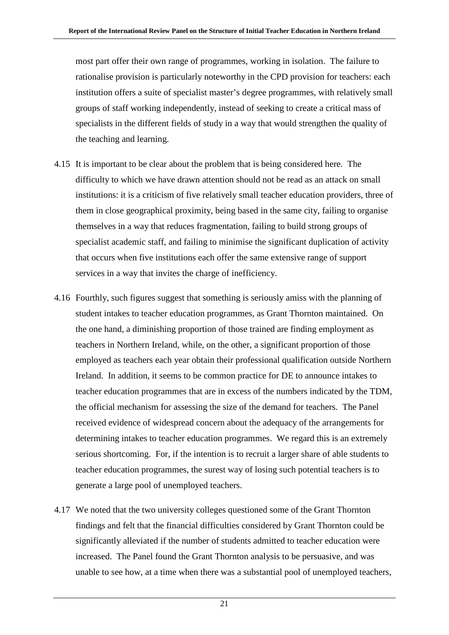most part offer their own range of programmes, working in isolation. The failure to rationalise provision is particularly noteworthy in the CPD provision for teachers: each institution offers a suite of specialist master's degree programmes, with relatively small groups of staff working independently, instead of seeking to create a critical mass of specialists in the different fields of study in a way that would strengthen the quality of the teaching and learning.

- 4.15 It is important to be clear about the problem that is being considered here. The difficulty to which we have drawn attention should not be read as an attack on small institutions: it is a criticism of five relatively small teacher education providers, three of them in close geographical proximity, being based in the same city, failing to organise themselves in a way that reduces fragmentation, failing to build strong groups of specialist academic staff, and failing to minimise the significant duplication of activity that occurs when five institutions each offer the same extensive range of support services in a way that invites the charge of inefficiency.
- 4.16 Fourthly, such figures suggest that something is seriously amiss with the planning of student intakes to teacher education programmes, as Grant Thornton maintained. On the one hand, a diminishing proportion of those trained are finding employment as teachers in Northern Ireland, while, on the other, a significant proportion of those employed as teachers each year obtain their professional qualification outside Northern Ireland. In addition, it seems to be common practice for DE to announce intakes to teacher education programmes that are in excess of the numbers indicated by the TDM, the official mechanism for assessing the size of the demand for teachers. The Panel received evidence of widespread concern about the adequacy of the arrangements for determining intakes to teacher education programmes. We regard this is an extremely serious shortcoming. For, if the intention is to recruit a larger share of able students to teacher education programmes, the surest way of losing such potential teachers is to generate a large pool of unemployed teachers.
- 4.17 We noted that the two university colleges questioned some of the Grant Thornton findings and felt that the financial difficulties considered by Grant Thornton could be significantly alleviated if the number of students admitted to teacher education were increased. The Panel found the Grant Thornton analysis to be persuasive, and was unable to see how, at a time when there was a substantial pool of unemployed teachers,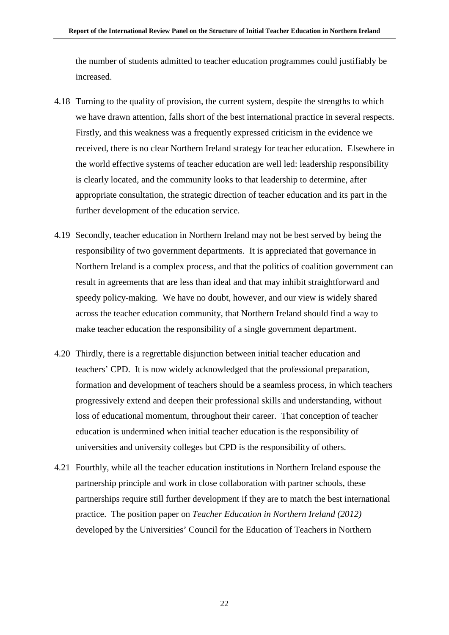the number of students admitted to teacher education programmes could justifiably be increased.

- 4.18 Turning to the quality of provision, the current system, despite the strengths to which we have drawn attention, falls short of the best international practice in several respects. Firstly, and this weakness was a frequently expressed criticism in the evidence we received, there is no clear Northern Ireland strategy for teacher education. Elsewhere in the world effective systems of teacher education are well led: leadership responsibility is clearly located, and the community looks to that leadership to determine, after appropriate consultation, the strategic direction of teacher education and its part in the further development of the education service.
- 4.19 Secondly, teacher education in Northern Ireland may not be best served by being the responsibility of two government departments. It is appreciated that governance in Northern Ireland is a complex process, and that the politics of coalition government can result in agreements that are less than ideal and that may inhibit straightforward and speedy policy-making. We have no doubt, however, and our view is widely shared across the teacher education community, that Northern Ireland should find a way to make teacher education the responsibility of a single government department.
- 4.20 Thirdly, there is a regrettable disjunction between initial teacher education and teachers' CPD. It is now widely acknowledged that the professional preparation, formation and development of teachers should be a seamless process, in which teachers progressively extend and deepen their professional skills and understanding, without loss of educational momentum, throughout their career. That conception of teacher education is undermined when initial teacher education is the responsibility of universities and university colleges but CPD is the responsibility of others.
- 4.21 Fourthly, while all the teacher education institutions in Northern Ireland espouse the partnership principle and work in close collaboration with partner schools, these partnerships require still further development if they are to match the best international practice. The position paper on *Teacher Education in Northern Ireland (2012)* developed by the Universities' Council for the Education of Teachers in Northern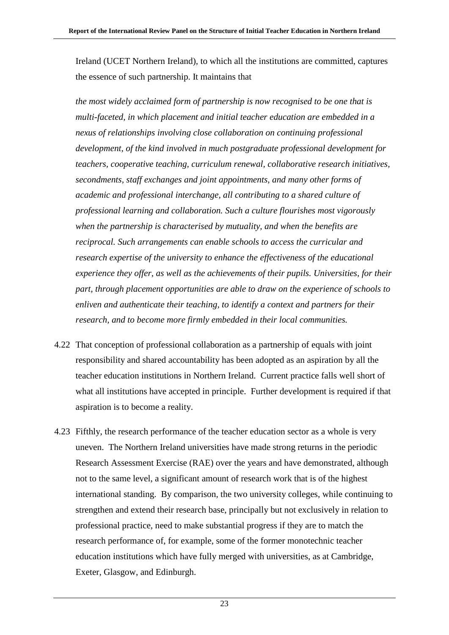Ireland (UCET Northern Ireland), to which all the institutions are committed, captures the essence of such partnership. It maintains that

*the most widely acclaimed form of partnership is now recognised to be one that is multi-faceted, in which placement and initial teacher education are embedded in a nexus of relationships involving close collaboration on continuing professional development, of the kind involved in much postgraduate professional development for teachers, cooperative teaching, curriculum renewal, collaborative research initiatives, secondments, staff exchanges and joint appointments, and many other forms of academic and professional interchange, all contributing to a shared culture of professional learning and collaboration. Such a culture flourishes most vigorously when the partnership is characterised by mutuality, and when the benefits are reciprocal. Such arrangements can enable schools to access the curricular and research expertise of the university to enhance the effectiveness of the educational experience they offer, as well as the achievements of their pupils. Universities, for their part, through placement opportunities are able to draw on the experience of schools to enliven and authenticate their teaching, to identify a context and partners for their research, and to become more firmly embedded in their local communities.*

- 4.22 That conception of professional collaboration as a partnership of equals with joint responsibility and shared accountability has been adopted as an aspiration by all the teacher education institutions in Northern Ireland. Current practice falls well short of what all institutions have accepted in principle. Further development is required if that aspiration is to become a reality.
- 4.23 Fifthly, the research performance of the teacher education sector as a whole is very uneven. The Northern Ireland universities have made strong returns in the periodic Research Assessment Exercise (RAE) over the years and have demonstrated, although not to the same level, a significant amount of research work that is of the highest international standing. By comparison, the two university colleges, while continuing to strengthen and extend their research base, principally but not exclusively in relation to professional practice, need to make substantial progress if they are to match the research performance of, for example, some of the former monotechnic teacher education institutions which have fully merged with universities, as at Cambridge, Exeter, Glasgow, and Edinburgh.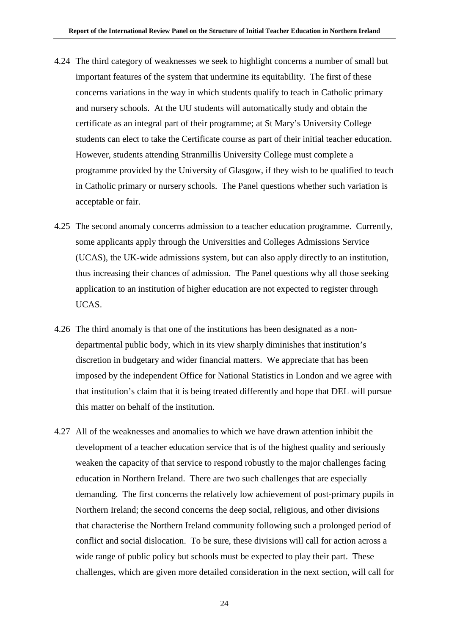- 4.24 The third category of weaknesses we seek to highlight concerns a number of small but important features of the system that undermine its equitability. The first of these concerns variations in the way in which students qualify to teach in Catholic primary and nursery schools. At the UU students will automatically study and obtain the certificate as an integral part of their programme; at St Mary's University College students can elect to take the Certificate course as part of their initial teacher education. However, students attending Stranmillis University College must complete a programme provided by the University of Glasgow, if they wish to be qualified to teach in Catholic primary or nursery schools. The Panel questions whether such variation is acceptable or fair.
- 4.25 The second anomaly concerns admission to a teacher education programme. Currently, some applicants apply through the Universities and Colleges Admissions Service (UCAS), the UK-wide admissions system, but can also apply directly to an institution, thus increasing their chances of admission. The Panel questions why all those seeking application to an institution of higher education are not expected to register through UCAS.
- 4.26 The third anomaly is that one of the institutions has been designated as a nondepartmental public body, which in its view sharply diminishes that institution's discretion in budgetary and wider financial matters. We appreciate that has been imposed by the independent Office for National Statistics in London and we agree with that institution's claim that it is being treated differently and hope that DEL will pursue this matter on behalf of the institution.
- 4.27 All of the weaknesses and anomalies to which we have drawn attention inhibit the development of a teacher education service that is of the highest quality and seriously weaken the capacity of that service to respond robustly to the major challenges facing education in Northern Ireland. There are two such challenges that are especially demanding. The first concerns the relatively low achievement of post-primary pupils in Northern Ireland; the second concerns the deep social, religious, and other divisions that characterise the Northern Ireland community following such a prolonged period of conflict and social dislocation. To be sure, these divisions will call for action across a wide range of public policy but schools must be expected to play their part. These challenges, which are given more detailed consideration in the next section, will call for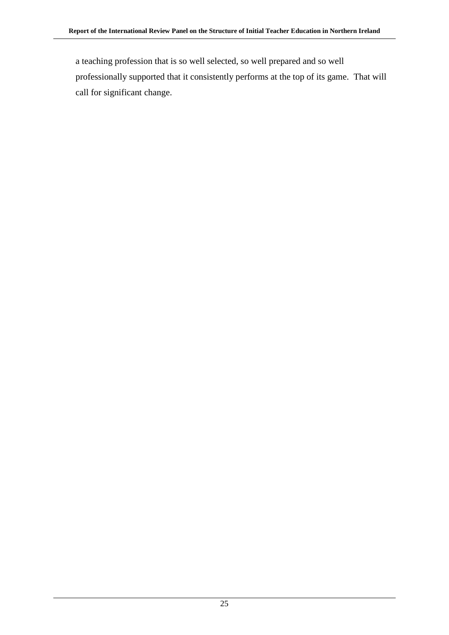a teaching profession that is so well selected, so well prepared and so well professionally supported that it consistently performs at the top of its game. That will call for significant change.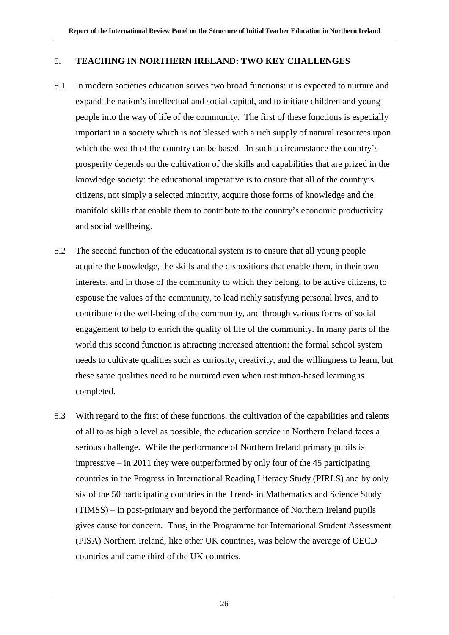### 5. **TEACHING IN NORTHERN IRELAND: TWO KEY CHALLENGES**

- 5.1 In modern societies education serves two broad functions: it is expected to nurture and expand the nation's intellectual and social capital, and to initiate children and young people into the way of life of the community. The first of these functions is especially important in a society which is not blessed with a rich supply of natural resources upon which the wealth of the country can be based. In such a circumstance the country's prosperity depends on the cultivation of the skills and capabilities that are prized in the knowledge society: the educational imperative is to ensure that all of the country's citizens, not simply a selected minority, acquire those forms of knowledge and the manifold skills that enable them to contribute to the country's economic productivity and social wellbeing.
- 5.2 The second function of the educational system is to ensure that all young people acquire the knowledge, the skills and the dispositions that enable them, in their own interests, and in those of the community to which they belong, to be active citizens, to espouse the values of the community, to lead richly satisfying personal lives, and to contribute to the well-being of the community, and through various forms of social engagement to help to enrich the quality of life of the community. In many parts of the world this second function is attracting increased attention: the formal school system needs to cultivate qualities such as curiosity, creativity, and the willingness to learn, but these same qualities need to be nurtured even when institution-based learning is completed.
- 5.3 With regard to the first of these functions, the cultivation of the capabilities and talents of all to as high a level as possible, the education service in Northern Ireland faces a serious challenge. While the performance of Northern Ireland primary pupils is impressive – in 2011 they were outperformed by only four of the 45 participating countries in the Progress in International Reading Literacy Study (PIRLS) and by only six of the 50 participating countries in the Trends in Mathematics and Science Study (TIMSS) – in post-primary and beyond the performance of Northern Ireland pupils gives cause for concern. Thus, in the Programme for International Student Assessment (PISA) Northern Ireland, like other UK countries, was below the average of OECD countries and came third of the UK countries.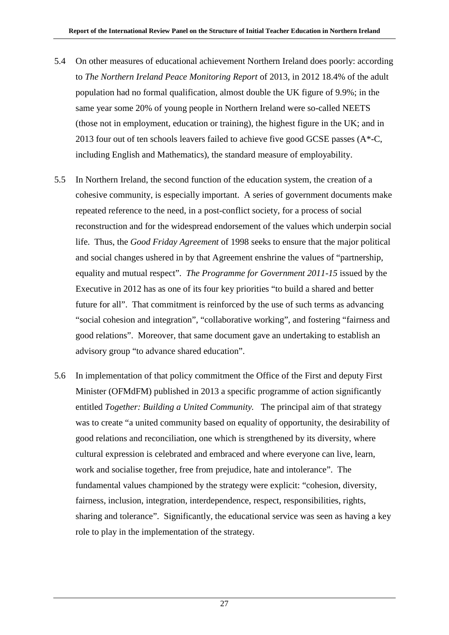- 5.4 On other measures of educational achievement Northern Ireland does poorly: according to *The Northern Ireland Peace Monitoring Report* of 2013, in 2012 18.4% of the adult population had no formal qualification, almost double the UK figure of 9.9%; in the same year some 20% of young people in Northern Ireland were so-called NEETS (those not in employment, education or training), the highest figure in the UK; and in 2013 four out of ten schools leavers failed to achieve five good GCSE passes  $(A^*$ -C, including English and Mathematics), the standard measure of employability.
- 5.5 In Northern Ireland, the second function of the education system, the creation of a cohesive community, is especially important. A series of government documents make repeated reference to the need, in a post-conflict society, for a process of social reconstruction and for the widespread endorsement of the values which underpin social life. Thus, the *Good Friday Agreement* of 1998 seeks to ensure that the major political and social changes ushered in by that Agreement enshrine the values of "partnership, equality and mutual respect". *The Programme for Government 2011-15* issued by the Executive in 2012 has as one of its four key priorities "to build a shared and better future for all". That commitment is reinforced by the use of such terms as advancing "social cohesion and integration", "collaborative working", and fostering "fairness and good relations". Moreover, that same document gave an undertaking to establish an advisory group "to advance shared education".
- 5.6 In implementation of that policy commitment the Office of the First and deputy First Minister (OFMdFM) published in 2013 a specific programme of action significantly entitled *Together: Building a United Community.* The principal aim of that strategy was to create "a united community based on equality of opportunity, the desirability of good relations and reconciliation, one which is strengthened by its diversity, where cultural expression is celebrated and embraced and where everyone can live, learn, work and socialise together, free from prejudice, hate and intolerance". The fundamental values championed by the strategy were explicit: "cohesion, diversity, fairness, inclusion, integration, interdependence, respect, responsibilities, rights, sharing and tolerance". Significantly, the educational service was seen as having a key role to play in the implementation of the strategy.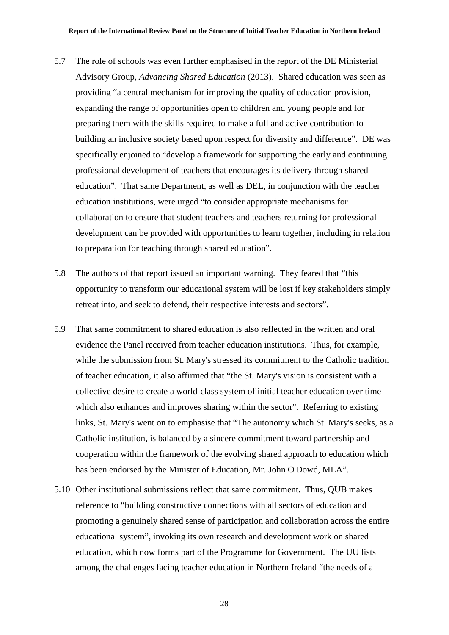- 5.7 The role of schools was even further emphasised in the report of the DE Ministerial Advisory Group, *Advancing Shared Education* (2013). Shared education was seen as providing "a central mechanism for improving the quality of education provision, expanding the range of opportunities open to children and young people and for preparing them with the skills required to make a full and active contribution to building an inclusive society based upon respect for diversity and difference". DE was specifically enjoined to "develop a framework for supporting the early and continuing professional development of teachers that encourages its delivery through shared education". That same Department, as well as DEL, in conjunction with the teacher education institutions, were urged "to consider appropriate mechanisms for collaboration to ensure that student teachers and teachers returning for professional development can be provided with opportunities to learn together, including in relation to preparation for teaching through shared education".
- 5.8 The authors of that report issued an important warning. They feared that "this opportunity to transform our educational system will be lost if key stakeholders simply retreat into, and seek to defend, their respective interests and sectors".
- 5.9 That same commitment to shared education is also reflected in the written and oral evidence the Panel received from teacher education institutions. Thus, for example, while the submission from St. Mary's stressed its commitment to the Catholic tradition of teacher education, it also affirmed that "the St. Mary's vision is consistent with a collective desire to create a world-class system of initial teacher education over time which also enhances and improves sharing within the sector". Referring to existing links, St. Mary's went on to emphasise that "The autonomy which St. Mary's seeks, as a Catholic institution, is balanced by a sincere commitment toward partnership and cooperation within the framework of the evolving shared approach to education which has been endorsed by the Minister of Education, Mr. John O'Dowd, MLA".
- 5.10 Other institutional submissions reflect that same commitment. Thus, QUB makes reference to "building constructive connections with all sectors of education and promoting a genuinely shared sense of participation and collaboration across the entire educational system", invoking its own research and development work on shared education, which now forms part of the Programme for Government. The UU lists among the challenges facing teacher education in Northern Ireland "the needs of a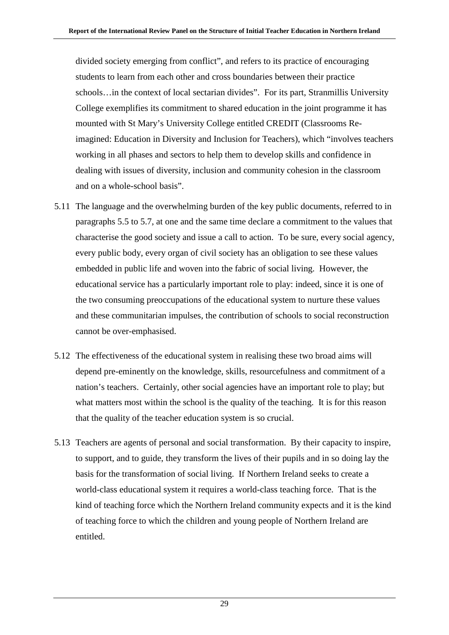divided society emerging from conflict", and refers to its practice of encouraging students to learn from each other and cross boundaries between their practice schools…in the context of local sectarian divides". For its part, Stranmillis University College exemplifies its commitment to shared education in the joint programme it has mounted with St Mary's University College entitled CREDIT (Classrooms Reimagined: Education in Diversity and Inclusion for Teachers), which "involves teachers working in all phases and sectors to help them to develop skills and confidence in dealing with issues of diversity, inclusion and community cohesion in the classroom and on a whole-school basis".

- 5.11 The language and the overwhelming burden of the key public documents, referred to in paragraphs 5.5 to 5.7, at one and the same time declare a commitment to the values that characterise the good society and issue a call to action. To be sure, every social agency, every public body, every organ of civil society has an obligation to see these values embedded in public life and woven into the fabric of social living. However, the educational service has a particularly important role to play: indeed, since it is one of the two consuming preoccupations of the educational system to nurture these values and these communitarian impulses, the contribution of schools to social reconstruction cannot be over-emphasised.
- 5.12 The effectiveness of the educational system in realising these two broad aims will depend pre-eminently on the knowledge, skills, resourcefulness and commitment of a nation's teachers. Certainly, other social agencies have an important role to play; but what matters most within the school is the quality of the teaching. It is for this reason that the quality of the teacher education system is so crucial.
- 5.13 Teachers are agents of personal and social transformation. By their capacity to inspire, to support, and to guide, they transform the lives of their pupils and in so doing lay the basis for the transformation of social living. If Northern Ireland seeks to create a world-class educational system it requires a world-class teaching force. That is the kind of teaching force which the Northern Ireland community expects and it is the kind of teaching force to which the children and young people of Northern Ireland are entitled.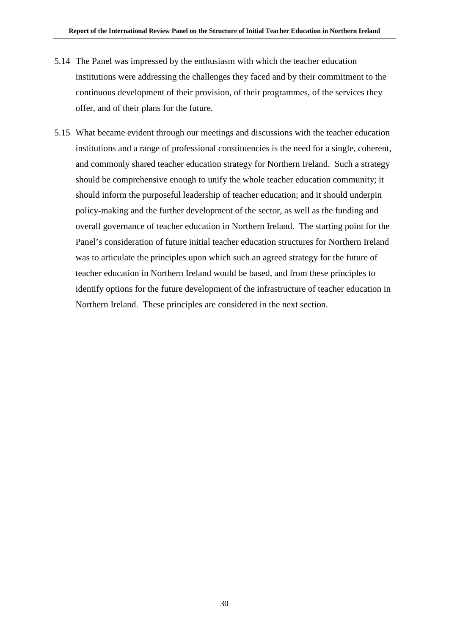- 5.14 The Panel was impressed by the enthusiasm with which the teacher education institutions were addressing the challenges they faced and by their commitment to the continuous development of their provision, of their programmes, of the services they offer, and of their plans for the future.
- 5.15 What became evident through our meetings and discussions with the teacher education institutions and a range of professional constituencies is the need for a single, coherent, and commonly shared teacher education strategy for Northern Ireland. Such a strategy should be comprehensive enough to unify the whole teacher education community; it should inform the purposeful leadership of teacher education; and it should underpin policy-making and the further development of the sector, as well as the funding and overall governance of teacher education in Northern Ireland. The starting point for the Panel's consideration of future initial teacher education structures for Northern Ireland was to articulate the principles upon which such an agreed strategy for the future of teacher education in Northern Ireland would be based, and from these principles to identify options for the future development of the infrastructure of teacher education in Northern Ireland. These principles are considered in the next section.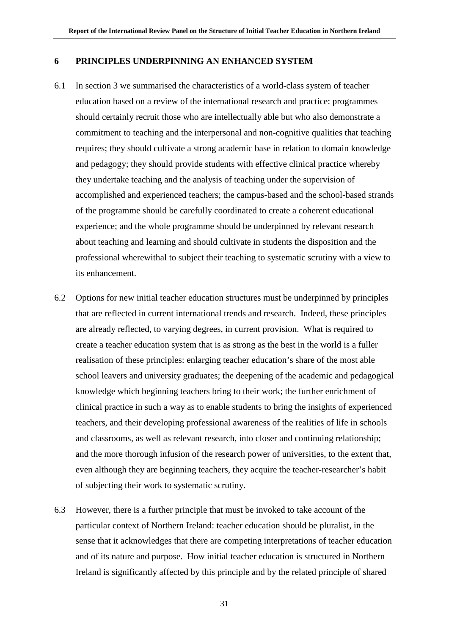### **6 PRINCIPLES UNDERPINNING AN ENHANCED SYSTEM**

- 6.1 In section 3 we summarised the characteristics of a world-class system of teacher education based on a review of the international research and practice: programmes should certainly recruit those who are intellectually able but who also demonstrate a commitment to teaching and the interpersonal and non-cognitive qualities that teaching requires; they should cultivate a strong academic base in relation to domain knowledge and pedagogy; they should provide students with effective clinical practice whereby they undertake teaching and the analysis of teaching under the supervision of accomplished and experienced teachers; the campus-based and the school-based strands of the programme should be carefully coordinated to create a coherent educational experience; and the whole programme should be underpinned by relevant research about teaching and learning and should cultivate in students the disposition and the professional wherewithal to subject their teaching to systematic scrutiny with a view to its enhancement.
- 6.2 Options for new initial teacher education structures must be underpinned by principles that are reflected in current international trends and research. Indeed, these principles are already reflected, to varying degrees, in current provision. What is required to create a teacher education system that is as strong as the best in the world is a fuller realisation of these principles: enlarging teacher education's share of the most able school leavers and university graduates; the deepening of the academic and pedagogical knowledge which beginning teachers bring to their work; the further enrichment of clinical practice in such a way as to enable students to bring the insights of experienced teachers, and their developing professional awareness of the realities of life in schools and classrooms, as well as relevant research, into closer and continuing relationship; and the more thorough infusion of the research power of universities, to the extent that, even although they are beginning teachers, they acquire the teacher-researcher's habit of subjecting their work to systematic scrutiny.
- 6.3 However, there is a further principle that must be invoked to take account of the particular context of Northern Ireland: teacher education should be pluralist, in the sense that it acknowledges that there are competing interpretations of teacher education and of its nature and purpose.How initial teacher education is structured in Northern Ireland is significantly affected by this principle and by the related principle of shared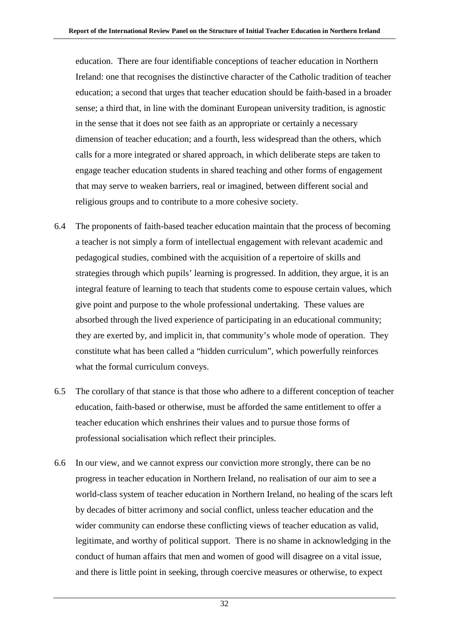education. There are four identifiable conceptions of teacher education in Northern Ireland: one that recognises the distinctive character of the Catholic tradition of teacher education; a second that urges that teacher education should be faith-based in a broader sense; a third that, in line with the dominant European university tradition, is agnostic in the sense that it does not see faith as an appropriate or certainly a necessary dimension of teacher education; and a fourth, less widespread than the others, which calls for a more integrated or shared approach, in which deliberate steps are taken to engage teacher education students in shared teaching and other forms of engagement that may serve to weaken barriers, real or imagined, between different social and religious groups and to contribute to a more cohesive society.

- 6.4 The proponents of faith-based teacher education maintain that the process of becoming a teacher is not simply a form of intellectual engagement with relevant academic and pedagogical studies, combined with the acquisition of a repertoire of skills and strategies through which pupils' learning is progressed. In addition, they argue, it is an integral feature of learning to teach that students come to espouse certain values, which give point and purpose to the whole professional undertaking. These values are absorbed through the lived experience of participating in an educational community; they are exerted by, and implicit in, that community's whole mode of operation. They constitute what has been called a "hidden curriculum", which powerfully reinforces what the formal curriculum conveys.
- 6.5 The corollary of that stance is that those who adhere to a different conception of teacher education, faith-based or otherwise, must be afforded the same entitlement to offer a teacher education which enshrines their values and to pursue those forms of professional socialisation which reflect their principles.
- 6.6 In our view, and we cannot express our conviction more strongly, there can be no progress in teacher education in Northern Ireland, no realisation of our aim to see a world-class system of teacher education in Northern Ireland, no healing of the scars left by decades of bitter acrimony and social conflict, unless teacher education and the wider community can endorse these conflicting views of teacher education as valid, legitimate, and worthy of political support. There is no shame in acknowledging in the conduct of human affairs that men and women of good will disagree on a vital issue, and there is little point in seeking, through coercive measures or otherwise, to expect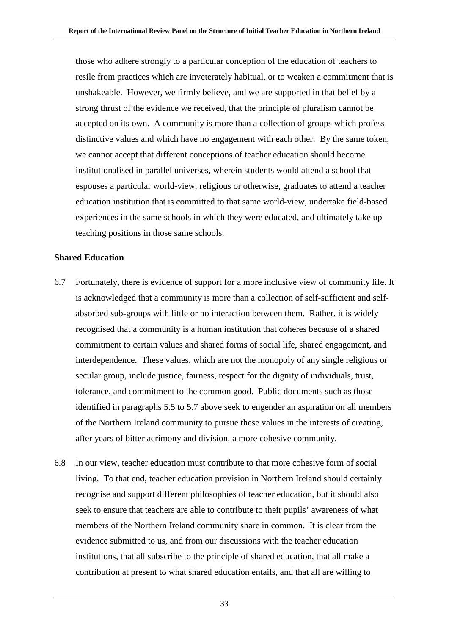those who adhere strongly to a particular conception of the education of teachers to resile from practices which are inveterately habitual, or to weaken a commitment that is unshakeable. However, we firmly believe, and we are supported in that belief by a strong thrust of the evidence we received, that the principle of pluralism cannot be accepted on its own. A community is more than a collection of groups which profess distinctive values and which have no engagement with each other. By the same token, we cannot accept that different conceptions of teacher education should become institutionalised in parallel universes, wherein students would attend a school that espouses a particular world-view, religious or otherwise, graduates to attend a teacher education institution that is committed to that same world-view, undertake field-based experiences in the same schools in which they were educated, and ultimately take up teaching positions in those same schools.

#### **Shared Education**

- 6.7 Fortunately, there is evidence of support for a more inclusive view of community life. It is acknowledged that a community is more than a collection of self-sufficient and selfabsorbed sub-groups with little or no interaction between them. Rather, it is widely recognised that a community is a human institution that coheres because of a shared commitment to certain values and shared forms of social life, shared engagement, and interdependence. These values, which are not the monopoly of any single religious or secular group, include justice, fairness, respect for the dignity of individuals, trust, tolerance, and commitment to the common good. Public documents such as those identified in paragraphs 5.5 to 5.7 above seek to engender an aspiration on all members of the Northern Ireland community to pursue these values in the interests of creating, after years of bitter acrimony and division, a more cohesive community.
- 6.8 In our view, teacher education must contribute to that more cohesive form of social living. To that end, teacher education provision in Northern Ireland should certainly recognise and support different philosophies of teacher education, but it should also seek to ensure that teachers are able to contribute to their pupils' awareness of what members of the Northern Ireland community share in common. It is clear from the evidence submitted to us, and from our discussions with the teacher education institutions, that all subscribe to the principle of shared education, that all make a contribution at present to what shared education entails, and that all are willing to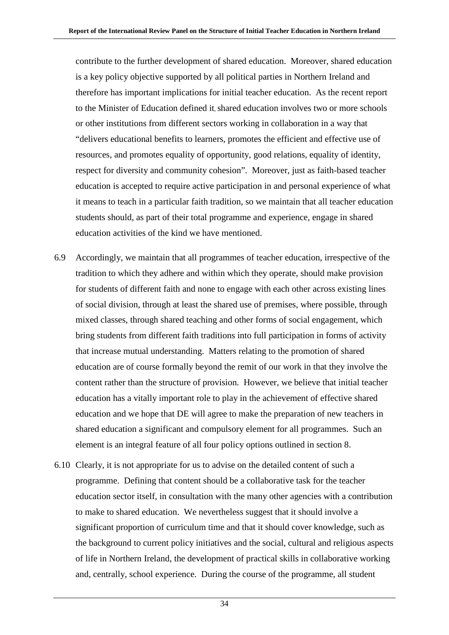contribute to the further development of shared education. Moreover, shared education is a key policy objective supported by all political parties in Northern Ireland and therefore has important implications for initial teacher education. As the recent report to the Minister of Education defined it, s hared education involves two or more schools or other institutions from different sectors working in collaboration in a way that "delivers educational benefits to learners, promotes the efficient and effective use of resources, and promotes equality of opportunity, good relations, equality of identity, respect for diversity and community cohesion". Moreover, just as faith-based teacher education is accepted to require active participation in and personal experience of what it means to teach in a particular faith tradition, so we maintain that all teacher education students should, as part of their total programme and experience, engage in shared education activities of the kind we have mentioned.

- 6.9 Accordingly, we maintain that all programmes of teacher education, irrespective of the tradition to which they adhere and within which they operate, should make provision for students of different faith and none to engage with each other across existing lines of social division, through at least the shared use of premises, where possible, through mixed classes, through shared teaching and other forms of social engagement, which bring students from different faith traditions into full participation in forms of activity that increase mutual understanding. Matters relating to the promotion of shared education are of course formally beyond the remit of our work in that they involve the content rather than the structure of provision. However, we believe that initial teacher education has a vitally important role to play in the achievement of effective shared education and we hope that DE will agree to make the preparation of new teachers in shared education a significant and compulsory element for all programmes. Such an element is an integral feature of all four policy options outlined in section 8.
- 6.10 Clearly, it is not appropriate for us to advise on the detailed content of such a programme. Defining that content should be a collaborative task for the teacher education sector itself, in consultation with the many other agencies with a contribution to make to shared education. We nevertheless suggest that it should involve a significant proportion of curriculum time and that it should cover knowledge, such as the background to current policy initiatives and the social, cultural and religious aspects of life in Northern Ireland, the development of practical skills in collaborative working and, centrally, school experience. During the course of the programme, all student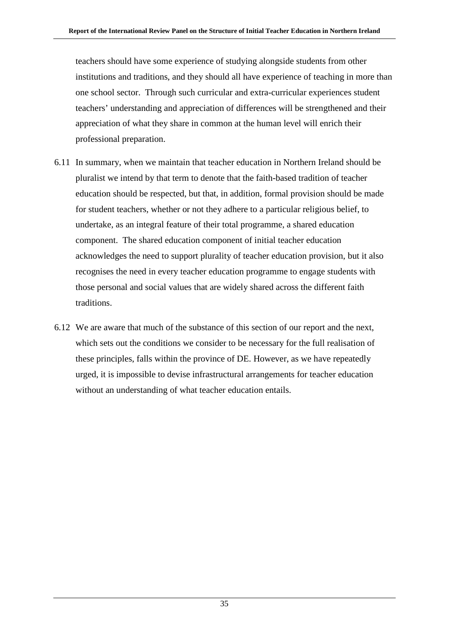teachers should have some experience of studying alongside students from other institutions and traditions, and they should all have experience of teaching in more than one school sector. Through such curricular and extra-curricular experiences student teachers' understanding and appreciation of differences will be strengthened and their appreciation of what they share in common at the human level will enrich their professional preparation.

- 6.11 In summary, when we maintain that teacher education in Northern Ireland should be pluralist we intend by that term to denote that the faith-based tradition of teacher education should be respected, but that, in addition, formal provision should be made for student teachers, whether or not they adhere to a particular religious belief, to undertake, as an integral feature of their total programme, a shared education component. The shared education component of initial teacher education acknowledges the need to support plurality of teacher education provision, but it also recognises the need in every teacher education programme to engage students with those personal and social values that are widely shared across the different faith traditions.
- 6.12 We are aware that much of the substance of this section of our report and the next, which sets out the conditions we consider to be necessary for the full realisation of these principles, falls within the province of DE. However, as we have repeatedly urged, it is impossible to devise infrastructural arrangements for teacher education without an understanding of what teacher education entails.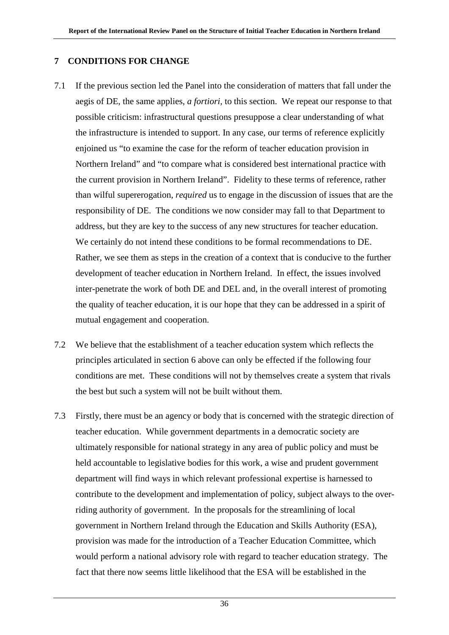# **7 CONDITIONS FOR CHANGE**

- 7.1 If the previous section led the Panel into the consideration of matters that fall under the aegis of DE, the same applies, *a fortiori,* to this section. We repeat our response to that possible criticism: infrastructural questions presuppose a clear understanding of what the infrastructure is intended to support. In any case, our terms of reference explicitly enjoined us "to examine the case for the reform of teacher education provision in Northern Ireland" and "to compare what is considered best international practice with the current provision in Northern Ireland". Fidelity to these terms of reference, rather than wilful supererogation, *required* us to engage in the discussion of issues that are the responsibility of DE. The conditions we now consider may fall to that Department to address, but they are key to the success of any new structures for teacher education. We certainly do not intend these conditions to be formal recommendations to DE. Rather, we see them as steps in the creation of a context that is conducive to the further development of teacher education in Northern Ireland. In effect, the issues involved inter-penetrate the work of both DE and DEL and, in the overall interest of promoting the quality of teacher education, it is our hope that they can be addressed in a spirit of mutual engagement and cooperation.
- 7.2 We believe that the establishment of a teacher education system which reflects the principles articulated in section 6 above can only be effected if the following four conditions are met. These conditions will not by themselves create a system that rivals the best but such a system will not be built without them.
- 7.3 Firstly, there must be an agency or body that is concerned with the strategic direction of teacher education. While government departments in a democratic society are ultimately responsible for national strategy in any area of public policy and must be held accountable to legislative bodies for this work, a wise and prudent government department will find ways in which relevant professional expertise is harnessed to contribute to the development and implementation of policy, subject always to the overriding authority of government. In the proposals for the streamlining of local government in Northern Ireland through the Education and Skills Authority (ESA), provision was made for the introduction of a Teacher Education Committee, which would perform a national advisory role with regard to teacher education strategy. The fact that there now seems little likelihood that the ESA will be established in the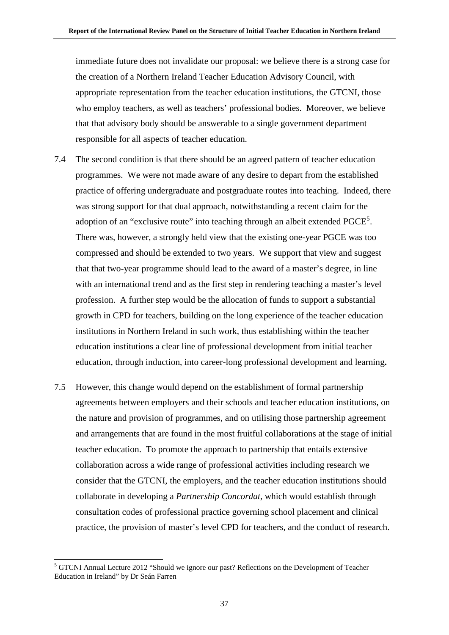immediate future does not invalidate our proposal: we believe there is a strong case for the creation of a Northern Ireland Teacher Education Advisory Council, with appropriate representation from the teacher education institutions, the GTCNI, those who employ teachers, as well as teachers' professional bodies. Moreover, we believe that that advisory body should be answerable to a single government department responsible for all aspects of teacher education.

- 7.4 The second condition is that there should be an agreed pattern of teacher education programmes. We were not made aware of any desire to depart from the established practice of offering undergraduate and postgraduate routes into teaching. Indeed, there was strong support for that dual approach, notwithstanding a recent claim for the adoption of an "exclusive route" into teaching through an albeit extended  $PGCE<sup>5</sup>$  $PGCE<sup>5</sup>$  $PGCE<sup>5</sup>$ . There was, however, a strongly held view that the existing one-year PGCE was too compressed and should be extended to two years. We support that view and suggest that that two-year programme should lead to the award of a master's degree, in line with an international trend and as the first step in rendering teaching a master's level profession. A further step would be the allocation of funds to support a substantial growth in CPD for teachers, building on the long experience of the teacher education institutions in Northern Ireland in such work, thus establishing within the teacher education institutions a clear line of professional development from initial teacher education, through induction, into career-long professional development and learning**.**
- 7.5 However, this change would depend on the establishment of formal partnership agreements between employers and their schools and teacher education institutions, on the nature and provision of programmes, and on utilising those partnership agreement and arrangements that are found in the most fruitful collaborations at the stage of initial teacher education. To promote the approach to partnership that entails extensive collaboration across a wide range of professional activities including research we consider that the GTCNI, the employers, and the teacher education institutions should collaborate in developing a *Partnership Concordat,* which would establish through consultation codes of professional practice governing school placement and clinical practice, the provision of master's level CPD for teachers, and the conduct of research.

<span id="page-43-0"></span> <sup>5</sup> GTCNI Annual Lecture 2012 "Should we ignore our past? Reflections on the Development of Teacher Education in Ireland" by Dr Seán Farren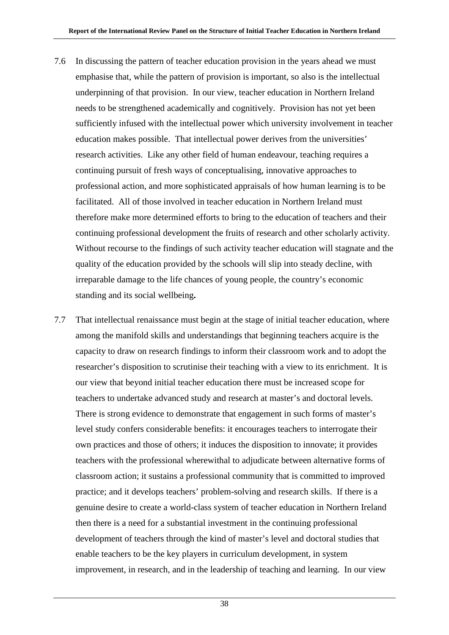- 7.6 In discussing the pattern of teacher education provision in the years ahead we must emphasise that, while the pattern of provision is important, so also is the intellectual underpinning of that provision. In our view, teacher education in Northern Ireland needs to be strengthened academically and cognitively. Provision has not yet been sufficiently infused with the intellectual power which university involvement in teacher education makes possible. That intellectual power derives from the universities' research activities. Like any other field of human endeavour, teaching requires a continuing pursuit of fresh ways of conceptualising, innovative approaches to professional action, and more sophisticated appraisals of how human learning is to be facilitated. All of those involved in teacher education in Northern Ireland must therefore make more determined efforts to bring to the education of teachers and their continuing professional development the fruits of research and other scholarly activity. Without recourse to the findings of such activity teacher education will stagnate and the quality of the education provided by the schools will slip into steady decline, with irreparable damage to the life chances of young people, the country's economic standing and its social wellbeing**.**
- 7.7 That intellectual renaissance must begin at the stage of initial teacher education, where among the manifold skills and understandings that beginning teachers acquire is the capacity to draw on research findings to inform their classroom work and to adopt the researcher's disposition to scrutinise their teaching with a view to its enrichment. It is our view that beyond initial teacher education there must be increased scope for teachers to undertake advanced study and research at master's and doctoral levels. There is strong evidence to demonstrate that engagement in such forms of master's level study confers considerable benefits: it encourages teachers to interrogate their own practices and those of others; it induces the disposition to innovate; it provides teachers with the professional wherewithal to adjudicate between alternative forms of classroom action; it sustains a professional community that is committed to improved practice; and it develops teachers' problem-solving and research skills. If there is a genuine desire to create a world-class system of teacher education in Northern Ireland then there is a need for a substantial investment in the continuing professional development of teachers through the kind of master's level and doctoral studies that enable teachers to be the key players in curriculum development, in system improvement, in research, and in the leadership of teaching and learning. In our view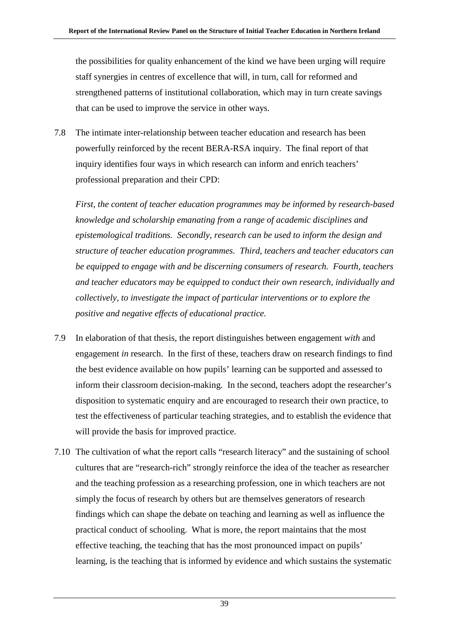the possibilities for quality enhancement of the kind we have been urging will require staff synergies in centres of excellence that will, in turn, call for reformed and strengthened patterns of institutional collaboration, which may in turn create savings that can be used to improve the service in other ways.

7.8 The intimate inter-relationship between teacher education and research has been powerfully reinforced by the recent BERA-RSA inquiry. The final report of that inquiry identifies four ways in which research can inform and enrich teachers' professional preparation and their CPD:

*First, the content of teacher education programmes may be informed by research-based knowledge and scholarship emanating from a range of academic disciplines and epistemological traditions. Secondly, research can be used to inform the design and structure of teacher education programmes. Third, teachers and teacher educators can be equipped to engage with and be discerning consumers of research. Fourth, teachers and teacher educators may be equipped to conduct their own research, individually and collectively, to investigate the impact of particular interventions or to explore the positive and negative effects of educational practice.*

- 7.9 In elaboration of that thesis, the report distinguishes between engagement *with* and engagement *in* research. In the first of these, teachers draw on research findings to find the best evidence available on how pupils' learning can be supported and assessed to inform their classroom decision-making. In the second, teachers adopt the researcher's disposition to systematic enquiry and are encouraged to research their own practice, to test the effectiveness of particular teaching strategies, and to establish the evidence that will provide the basis for improved practice.
- 7.10 The cultivation of what the report calls "research literacy" and the sustaining of school cultures that are "research-rich" strongly reinforce the idea of the teacher as researcher and the teaching profession as a researching profession, one in which teachers are not simply the focus of research by others but are themselves generators of research findings which can shape the debate on teaching and learning as well as influence the practical conduct of schooling. What is more, the report maintains that the most effective teaching, the teaching that has the most pronounced impact on pupils' learning, is the teaching that is informed by evidence and which sustains the systematic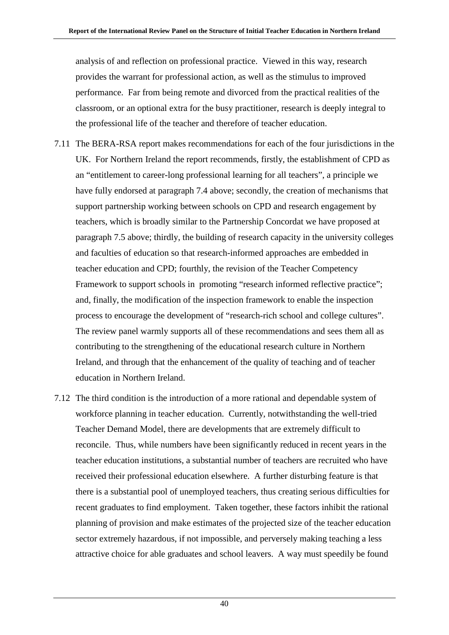analysis of and reflection on professional practice. Viewed in this way, research provides the warrant for professional action, as well as the stimulus to improved performance. Far from being remote and divorced from the practical realities of the classroom, or an optional extra for the busy practitioner, research is deeply integral to the professional life of the teacher and therefore of teacher education.

- 7.11 The BERA-RSA report makes recommendations for each of the four jurisdictions in the UK. For Northern Ireland the report recommends, firstly, the establishment of CPD as an "entitlement to career-long professional learning for all teachers", a principle we have fully endorsed at paragraph 7.4 above; secondly, the creation of mechanisms that support partnership working between schools on CPD and research engagement by teachers, which is broadly similar to the Partnership Concordat we have proposed at paragraph 7.5 above; thirdly, the building of research capacity in the university colleges and faculties of education so that research-informed approaches are embedded in teacher education and CPD; fourthly, the revision of the Teacher Competency Framework to support schools in promoting "research informed reflective practice"; and, finally, the modification of the inspection framework to enable the inspection process to encourage the development of "research-rich school and college cultures". The review panel warmly supports all of these recommendations and sees them all as contributing to the strengthening of the educational research culture in Northern Ireland, and through that the enhancement of the quality of teaching and of teacher education in Northern Ireland.
- 7.12 The third condition is the introduction of a more rational and dependable system of workforce planning in teacher education. Currently, notwithstanding the well-tried Teacher Demand Model, there are developments that are extremely difficult to reconcile. Thus, while numbers have been significantly reduced in recent years in the teacher education institutions, a substantial number of teachers are recruited who have received their professional education elsewhere. A further disturbing feature is that there is a substantial pool of unemployed teachers, thus creating serious difficulties for recent graduates to find employment. Taken together, these factors inhibit the rational planning of provision and make estimates of the projected size of the teacher education sector extremely hazardous, if not impossible, and perversely making teaching a less attractive choice for able graduates and school leavers. A way must speedily be found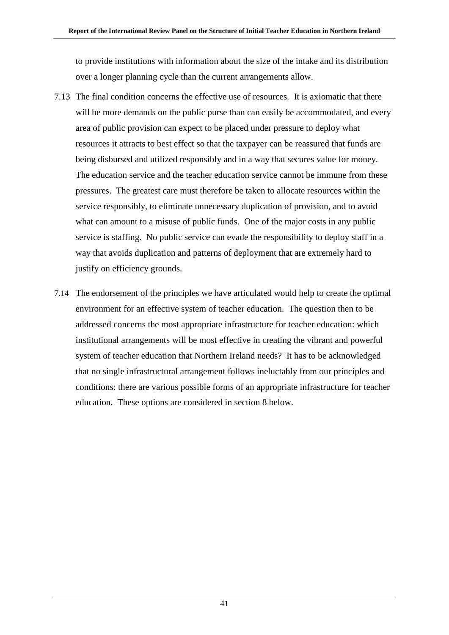to provide institutions with information about the size of the intake and its distribution over a longer planning cycle than the current arrangements allow.

- 7.13 The final condition concerns the effective use of resources. It is axiomatic that there will be more demands on the public purse than can easily be accommodated, and every area of public provision can expect to be placed under pressure to deploy what resources it attracts to best effect so that the taxpayer can be reassured that funds are being disbursed and utilized responsibly and in a way that secures value for money. The education service and the teacher education service cannot be immune from these pressures. The greatest care must therefore be taken to allocate resources within the service responsibly, to eliminate unnecessary duplication of provision, and to avoid what can amount to a misuse of public funds. One of the major costs in any public service is staffing. No public service can evade the responsibility to deploy staff in a way that avoids duplication and patterns of deployment that are extremely hard to justify on efficiency grounds.
- 7.14 The endorsement of the principles we have articulated would help to create the optimal environment for an effective system of teacher education. The question then to be addressed concerns the most appropriate infrastructure for teacher education: which institutional arrangements will be most effective in creating the vibrant and powerful system of teacher education that Northern Ireland needs? It has to be acknowledged that no single infrastructural arrangement follows ineluctably from our principles and conditions: there are various possible forms of an appropriate infrastructure for teacher education. These options are considered in section 8 below.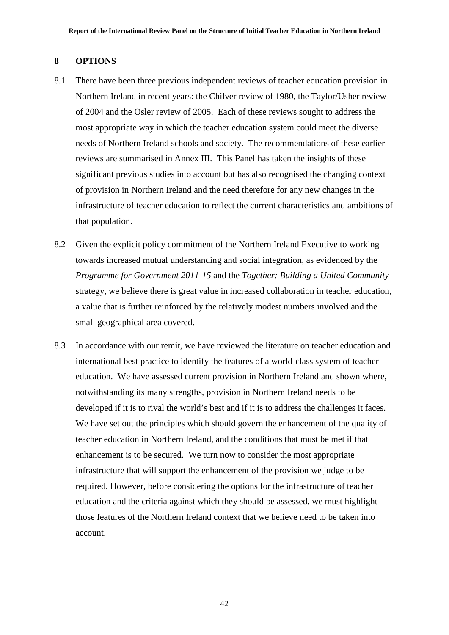# **8 OPTIONS**

- 8.1 There have been three previous independent reviews of teacher education provision in Northern Ireland in recent years: the Chilver review of 1980, the Taylor/Usher review of 2004 and the Osler review of 2005. Each of these reviews sought to address the most appropriate way in which the teacher education system could meet the diverse needs of Northern Ireland schools and society. The recommendations of these earlier reviews are summarised in Annex III. This Panel has taken the insights of these significant previous studies into account but has also recognised the changing context of provision in Northern Ireland and the need therefore for any new changes in the infrastructure of teacher education to reflect the current characteristics and ambitions of that population.
- 8.2 Given the explicit policy commitment of the Northern Ireland Executive to working towards increased mutual understanding and social integration, as evidenced by the *Programme for Government 2011-15* and the *Together: Building a United Community*  strategy, we believe there is great value in increased collaboration in teacher education, a value that is further reinforced by the relatively modest numbers involved and the small geographical area covered.
- 8.3 In accordance with our remit, we have reviewed the literature on teacher education and international best practice to identify the features of a world-class system of teacher education. We have assessed current provision in Northern Ireland and shown where, notwithstanding its many strengths, provision in Northern Ireland needs to be developed if it is to rival the world's best and if it is to address the challenges it faces. We have set out the principles which should govern the enhancement of the quality of teacher education in Northern Ireland, and the conditions that must be met if that enhancement is to be secured. We turn now to consider the most appropriate infrastructure that will support the enhancement of the provision we judge to be required. However, before considering the options for the infrastructure of teacher education and the criteria against which they should be assessed, we must highlight those features of the Northern Ireland context that we believe need to be taken into account.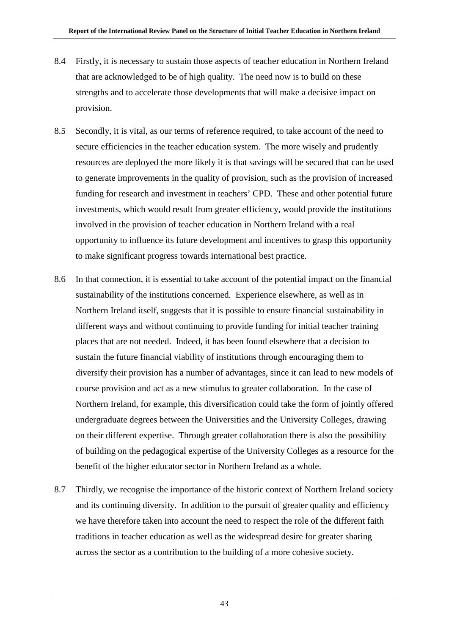- 8.4 Firstly, it is necessary to sustain those aspects of teacher education in Northern Ireland that are acknowledged to be of high quality. The need now is to build on these strengths and to accelerate those developments that will make a decisive impact on provision.
- 8.5 Secondly, it is vital, as our terms of reference required, to take account of the need to secure efficiencies in the teacher education system. The more wisely and prudently resources are deployed the more likely it is that savings will be secured that can be used to generate improvements in the quality of provision, such as the provision of increased funding for research and investment in teachers' CPD. These and other potential future investments, which would result from greater efficiency, would provide the institutions involved in the provision of teacher education in Northern Ireland with a real opportunity to influence its future development and incentives to grasp this opportunity to make significant progress towards international best practice.
- 8.6 In that connection, it is essential to take account of the potential impact on the financial sustainability of the institutions concerned. Experience elsewhere, as well as in Northern Ireland itself, suggests that it is possible to ensure financial sustainability in different ways and without continuing to provide funding for initial teacher training places that are not needed. Indeed, it has been found elsewhere that a decision to sustain the future financial viability of institutions through encouraging them to diversify their provision has a number of advantages, since it can lead to new models of course provision and act as a new stimulus to greater collaboration. In the case of Northern Ireland, for example, this diversification could take the form of jointly offered undergraduate degrees between the Universities and the University Colleges, drawing on their different expertise. Through greater collaboration there is also the possibility of building on the pedagogical expertise of the University Colleges as a resource for the benefit of the higher educator sector in Northern Ireland as a whole.
- 8.7 Thirdly, we recognise the importance of the historic context of Northern Ireland society and its continuing diversity. In addition to the pursuit of greater quality and efficiency we have therefore taken into account the need to respect the role of the different faith traditions in teacher education as well as the widespread desire for greater sharing across the sector as a contribution to the building of a more cohesive society.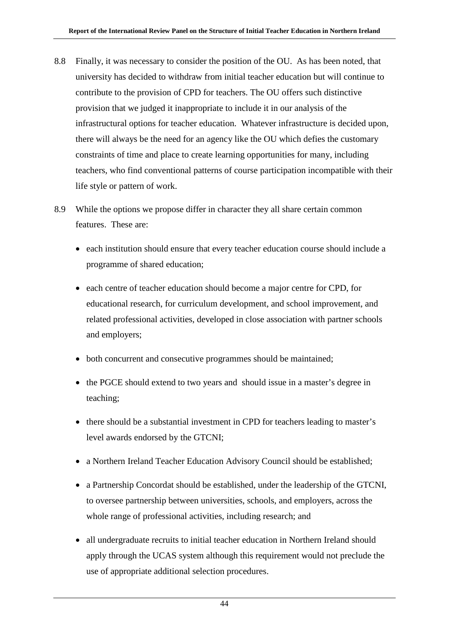- 8.8 Finally, it was necessary to consider the position of the OU. As has been noted, that university has decided to withdraw from initial teacher education but will continue to contribute to the provision of CPD for teachers. The OU offers such distinctive provision that we judged it inappropriate to include it in our analysis of the infrastructural options for teacher education. Whatever infrastructure is decided upon, there will always be the need for an agency like the OU which defies the customary constraints of time and place to create learning opportunities for many, including teachers, who find conventional patterns of course participation incompatible with their life style or pattern of work.
- 8.9 While the options we propose differ in character they all share certain common features. These are:
	- each institution should ensure that every teacher education course should include a programme of shared education;
	- each centre of teacher education should become a major centre for CPD, for educational research, for curriculum development, and school improvement, and related professional activities, developed in close association with partner schools and employers;
	- both concurrent and consecutive programmes should be maintained;
	- the PGCE should extend to two years and should issue in a master's degree in teaching;
	- there should be a substantial investment in CPD for teachers leading to master's level awards endorsed by the GTCNI;
	- a Northern Ireland Teacher Education Advisory Council should be established;
	- a Partnership Concordat should be established, under the leadership of the GTCNI, to oversee partnership between universities, schools, and employers, across the whole range of professional activities, including research; and
	- all undergraduate recruits to initial teacher education in Northern Ireland should apply through the UCAS system although this requirement would not preclude the use of appropriate additional selection procedures.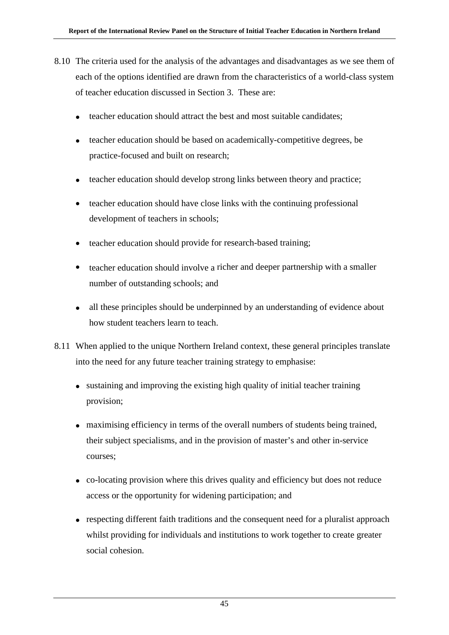- 8.10 The criteria used for the analysis of the advantages and disadvantages as we see them of each of the options identified are drawn from the characteristics of a world-class system of teacher education discussed in Section 3. These are:
	- teacher education should attract the best and most suitable candidates;
	- teacher education should be based on academically-competitive degrees, be practice-focused and built on research;
	- teacher education should develop strong links between theory and practice;
	- teacher education should have close links with the continuing professional development of teachers in schools;
	- teacher education should provide for research-based training;
	- teacher education should involve a richer and deeper partnership with a smaller number of outstanding schools; and
	- all these principles should be underpinned by an understanding of evidence about how student teachers learn to teach.
- 8.11 When applied to the unique Northern Ireland context, these general principles translate into the need for any future teacher training strategy to emphasise:
	- sustaining and improving the existing high quality of initial teacher training provision;
	- maximising efficiency in terms of the overall numbers of students being trained, their subject specialisms, and in the provision of master's and other in-service courses;
	- co-locating provision where this drives quality and efficiency but does not reduce access or the opportunity for widening participation; and
	- respecting different faith traditions and the consequent need for a pluralist approach whilst providing for individuals and institutions to work together to create greater social cohesion.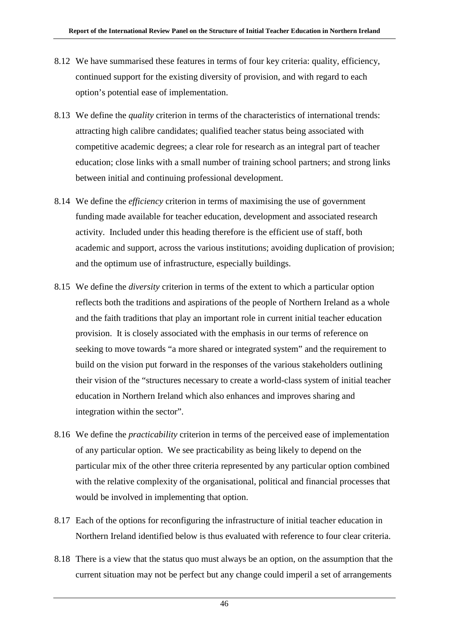- 8.12 We have summarised these features in terms of four key criteria: quality, efficiency, continued support for the existing diversity of provision, and with regard to each option's potential ease of implementation.
- 8.13 We define the *quality* criterion in terms of the characteristics of international trends: attracting high calibre candidates; qualified teacher status being associated with competitive academic degrees; a clear role for research as an integral part of teacher education; close links with a small number of training school partners; and strong links between initial and continuing professional development.
- 8.14 We define the *efficiency* criterion in terms of maximising the use of government funding made available for teacher education, development and associated research activity. Included under this heading therefore is the efficient use of staff, both academic and support, across the various institutions; avoiding duplication of provision; and the optimum use of infrastructure, especially buildings.
- 8.15 We define the *diversity* criterion in terms of the extent to which a particular option reflects both the traditions and aspirations of the people of Northern Ireland as a whole and the faith traditions that play an important role in current initial teacher education provision. It is closely associated with the emphasis in our terms of reference on seeking to move towards "a more shared or integrated system" and the requirement to build on the vision put forward in the responses of the various stakeholders outlining their vision of the "structures necessary to create a world-class system of initial teacher education in Northern Ireland which also enhances and improves sharing and integration within the sector".
- 8.16 We define the *practicability* criterion in terms of the perceived ease of implementation of any particular option. We see practicability as being likely to depend on the particular mix of the other three criteria represented by any particular option combined with the relative complexity of the organisational, political and financial processes that would be involved in implementing that option.
- 8.17 Each of the options for reconfiguring the infrastructure of initial teacher education in Northern Ireland identified below is thus evaluated with reference to four clear criteria.
- 8.18 There is a view that the status quo must always be an option, on the assumption that the current situation may not be perfect but any change could imperil a set of arrangements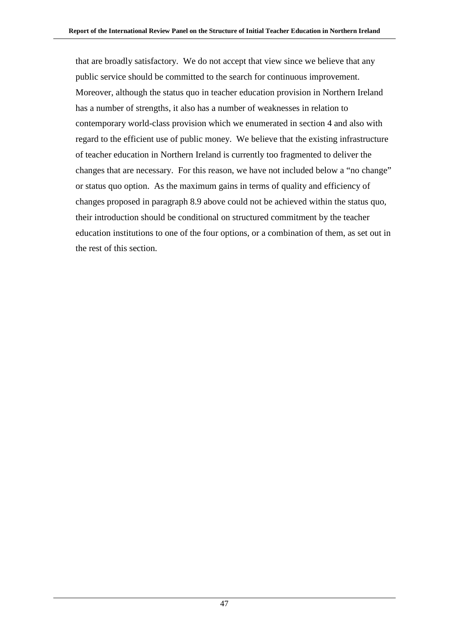that are broadly satisfactory. We do not accept that view since we believe that any public service should be committed to the search for continuous improvement. Moreover, although the status quo in teacher education provision in Northern Ireland has a number of strengths, it also has a number of weaknesses in relation to contemporary world-class provision which we enumerated in section 4 and also with regard to the efficient use of public money. We believe that the existing infrastructure of teacher education in Northern Ireland is currently too fragmented to deliver the changes that are necessary. For this reason, we have not included below a "no change" or status quo option. As the maximum gains in terms of quality and efficiency of changes proposed in paragraph 8.9 above could not be achieved within the status quo, their introduction should be conditional on structured commitment by the teacher education institutions to one of the four options, or a combination of them, as set out in the rest of this section.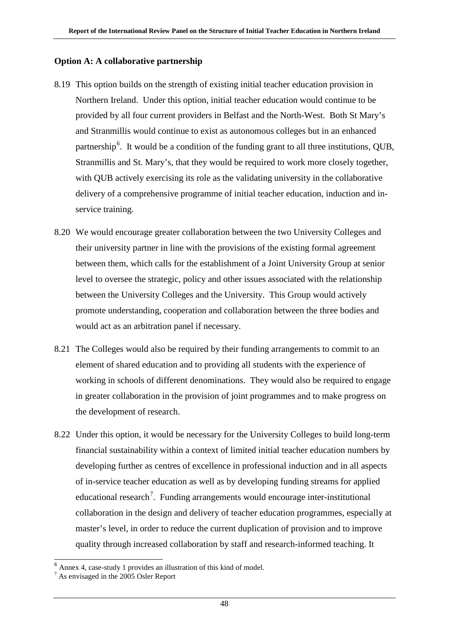### **Option A: A collaborative partnership**

- 8.19 This option builds on the strength of existing initial teacher education provision in Northern Ireland. Under this option, initial teacher education would continue to be provided by all four current providers in Belfast and the North-West. Both St Mary's and Stranmillis would continue to exist as autonomous colleges but in an enhanced partnership<sup>[6](#page-54-0)</sup>. It would be a condition of the funding grant to all three institutions, QUB, Stranmillis and St. Mary's, that they would be required to work more closely together, with QUB actively exercising its role as the validating university in the collaborative delivery of a comprehensive programme of initial teacher education, induction and inservice training.
- 8.20 We would encourage greater collaboration between the two University Colleges and their university partner in line with the provisions of the existing formal agreement between them, which calls for the establishment of a Joint University Group at senior level to oversee the strategic, policy and other issues associated with the relationship between the University Colleges and the University. This Group would actively promote understanding, cooperation and collaboration between the three bodies and would act as an arbitration panel if necessary.
- 8.21 The Colleges would also be required by their funding arrangements to commit to an element of shared education and to providing all students with the experience of working in schools of different denominations. They would also be required to engage in greater collaboration in the provision of joint programmes and to make progress on the development of research.
- 8.22 Under this option, it would be necessary for the University Colleges to build long-term financial sustainability within a context of limited initial teacher education numbers by developing further as centres of excellence in professional induction and in all aspects of in-service teacher education as well as by developing funding streams for applied educational research<sup>[7](#page-54-1)</sup>. Funding arrangements would encourage inter-institutional collaboration in the design and delivery of teacher education programmes, especially at master's level, in order to reduce the current duplication of provision and to improve quality through increased collaboration by staff and research-informed teaching. It

<span id="page-54-0"></span><sup>6</sup> Annex 4, case-study 1 provides an illustration of this kind of model.

<span id="page-54-1"></span><sup>7</sup> As envisaged in the 2005 Osler Report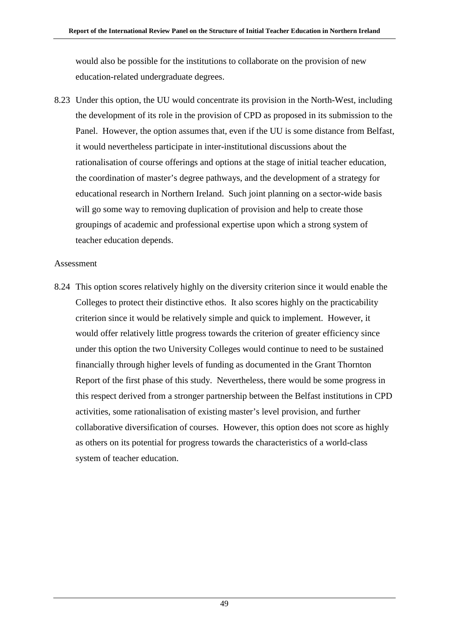would also be possible for the institutions to collaborate on the provision of new education-related undergraduate degrees.

8.23 Under this option, the UU would concentrate its provision in the North-West, including the development of its role in the provision of CPD as proposed in its submission to the Panel. However, the option assumes that, even if the UU is some distance from Belfast, it would nevertheless participate in inter-institutional discussions about the rationalisation of course offerings and options at the stage of initial teacher education, the coordination of master's degree pathways, and the development of a strategy for educational research in Northern Ireland. Such joint planning on a sector-wide basis will go some way to removing duplication of provision and help to create those groupings of academic and professional expertise upon which a strong system of teacher education depends.

#### Assessment

8.24 This option scores relatively highly on the diversity criterion since it would enable the Colleges to protect their distinctive ethos. It also scores highly on the practicability criterion since it would be relatively simple and quick to implement. However, it would offer relatively little progress towards the criterion of greater efficiency since under this option the two University Colleges would continue to need to be sustained financially through higher levels of funding as documented in the Grant Thornton Report of the first phase of this study. Nevertheless, there would be some progress in this respect derived from a stronger partnership between the Belfast institutions in CPD activities, some rationalisation of existing master's level provision, and further collaborative diversification of courses. However, this option does not score as highly as others on its potential for progress towards the characteristics of a world-class system of teacher education.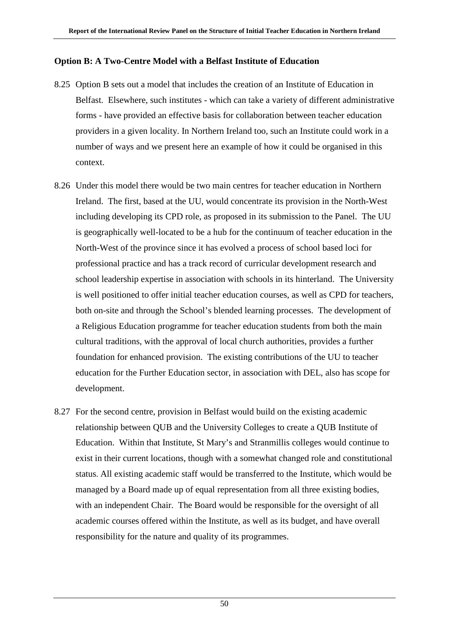### **Option B: A Two-Centre Model with a Belfast Institute of Education**

- 8.25 Option B sets out a model that includes the creation of an Institute of Education in Belfast. Elsewhere, such institutes - which can take a variety of different administrative forms - have provided an effective basis for collaboration between teacher education providers in a given locality. In Northern Ireland too, such an Institute could work in a number of ways and we present here an example of how it could be organised in this context.
- 8.26 Under this model there would be two main centres for teacher education in Northern Ireland. The first, based at the UU, would concentrate its provision in the North-West including developing its CPD role, as proposed in its submission to the Panel. The UU is geographically well-located to be a hub for the continuum of teacher education in the North-West of the province since it has evolved a process of school based loci for professional practice and has a track record of curricular development research and school leadership expertise in association with schools in its hinterland. The University is well positioned to offer initial teacher education courses, as well as CPD for teachers, both on-site and through the School's blended learning processes. The development of a Religious Education programme for teacher education students from both the main cultural traditions, with the approval of local church authorities, provides a further foundation for enhanced provision. The existing contributions of the UU to teacher education for the Further Education sector, in association with DEL, also has scope for development.
- 8.27 For the second centre, provision in Belfast would build on the existing academic relationship between QUB and the University Colleges to create a QUB Institute of Education. Within that Institute, St Mary's and Stranmillis colleges would continue to exist in their current locations, though with a somewhat changed role and constitutional status. All existing academic staff would be transferred to the Institute, which would be managed by a Board made up of equal representation from all three existing bodies, with an independent Chair. The Board would be responsible for the oversight of all academic courses offered within the Institute, as well as its budget, and have overall responsibility for the nature and quality of its programmes.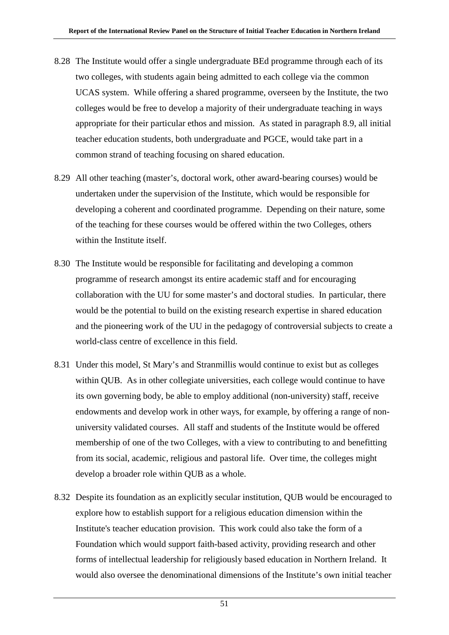- 8.28 The Institute would offer a single undergraduate BEd programme through each of its two colleges, with students again being admitted to each college via the common UCAS system. While offering a shared programme, overseen by the Institute, the two colleges would be free to develop a majority of their undergraduate teaching in ways appropriate for their particular ethos and mission. As stated in paragraph 8.9, all initial teacher education students, both undergraduate and PGCE, would take part in a common strand of teaching focusing on shared education.
- 8.29 All other teaching (master's, doctoral work, other award-bearing courses) would be undertaken under the supervision of the Institute, which would be responsible for developing a coherent and coordinated programme. Depending on their nature, some of the teaching for these courses would be offered within the two Colleges, others within the Institute itself.
- 8.30 The Institute would be responsible for facilitating and developing a common programme of research amongst its entire academic staff and for encouraging collaboration with the UU for some master's and doctoral studies. In particular, there would be the potential to build on the existing research expertise in shared education and the pioneering work of the UU in the pedagogy of controversial subjects to create a world-class centre of excellence in this field.
- 8.31 Under this model, St Mary's and Stranmillis would continue to exist but as colleges within QUB. As in other collegiate universities, each college would continue to have its own governing body, be able to employ additional (non-university) staff, receive endowments and develop work in other ways, for example, by offering a range of nonuniversity validated courses. All staff and students of the Institute would be offered membership of one of the two Colleges, with a view to contributing to and benefitting from its social, academic, religious and pastoral life. Over time, the colleges might develop a broader role within QUB as a whole.
- 8.32 Despite its foundation as an explicitly secular institution, QUB would be encouraged to explore how to establish support for a religious education dimension within the Institute's teacher education provision. This work could also take the form of a Foundation which would support faith-based activity, providing research and other forms of intellectual leadership for religiously based education in Northern Ireland. It would also oversee the denominational dimensions of the Institute's own initial teacher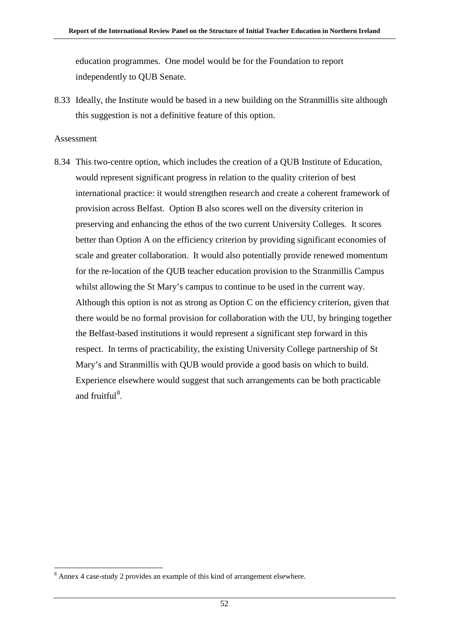education programmes. One model would be for the Foundation to report independently to QUB Senate.

8.33 Ideally, the Institute would be based in a new building on the Stranmillis site although this suggestion is not a definitive feature of this option.

#### Assessment

8.34 This two-centre option, which includes the creation of a QUB Institute of Education, would represent significant progress in relation to the quality criterion of best international practice: it would strengthen research and create a coherent framework of provision across Belfast. Option B also scores well on the diversity criterion in preserving and enhancing the ethos of the two current University Colleges. It scores better than Option A on the efficiency criterion by providing significant economies of scale and greater collaboration. It would also potentially provide renewed momentum for the re-location of the QUB teacher education provision to the Stranmillis Campus whilst allowing the St Mary's campus to continue to be used in the current way. Although this option is not as strong as Option C on the efficiency criterion, given that there would be no formal provision for collaboration with the UU, by bringing together the Belfast-based institutions it would represent a significant step forward in this respect. In terms of practicability, the existing University College partnership of St Mary's and Stranmillis with QUB would provide a good basis on which to build. Experience elsewhere would suggest that such arrangements can be both practicable and fruitful<sup>[8](#page-58-0)</sup>.

<span id="page-58-0"></span> <sup>8</sup> Annex 4 case-study 2 provides an example of this kind of arrangement elsewhere.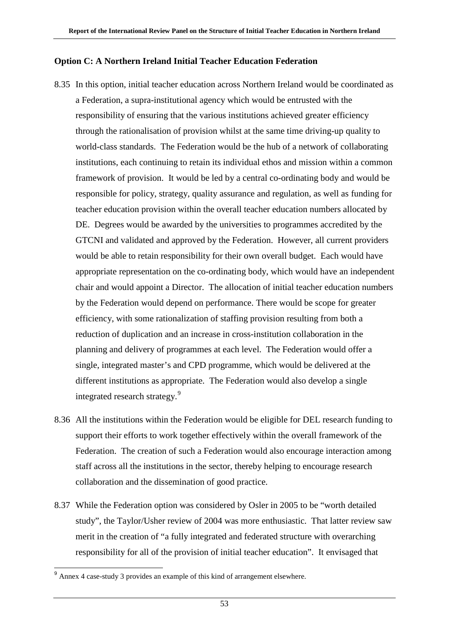# **Option C: A Northern Ireland Initial Teacher Education Federation**

- 8.35 In this option, initial teacher education across Northern Ireland would be coordinated as a Federation, a supra-institutional agency which would be entrusted with the responsibility of ensuring that the various institutions achieved greater efficiency through the rationalisation of provision whilst at the same time driving-up quality to world-class standards. The Federation would be the hub of a network of collaborating institutions, each continuing to retain its individual ethos and mission within a common framework of provision. It would be led by a central co-ordinating body and would be responsible for policy, strategy, quality assurance and regulation, as well as funding for teacher education provision within the overall teacher education numbers allocated by DE. Degrees would be awarded by the universities to programmes accredited by the GTCNI and validated and approved by the Federation. However, all current providers would be able to retain responsibility for their own overall budget. Each would have appropriate representation on the co-ordinating body, which would have an independent chair and would appoint a Director. The allocation of initial teacher education numbers by the Federation would depend on performance. There would be scope for greater efficiency, with some rationalization of staffing provision resulting from both a reduction of duplication and an increase in cross-institution collaboration in the planning and delivery of programmes at each level. The Federation would offer a single, integrated master's and CPD programme, which would be delivered at the different institutions as appropriate. The Federation would also develop a single integrated research strategy.<sup>[9](#page-59-0)</sup>
- 8.36 All the institutions within the Federation would be eligible for DEL research funding to support their efforts to work together effectively within the overall framework of the Federation. The creation of such a Federation would also encourage interaction among staff across all the institutions in the sector, thereby helping to encourage research collaboration and the dissemination of good practice.
- 8.37 While the Federation option was considered by Osler in 2005 to be "worth detailed study", the Taylor/Usher review of 2004 was more enthusiastic. That latter review saw merit in the creation of "a fully integrated and federated structure with overarching responsibility for all of the provision of initial teacher education". It envisaged that

<span id="page-59-0"></span><sup>9</sup> Annex 4 case-study 3 provides an example of this kind of arrangement elsewhere.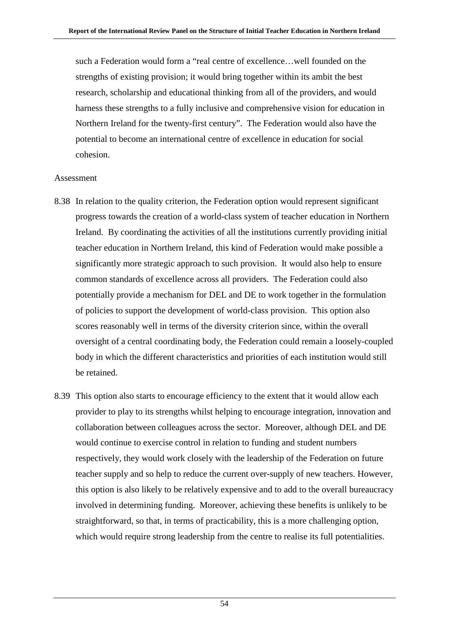such a Federation would form a "real centre of excellence…well founded on the strengths of existing provision; it would bring together within its ambit the best research, scholarship and educational thinking from all of the providers, and would harness these strengths to a fully inclusive and comprehensive vision for education in Northern Ireland for the twenty-first century". The Federation would also have the potential to become an international centre of excellence in education for social cohesion.

#### Assessment

- 8.38 In relation to the quality criterion, the Federation option would represent significant progress towards the creation of a world-class system of teacher education in Northern Ireland. By coordinating the activities of all the institutions currently providing initial teacher education in Northern Ireland, this kind of Federation would make possible a significantly more strategic approach to such provision. It would also help to ensure common standards of excellence across all providers. The Federation could also potentially provide a mechanism for DEL and DE to work together in the formulation of policies to support the development of world-class provision. This option also scores reasonably well in terms of the diversity criterion since, within the overall oversight of a central coordinating body, the Federation could remain a loosely-coupled body in which the different characteristics and priorities of each institution would still be retained.
- 8.39 This option also starts to encourage efficiency to the extent that it would allow each provider to play to its strengths whilst helping to encourage integration, innovation and collaboration between colleagues across the sector. Moreover, although DEL and DE would continue to exercise control in relation to funding and student numbers respectively, they would work closely with the leadership of the Federation on future teacher supply and so help to reduce the current over-supply of new teachers. However, this option is also likely to be relatively expensive and to add to the overall bureaucracy involved in determining funding. Moreover, achieving these benefits is unlikely to be straightforward, so that, in terms of practicability, this is a more challenging option, which would require strong leadership from the centre to realise its full potentialities.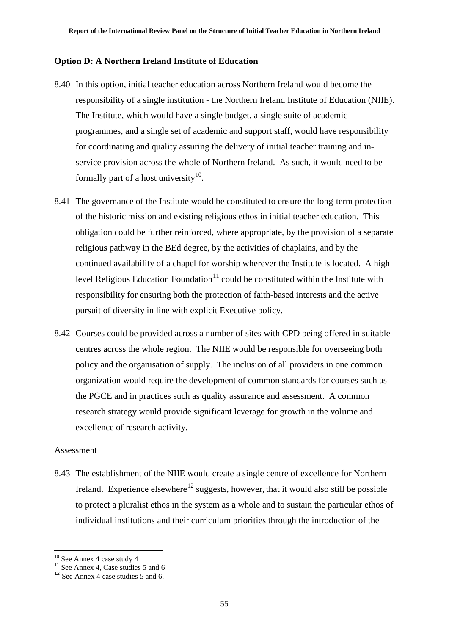### **Option D: A Northern Ireland Institute of Education**

- 8.40 In this option, initial teacher education across Northern Ireland would become the responsibility of a single institution - the Northern Ireland Institute of Education (NIIE). The Institute, which would have a single budget, a single suite of academic programmes, and a single set of academic and support staff, would have responsibility for coordinating and quality assuring the delivery of initial teacher training and inservice provision across the whole of Northern Ireland. As such, it would need to be formally part of a host university $^{10}$  $^{10}$  $^{10}$ .
- 8.41 The governance of the Institute would be constituted to ensure the long-term protection of the historic mission and existing religious ethos in initial teacher education. This obligation could be further reinforced, where appropriate, by the provision of a separate religious pathway in the BEd degree, by the activities of chaplains, and by the continued availability of a chapel for worship wherever the Institute is located. A high level Religious Education Foundation $11$  could be constituted within the Institute with responsibility for ensuring both the protection of faith-based interests and the active pursuit of diversity in line with explicit Executive policy.
- 8.42 Courses could be provided across a number of sites with CPD being offered in suitable centres across the whole region. The NIIE would be responsible for overseeing both policy and the organisation of supply. The inclusion of all providers in one common organization would require the development of common standards for courses such as the PGCE and in practices such as quality assurance and assessment. A common research strategy would provide significant leverage for growth in the volume and excellence of research activity.

#### Assessment

8.43 The establishment of the NIIE would create a single centre of excellence for Northern Ireland. Experience elsewhere<sup>[12](#page-61-2)</sup> suggests, however, that it would also still be possible to protect a pluralist ethos in the system as a whole and to sustain the particular ethos of individual institutions and their curriculum priorities through the introduction of the

<sup>&</sup>lt;sup>10</sup> See Annex 4 case study 4

<span id="page-61-1"></span><span id="page-61-0"></span> $11$  See Annex 4, Case studies 5 and 6

<span id="page-61-2"></span><sup>&</sup>lt;sup>12</sup> See Annex 4 case studies 5 and 6.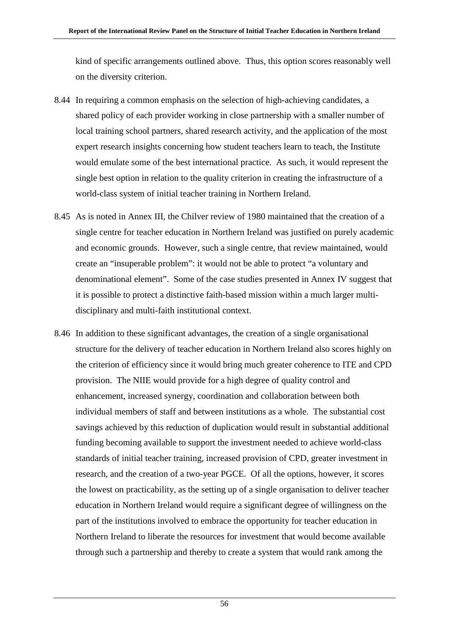kind of specific arrangements outlined above. Thus, this option scores reasonably well on the diversity criterion.

- 8.44 In requiring a common emphasis on the selection of high-achieving candidates, a shared policy of each provider working in close partnership with a smaller number of local training school partners, shared research activity, and the application of the most expert research insights concerning how student teachers learn to teach, the Institute would emulate some of the best international practice. As such, it would represent the single best option in relation to the quality criterion in creating the infrastructure of a world-class system of initial teacher training in Northern Ireland.
- 8.45 As is noted in Annex III, the Chilver review of 1980 maintained that the creation of a single centre for teacher education in Northern Ireland was justified on purely academic and economic grounds. However, such a single centre, that review maintained, would create an "insuperable problem": it would not be able to protect "a voluntary and denominational element". Some of the case studies presented in Annex IV suggest that it is possible to protect a distinctive faith-based mission within a much larger multidisciplinary and multi-faith institutional context.
- 8.46 In addition to these significant advantages, the creation of a single organisational structure for the delivery of teacher education in Northern Ireland also scores highly on the criterion of efficiency since it would bring much greater coherence to ITE and CPD provision. The NIIE would provide for a high degree of quality control and enhancement, increased synergy, coordination and collaboration between both individual members of staff and between institutions as a whole. The substantial cost savings achieved by this reduction of duplication would result in substantial additional funding becoming available to support the investment needed to achieve world-class standards of initial teacher training, increased provision of CPD, greater investment in research, and the creation of a two-year PGCE. Of all the options, however, it scores the lowest on practicability, as the setting up of a single organisation to deliver teacher education in Northern Ireland would require a significant degree of willingness on the part of the institutions involved to embrace the opportunity for teacher education in Northern Ireland to liberate the resources for investment that would become available through such a partnership and thereby to create a system that would rank among the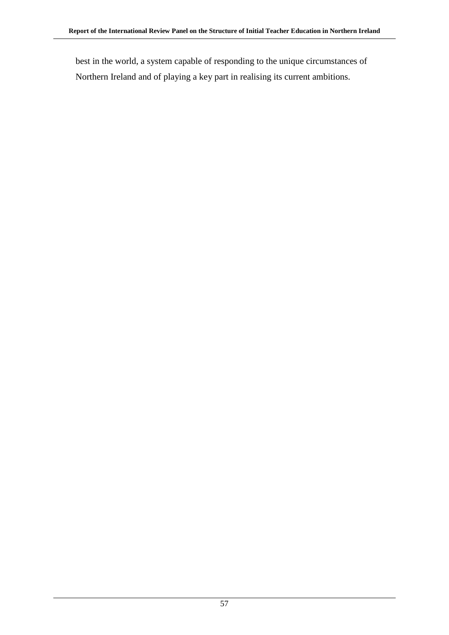best in the world, a system capable of responding to the unique circumstances of Northern Ireland and of playing a key part in realising its current ambitions.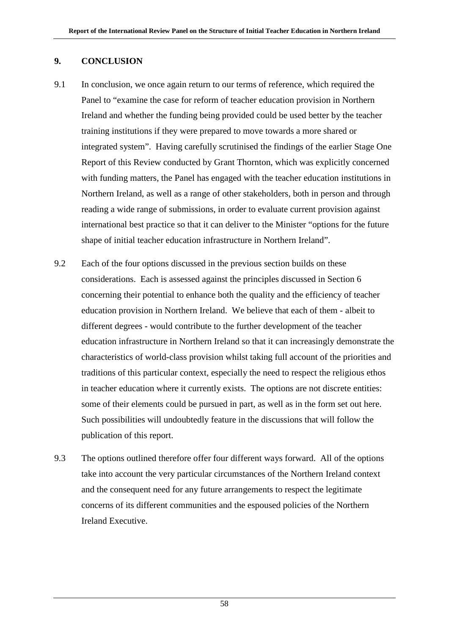# **9. CONCLUSION**

- 9.1 In conclusion, we once again return to our terms of reference, which required the Panel to "examine the case for reform of teacher education provision in Northern Ireland and whether the funding being provided could be used better by the teacher training institutions if they were prepared to move towards a more shared or integrated system". Having carefully scrutinised the findings of the earlier Stage One Report of this Review conducted by Grant Thornton, which was explicitly concerned with funding matters, the Panel has engaged with the teacher education institutions in Northern Ireland, as well as a range of other stakeholders, both in person and through reading a wide range of submissions, in order to evaluate current provision against international best practice so that it can deliver to the Minister "options for the future shape of initial teacher education infrastructure in Northern Ireland".
- 9.2 Each of the four options discussed in the previous section builds on these considerations. Each is assessed against the principles discussed in Section 6 concerning their potential to enhance both the quality and the efficiency of teacher education provision in Northern Ireland. We believe that each of them - albeit to different degrees - would contribute to the further development of the teacher education infrastructure in Northern Ireland so that it can increasingly demonstrate the characteristics of world-class provision whilst taking full account of the priorities and traditions of this particular context, especially the need to respect the religious ethos in teacher education where it currently exists. The options are not discrete entities: some of their elements could be pursued in part, as well as in the form set out here. Such possibilities will undoubtedly feature in the discussions that will follow the publication of this report.
- 9.3 The options outlined therefore offer four different ways forward. All of the options take into account the very particular circumstances of the Northern Ireland context and the consequent need for any future arrangements to respect the legitimate concerns of its different communities and the espoused policies of the Northern Ireland Executive.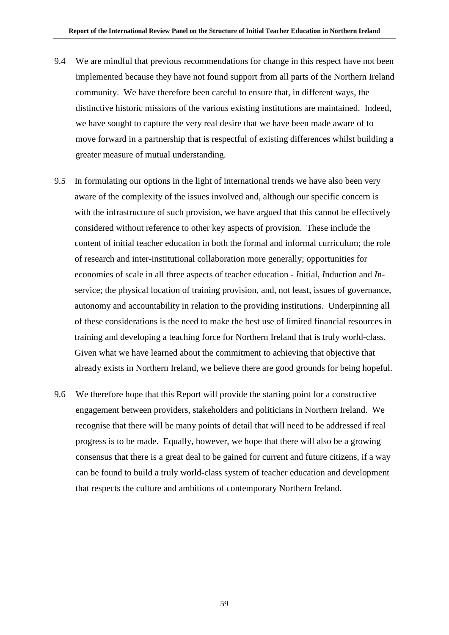- 9.4 We are mindful that previous recommendations for change in this respect have not been implemented because they have not found support from all parts of the Northern Ireland community. We have therefore been careful to ensure that, in different ways, the distinctive historic missions of the various existing institutions are maintained. Indeed, we have sought to capture the very real desire that we have been made aware of to move forward in a partnership that is respectful of existing differences whilst building a greater measure of mutual understanding.
- 9.5 In formulating our options in the light of international trends we have also been very aware of the complexity of the issues involved and, although our specific concern is with the infrastructure of such provision, we have argued that this cannot be effectively considered without reference to other key aspects of provision. These include the content of initial teacher education in both the formal and informal curriculum; the role of research and inter-institutional collaboration more generally; opportunities for economies of scale in all three aspects of teacher education - *I*nitial, *I*nduction and *I*nservice; the physical location of training provision, and, not least, issues of governance, autonomy and accountability in relation to the providing institutions. Underpinning all of these considerations is the need to make the best use of limited financial resources in training and developing a teaching force for Northern Ireland that is truly world-class. Given what we have learned about the commitment to achieving that objective that already exists in Northern Ireland, we believe there are good grounds for being hopeful.
- 9.6 We therefore hope that this Report will provide the starting point for a constructive engagement between providers, stakeholders and politicians in Northern Ireland. We recognise that there will be many points of detail that will need to be addressed if real progress is to be made. Equally, however, we hope that there will also be a growing consensus that there is a great deal to be gained for current and future citizens, if a way can be found to build a truly world-class system of teacher education and development that respects the culture and ambitions of contemporary Northern Ireland.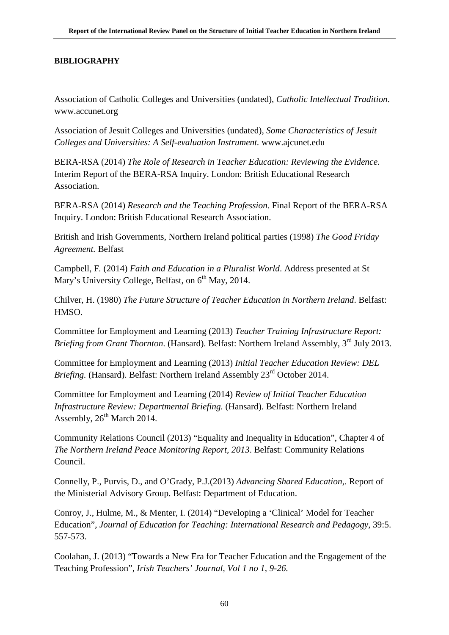# **BIBLIOGRAPHY**

Association of Catholic Colleges and Universities (undated), *Catholic Intellectual Tradition*. www.accunet.org

Association of Jesuit Colleges and Universities (undated), *Some Characteristics of Jesuit Colleges and Universities: A Self-evaluation Instrument.* www.ajcunet.edu

BERA-RSA (2014) *The Role of Research in Teacher Education: Reviewing the Evidence*. Interim Report of the BERA-RSA Inquiry. London: British Educational Research Association.

BERA-RSA (2014) *Research and the Teaching Profession*. Final Report of the BERA-RSA Inquiry. London: British Educational Research Association.

British and Irish Governments, Northern Ireland political parties (1998) *The Good Friday Agreement.* Belfast

Campbell, F*.* (2014) *Faith and Education in a Pluralist World*. Address presented at St Mary's University College, Belfast, on 6<sup>th</sup> May, 2014.

Chilver, H. (1980) *The Future Structure of Teacher Education in Northern Ireland*. Belfast: HMSO.

Committee for Employment and Learning (2013) *Teacher Training Infrastructure Report: Briefing from Grant Thornton.* (Hansard). Belfast: Northern Ireland Assembly, 3<sup>rd</sup> July 2013.

Committee for Employment and Learning (2013) *Initial Teacher Education Review: DEL Briefing.* (Hansard). Belfast: Northern Ireland Assembly 23<sup>rd</sup> October 2014.

Committee for Employment and Learning (2014) *Review of Initial Teacher Education Infrastructure Review: Departmental Briefing.* (Hansard). Belfast: Northern Ireland Assembly,  $26<sup>th</sup>$  March 2014.

Community Relations Council (2013) "Equality and Inequality in Education", Chapter 4 of *The Northern Ireland Peace Monitoring Report, 2013*. Belfast: Community Relations Council.

Connelly, P., Purvis, D., and O'Grady, P.J.(2013) *Advancing Shared Education*,. Report of the Ministerial Advisory Group. Belfast: Department of Education.

Conroy, J., Hulme, M., & Menter, I. (2014) "Developing a 'Clinical' Model for Teacher Education", *Journal of Education for Teaching: International Research and Pedagogy*, 39:5. 557-573.

Coolahan, J. (2013) "Towards a New Era for Teacher Education and the Engagement of the Teaching Profession", *Irish Teachers' Journal, Vol 1 no 1, 9-26.*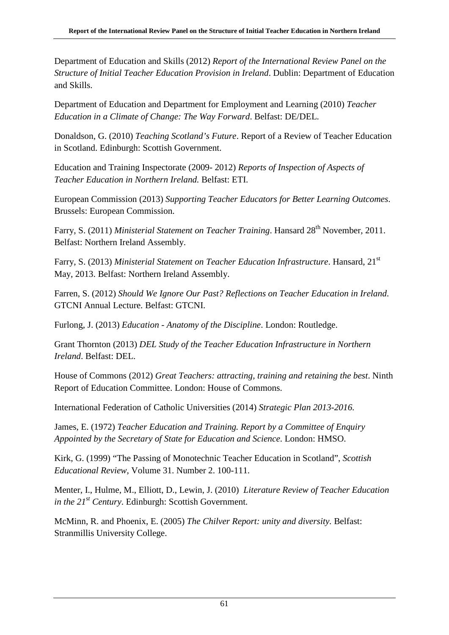Department of Education and Skills (2012) *Report of the International Review Panel on the Structure of Initial Teacher Education Provision in Ireland*. Dublin: Department of Education and Skills.

Department of Education and Department for Employment and Learning (2010) *Teacher Education in a Climate of Change: The Way Forward*. Belfast: DE/DEL.

Donaldson, G. (2010) *Teaching Scotland's Future*. Report of a Review of Teacher Education in Scotland. Edinburgh: Scottish Government.

Education and Training Inspectorate (2009- 2012) *Reports of Inspection of Aspects of Teacher Education in Northern Ireland.* Belfast: ETI.

European Commission (2013) *Supporting Teacher Educators for Better Learning Outcomes*. Brussels: European Commission.

Farry, S. (2011) *Ministerial Statement on Teacher Training*. Hansard 28<sup>th</sup> November, 2011. Belfast: Northern Ireland Assembly.

Farry, S. (2013) *Ministerial Statement on Teacher Education Infrastructure*. Hansard, 21<sup>st</sup> May, 2013. Belfast: Northern Ireland Assembly.

Farren, S. (2012) *Should We Ignore Our Past? Reflections on Teacher Education in Ireland*. GTCNI Annual Lecture. Belfast: GTCNI.

Furlong, J. (2013) *Education - Anatomy of the Discipline*. London: Routledge.

Grant Thornton (2013) *DEL Study of the Teacher Education Infrastructure in Northern Ireland*. Belfast: DEL.

House of Commons (2012) *Great Teachers: attracting, training and retaining the best*. Ninth Report of Education Committee. London: House of Commons.

International Federation of Catholic Universities (2014) *Strategic Plan 2013-2016.*

James, E. (1972) *Teacher Education and Training. Report by a Committee of Enquiry Appointed by the Secretary of State for Education and Science*. London: HMSO.

Kirk, G. (1999) "The Passing of Monotechnic Teacher Education in Scotland", *Scottish Educational Review*, Volume 31. Number 2. 100-111.

Menter, I., Hulme, M., Elliott, D., Lewin, J. (2010) *Literature Review of Teacher Education in the 21st Century*. Edinburgh: Scottish Government.

McMinn, R. and Phoenix, E. (2005) *The Chilver Report: unity and diversity.* Belfast: Stranmillis University College.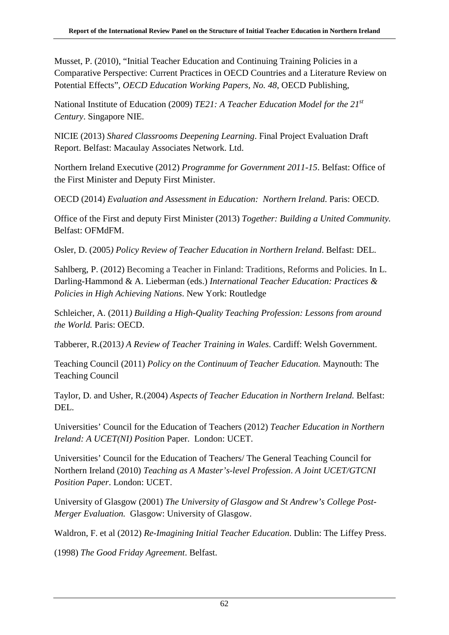Musset, P. (2010), "Initial Teacher Education and Continuing Training Policies in a Comparative Perspective: Current Practices in OECD Countries and a Literature Review on Potential Effects", *OECD Education Working Papers, No. 48*, OECD Publishing,

National Institute of Education (2009) *TE21: A Teacher Education Model for the 21st Century*. Singapore NIE.

NICIE (2013) *Shared Classrooms Deepening Learning*. Final Project Evaluation Draft Report. Belfast: Macaulay Associates Network. Ltd.

Northern Ireland Executive (2012) *Programme for Government 2011-15*. Belfast: Office of the First Minister and Deputy First Minister.

OECD (2014) *Evaluation and Assessment in Education: Northern Ireland*. Paris: OECD.

Office of the First and deputy First Minister (2013) *Together: Building a United Community.* Belfast: OFMdFM.

Osler, D. (2005*) Policy Review of Teacher Education in Northern Ireland*. Belfast: DEL.

Sahlberg, P. (2012) Becoming a Teacher in Finland: Traditions, Reforms and Policies. In L. Darling-Hammond & A. Lieberman (eds.) *International Teacher Education: Practices & Policies in High Achieving Nations*. New York: Routledge

Schleicher, A. (2011*) Building a High-Quality Teaching Profession: Lessons from around the World.* Paris: OECD.

Tabberer, R.(2013*) A Review of Teacher Training in Wales*. Cardiff: Welsh Government.

Teaching Council (2011) *Policy on the Continuum of Teacher Education.* Maynouth: The Teaching Council

Taylor, D. and Usher, R.(2004) *Aspects of Teacher Education in Northern Ireland.* Belfast: DEL.

Universities' Council for the Education of Teachers (2012) *Teacher Education in Northern Ireland: A UCET(NI) Positio*n Paper. London: UCET.

Universities' Council for the Education of Teachers/ The General Teaching Council for Northern Ireland (2010) *Teaching as A Master's-level Profession*. *A Joint UCET/GTCNI Position Paper*. London: UCET.

University of Glasgow (2001) *The University of Glasgow and St Andrew's College Post-Merger Evaluation.* Glasgow: University of Glasgow.

Waldron, F. et al (2012) *Re-Imagining Initial Teacher Education*. Dublin: The Liffey Press.

(1998) *The Good Friday Agreement*. Belfast.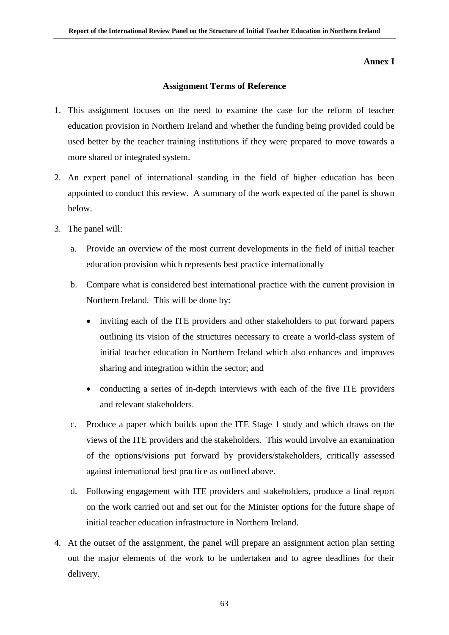#### **Annex I**

#### **Assignment Terms of Reference**

- 1. This assignment focuses on the need to examine the case for the reform of teacher education provision in Northern Ireland and whether the funding being provided could be used better by the teacher training institutions if they were prepared to move towards a more shared or integrated system.
- 2. An expert panel of international standing in the field of higher education has been appointed to conduct this review. A summary of the work expected of the panel is shown below.
- 3. The panel will:
	- a. Provide an overview of the most current developments in the field of initial teacher education provision which represents best practice internationally
	- b. Compare what is considered best international practice with the current provision in Northern Ireland. This will be done by:
		- inviting each of the ITE providers and other stakeholders to put forward papers outlining its vision of the structures necessary to create a world-class system of initial teacher education in Northern Ireland which also enhances and improves sharing and integration within the sector; and
		- conducting a series of in-depth interviews with each of the five ITE providers and relevant stakeholders.
	- c. Produce a paper which builds upon the ITE Stage 1 study and which draws on the views of the ITE providers and the stakeholders. This would involve an examination of the options/visions put forward by providers/stakeholders, critically assessed against international best practice as outlined above.
	- d. Following engagement with ITE providers and stakeholders, produce a final report on the work carried out and set out for the Minister options for the future shape of initial teacher education infrastructure in Northern Ireland.
- 4. At the outset of the assignment, the panel will prepare an assignment action plan setting out the major elements of the work to be undertaken and to agree deadlines for their delivery.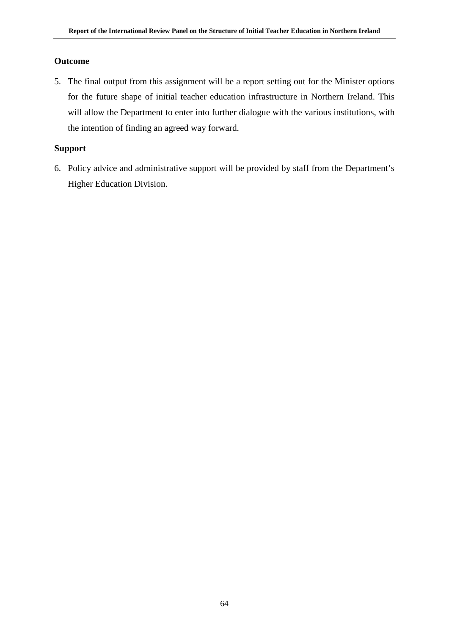# **Outcome**

5. The final output from this assignment will be a report setting out for the Minister options for the future shape of initial teacher education infrastructure in Northern Ireland. This will allow the Department to enter into further dialogue with the various institutions, with the intention of finding an agreed way forward.

# **Support**

6. Policy advice and administrative support will be provided by staff from the Department's Higher Education Division.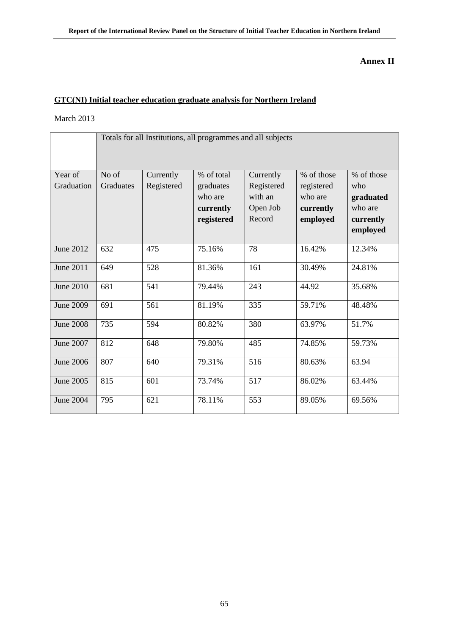# **Annex II**

# **GTC(NI) Initial teacher education graduate analysis for Northern Ireland**

March 2013

|                       | Totals for all Institutions, all programmes and all subjects |                         |                                                               |                                                          |                                                              |                                                                    |
|-----------------------|--------------------------------------------------------------|-------------------------|---------------------------------------------------------------|----------------------------------------------------------|--------------------------------------------------------------|--------------------------------------------------------------------|
| Year of<br>Graduation | No of<br>Graduates                                           | Currently<br>Registered | % of total<br>graduates<br>who are<br>currently<br>registered | Currently<br>Registered<br>with an<br>Open Job<br>Record | % of those<br>registered<br>who are<br>currently<br>employed | % of those<br>who<br>graduated<br>who are<br>currently<br>employed |
| June 2012             | 632                                                          | 475                     | 75.16%                                                        | 78                                                       | 16.42%                                                       | 12.34%                                                             |
| June 2011             | 649                                                          | 528                     | 81.36%                                                        | 161                                                      | 30.49%                                                       | 24.81%                                                             |
| June 2010             | 681                                                          | 541                     | 79.44%                                                        | 243                                                      | 44.92                                                        | 35.68%                                                             |
| June 2009             | 691                                                          | 561                     | 81.19%                                                        | 335                                                      | 59.71%                                                       | 48.48%                                                             |
| <b>June 2008</b>      | 735                                                          | 594                     | 80.82%                                                        | 380                                                      | 63.97%                                                       | 51.7%                                                              |
| June 2007             | 812                                                          | 648                     | 79.80%                                                        | 485                                                      | 74.85%                                                       | 59.73%                                                             |
| <b>June 2006</b>      | 807                                                          | 640                     | 79.31%                                                        | 516                                                      | 80.63%                                                       | 63.94                                                              |
| June 2005             | 815                                                          | 601                     | 73.74%                                                        | 517                                                      | 86.02%                                                       | 63.44%                                                             |
| <b>June 2004</b>      | 795                                                          | 621                     | 78.11%                                                        | 553                                                      | 89.05%                                                       | 69.56%                                                             |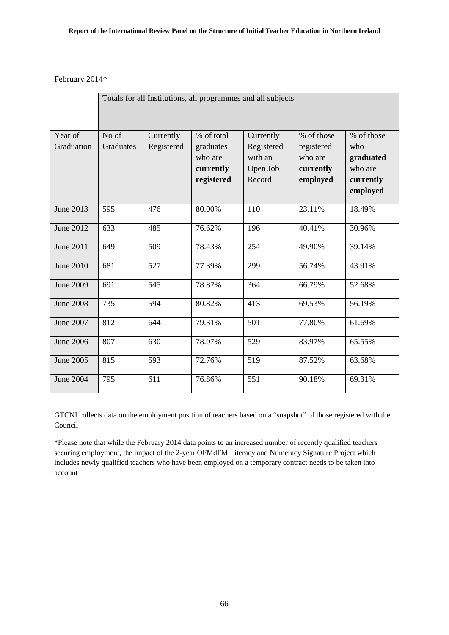### February 2014\*

|                  | Totals for all Institutions, all programmes and all subjects |            |            |            |            |            |
|------------------|--------------------------------------------------------------|------------|------------|------------|------------|------------|
| Year of          | No of                                                        | Currently  | % of total | Currently  | % of those | % of those |
| Graduation       | Graduates                                                    | Registered | graduates  | Registered | registered | who        |
|                  |                                                              |            | who are    | with an    | who are    | graduated  |
|                  |                                                              |            | currently  | Open Job   | currently  | who are    |
|                  |                                                              |            | registered | Record     | employed   | currently  |
|                  |                                                              |            |            |            |            | employed   |
| June 2013        | 595                                                          | 476        | 80.00%     | 110        | 23.11%     | 18.49%     |
| June 2012        | 633                                                          | 485        | 76.62%     | 196        | 40.41%     | 30.96%     |
| June 2011        | 649                                                          | 509        | 78.43%     | 254        | 49.90%     | 39.14%     |
| <b>June 2010</b> | 681                                                          | 527        | 77.39%     | 299        | 56.74%     | 43.91%     |
| <b>June 2009</b> | 691                                                          | 545        | 78.87%     | 364        | 66.79%     | 52.68%     |
| <b>June 2008</b> | 735                                                          | 594        | 80.82%     | 413        | 69.53%     | 56.19%     |
| June 2007        | 812                                                          | 644        | 79.31%     | 501        | 77.80%     | 61.69%     |
| <b>June 2006</b> | 807                                                          | 630        | 78.07%     | 529        | 83.97%     | 65.55%     |
| June 2005        | 815                                                          | 593        | 72.76%     | 519        | 87.52%     | 63.68%     |
| June 2004        | 795                                                          | 611        | 76.86%     | 551        | 90.18%     | 69.31%     |

GTCNI collects data on the employment position of teachers based on a "snapshot" of those registered with the Council

\*Please note that while the February 2014 data points to an increased number of recently qualified teachers securing employment, the impact of the 2-year OFMdFM Literacy and Numeracy Signature Project which includes newly qualified teachers who have been employed on a temporary contract needs to be taken into account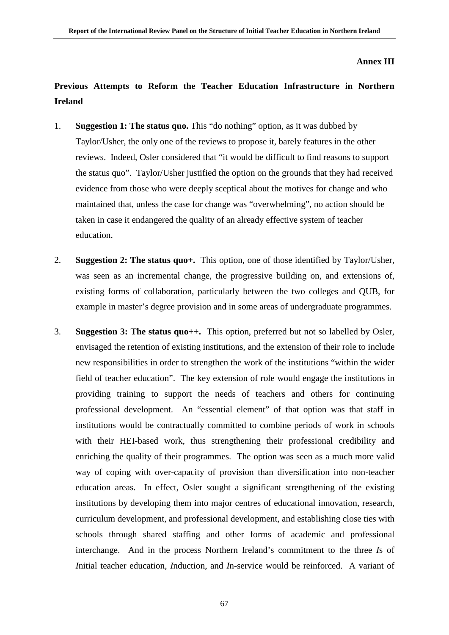### **Annex III**

## **Previous Attempts to Reform the Teacher Education Infrastructure in Northern Ireland**

- 1. **Suggestion 1: The status quo.** This "do nothing" option, as it was dubbed by Taylor/Usher, the only one of the reviews to propose it, barely features in the other reviews. Indeed, Osler considered that "it would be difficult to find reasons to support the status quo". Taylor/Usher justified the option on the grounds that they had received evidence from those who were deeply sceptical about the motives for change and who maintained that, unless the case for change was "overwhelming", no action should be taken in case it endangered the quality of an already effective system of teacher education.
- 2. **Suggestion 2: The status quo+.** This option, one of those identified by Taylor/Usher, was seen as an incremental change, the progressive building on, and extensions of, existing forms of collaboration, particularly between the two colleges and QUB, for example in master's degree provision and in some areas of undergraduate programmes.
- 3. **Suggestion 3: The status quo++.** This option, preferred but not so labelled by Osler, envisaged the retention of existing institutions, and the extension of their role to include new responsibilities in order to strengthen the work of the institutions "within the wider field of teacher education". The key extension of role would engage the institutions in providing training to support the needs of teachers and others for continuing professional development. An "essential element" of that option was that staff in institutions would be contractually committed to combine periods of work in schools with their HEI-based work, thus strengthening their professional credibility and enriching the quality of their programmes. The option was seen as a much more valid way of coping with over-capacity of provision than diversification into non-teacher education areas. In effect, Osler sought a significant strengthening of the existing institutions by developing them into major centres of educational innovation, research, curriculum development, and professional development, and establishing close ties with schools through shared staffing and other forms of academic and professional interchange. And in the process Northern Ireland's commitment to the three *I*s of *I*nitial teacher education, *I*nduction, and *I*n-service would be reinforced. A variant of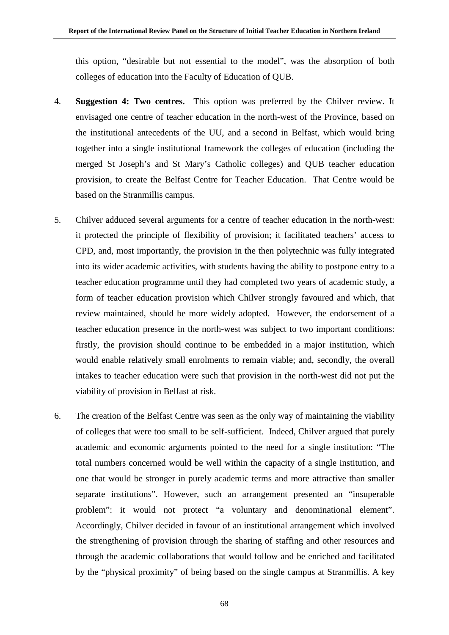this option, "desirable but not essential to the model", was the absorption of both colleges of education into the Faculty of Education of QUB.

- 4. **Suggestion 4: Two centres.** This option was preferred by the Chilver review. It envisaged one centre of teacher education in the north-west of the Province, based on the institutional antecedents of the UU, and a second in Belfast, which would bring together into a single institutional framework the colleges of education (including the merged St Joseph's and St Mary's Catholic colleges) and QUB teacher education provision, to create the Belfast Centre for Teacher Education. That Centre would be based on the Stranmillis campus.
- 5. Chilver adduced several arguments for a centre of teacher education in the north-west: it protected the principle of flexibility of provision; it facilitated teachers' access to CPD, and, most importantly, the provision in the then polytechnic was fully integrated into its wider academic activities, with students having the ability to postpone entry to a teacher education programme until they had completed two years of academic study, a form of teacher education provision which Chilver strongly favoured and which, that review maintained, should be more widely adopted. However, the endorsement of a teacher education presence in the north-west was subject to two important conditions: firstly, the provision should continue to be embedded in a major institution, which would enable relatively small enrolments to remain viable; and, secondly, the overall intakes to teacher education were such that provision in the north-west did not put the viability of provision in Belfast at risk.
- 6. The creation of the Belfast Centre was seen as the only way of maintaining the viability of colleges that were too small to be self-sufficient. Indeed, Chilver argued that purely academic and economic arguments pointed to the need for a single institution: "The total numbers concerned would be well within the capacity of a single institution, and one that would be stronger in purely academic terms and more attractive than smaller separate institutions". However, such an arrangement presented an "insuperable problem": it would not protect "a voluntary and denominational element". Accordingly, Chilver decided in favour of an institutional arrangement which involved the strengthening of provision through the sharing of staffing and other resources and through the academic collaborations that would follow and be enriched and facilitated by the "physical proximity" of being based on the single campus at Stranmillis. A key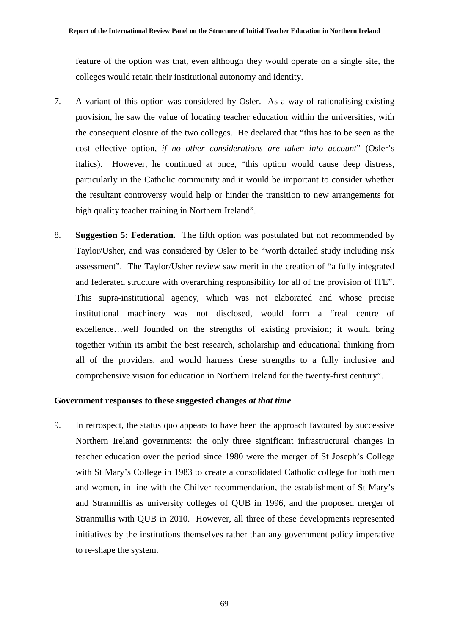feature of the option was that, even although they would operate on a single site, the colleges would retain their institutional autonomy and identity.

- 7. A variant of this option was considered by Osler. As a way of rationalising existing provision, he saw the value of locating teacher education within the universities, with the consequent closure of the two colleges. He declared that "this has to be seen as the cost effective option, *if no other considerations are taken into account*" (Osler's italics). However, he continued at once, "this option would cause deep distress, particularly in the Catholic community and it would be important to consider whether the resultant controversy would help or hinder the transition to new arrangements for high quality teacher training in Northern Ireland".
- 8. **Suggestion 5: Federation.** The fifth option was postulated but not recommended by Taylor/Usher, and was considered by Osler to be "worth detailed study including risk assessment". The Taylor/Usher review saw merit in the creation of "a fully integrated and federated structure with overarching responsibility for all of the provision of ITE". This supra-institutional agency, which was not elaborated and whose precise institutional machinery was not disclosed, would form a "real centre of excellence…well founded on the strengths of existing provision; it would bring together within its ambit the best research, scholarship and educational thinking from all of the providers, and would harness these strengths to a fully inclusive and comprehensive vision for education in Northern Ireland for the twenty-first century".

### **Government responses to these suggested changes** *at that time*

9. In retrospect, the status quo appears to have been the approach favoured by successive Northern Ireland governments: the only three significant infrastructural changes in teacher education over the period since 1980 were the merger of St Joseph's College with St Mary's College in 1983 to create a consolidated Catholic college for both men and women, in line with the Chilver recommendation, the establishment of St Mary's and Stranmillis as university colleges of QUB in 1996, and the proposed merger of Stranmillis with QUB in 2010. However, all three of these developments represented initiatives by the institutions themselves rather than any government policy imperative to re-shape the system.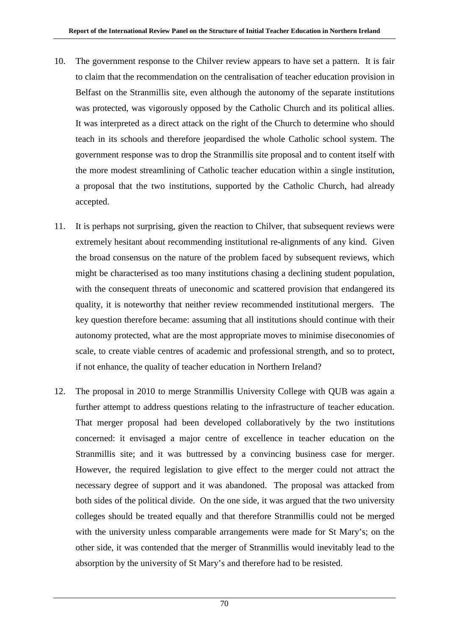- 10. The government response to the Chilver review appears to have set a pattern. It is fair to claim that the recommendation on the centralisation of teacher education provision in Belfast on the Stranmillis site, even although the autonomy of the separate institutions was protected, was vigorously opposed by the Catholic Church and its political allies. It was interpreted as a direct attack on the right of the Church to determine who should teach in its schools and therefore jeopardised the whole Catholic school system. The government response was to drop the Stranmillis site proposal and to content itself with the more modest streamlining of Catholic teacher education within a single institution, a proposal that the two institutions, supported by the Catholic Church, had already accepted.
- 11. It is perhaps not surprising, given the reaction to Chilver, that subsequent reviews were extremely hesitant about recommending institutional re-alignments of any kind. Given the broad consensus on the nature of the problem faced by subsequent reviews, which might be characterised as too many institutions chasing a declining student population, with the consequent threats of uneconomic and scattered provision that endangered its quality, it is noteworthy that neither review recommended institutional mergers. The key question therefore became: assuming that all institutions should continue with their autonomy protected, what are the most appropriate moves to minimise diseconomies of scale, to create viable centres of academic and professional strength, and so to protect, if not enhance, the quality of teacher education in Northern Ireland?
- 12. The proposal in 2010 to merge Stranmillis University College with QUB was again a further attempt to address questions relating to the infrastructure of teacher education. That merger proposal had been developed collaboratively by the two institutions concerned: it envisaged a major centre of excellence in teacher education on the Stranmillis site; and it was buttressed by a convincing business case for merger. However, the required legislation to give effect to the merger could not attract the necessary degree of support and it was abandoned. The proposal was attacked from both sides of the political divide. On the one side, it was argued that the two university colleges should be treated equally and that therefore Stranmillis could not be merged with the university unless comparable arrangements were made for St Mary's; on the other side, it was contended that the merger of Stranmillis would inevitably lead to the absorption by the university of St Mary's and therefore had to be resisted.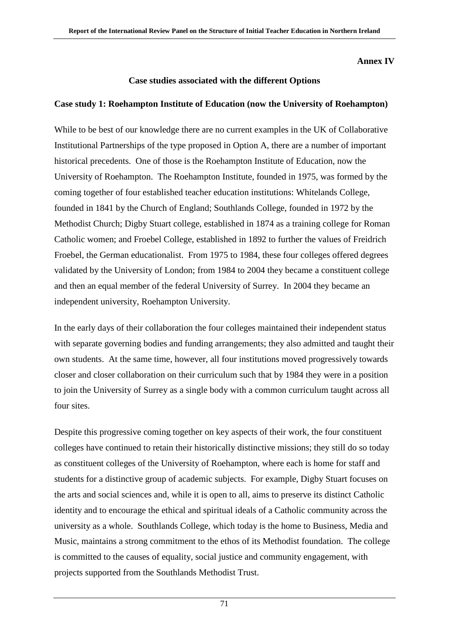### **Annex IV**

### **Case studies associated with the different Options**

### **Case study 1: Roehampton Institute of Education (now the University of Roehampton)**

While to be best of our knowledge there are no current examples in the UK of Collaborative Institutional Partnerships of the type proposed in Option A, there are a number of important historical precedents. One of those is the Roehampton Institute of Education, now the University of Roehampton. The Roehampton Institute, founded in 1975, was formed by the coming together of four established teacher education institutions: Whitelands College, founded in 1841 by the Church of England; Southlands College, founded in 1972 by the Methodist Church; Digby Stuart college, established in 1874 as a training college for Roman Catholic women; and Froebel College, established in 1892 to further the values of Freidrich Froebel, the German educationalist. From 1975 to 1984, these four colleges offered degrees validated by the University of London; from 1984 to 2004 they became a constituent college and then an equal member of the federal University of Surrey. In 2004 they became an independent university, Roehampton University.

In the early days of their collaboration the four colleges maintained their independent status with separate governing bodies and funding arrangements; they also admitted and taught their own students. At the same time, however, all four institutions moved progressively towards closer and closer collaboration on their curriculum such that by 1984 they were in a position to join the University of Surrey as a single body with a common curriculum taught across all four sites.

Despite this progressive coming together on key aspects of their work, the four constituent colleges have continued to retain their historically distinctive missions; they still do so today as constituent colleges of the University of Roehampton, where each is home for staff and students for a distinctive group of academic subjects. For example, Digby Stuart focuses on the arts and social sciences and, while it is open to all, aims to preserve its distinct Catholic identity and to encourage the ethical and spiritual ideals of a Catholic community across the university as a whole. Southlands College, which today is the home to Business, Media and Music, maintains a strong commitment to the ethos of its Methodist foundation. The college is committed to the causes of equality, social justice and community engagement, with projects supported from the Southlands Methodist Trust.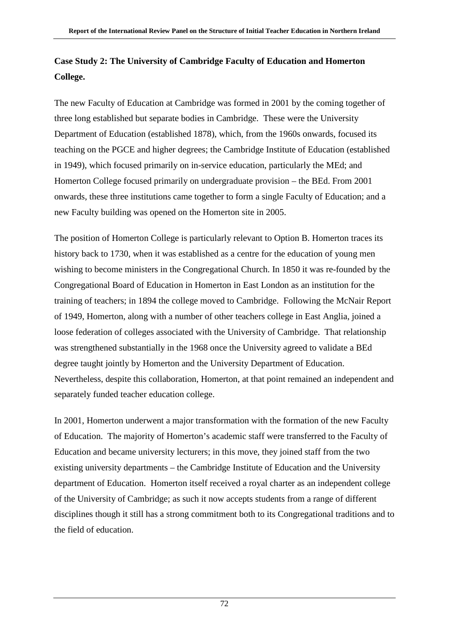# **Case Study 2: The University of Cambridge Faculty of Education and Homerton College.**

The new Faculty of Education at Cambridge was formed in 2001 by the coming together of three long established but separate bodies in Cambridge. These were the University Department of Education (established 1878), which, from the 1960s onwards, focused its teaching on the PGCE and higher degrees; the Cambridge Institute of Education (established in 1949), which focused primarily on in-service education, particularly the MEd; and Homerton College focused primarily on undergraduate provision – the BEd. From 2001 onwards, these three institutions came together to form a single Faculty of Education; and a new Faculty building was opened on the Homerton site in 2005.

The position of Homerton College is particularly relevant to Option B. Homerton traces its history back to 1730, when it was established as a centre for the education of young men wishing to become ministers in the Congregational Church. In 1850 it was re-founded by the Congregational Board of Education in Homerton in East London as an institution for the training of teachers; in 1894 the college moved to Cambridge. Following the McNair Report of 1949, Homerton, along with a number of other teachers college in East Anglia, joined a loose federation of colleges associated with the University of Cambridge. That relationship was strengthened substantially in the 1968 once the University agreed to validate a BEd degree taught jointly by Homerton and the University Department of Education. Nevertheless, despite this collaboration, Homerton, at that point remained an independent and separately funded teacher education college.

In 2001, Homerton underwent a major transformation with the formation of the new Faculty of Education. The majority of Homerton's academic staff were transferred to the Faculty of Education and became university lecturers; in this move, they joined staff from the two existing university departments – the Cambridge Institute of Education and the University department of Education. Homerton itself received a royal charter as an independent college of the University of Cambridge; as such it now accepts students from a range of different disciplines though it still has a strong commitment both to its Congregational traditions and to the field of education.

72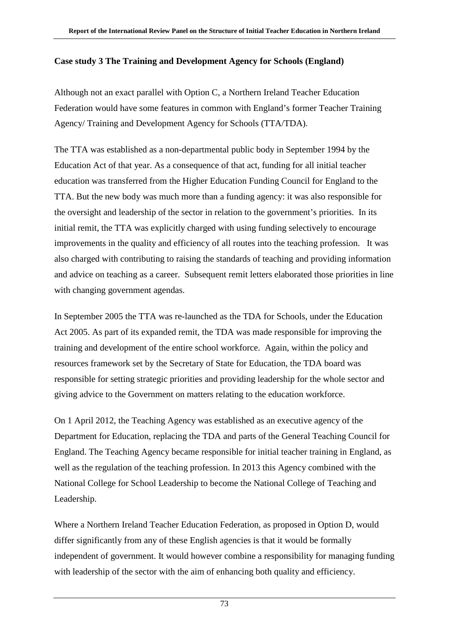## **Case study 3 The Training and Development Agency for Schools (England)**

Although not an exact parallel with Option C, a Northern Ireland Teacher Education Federation would have some features in common with England's former Teacher Training Agency/ Training and Development Agency for Schools (TTA/TDA).

The TTA was established as a non-departmental public body in September 1994 by the Education Act of that year. As a consequence of that act, funding for all initial teacher education was transferred from the Higher Education Funding Council for England to the TTA. But the new body was much more than a funding agency: it was also responsible for the oversight and leadership of the sector in relation to the government's priorities. In its initial remit, the TTA was explicitly charged with using funding selectively to encourage improvements in the quality and efficiency of all routes into the teaching profession. It was also charged with contributing to raising the standards of teaching and providing information and advice on teaching as a career. Subsequent remit letters elaborated those priorities in line with changing government agendas.

In September 2005 the TTA was re-launched as the TDA for Schools, under the Education Act 2005. As part of its expanded remit, the TDA was made responsible for improving the training and development of the entire school workforce. Again, within the policy and resources framework set by the Secretary of State for Education, the TDA board was responsible for setting strategic priorities and providing leadership for the whole sector and giving advice to the Government on matters relating to the education workforce.

On 1 April 2012, the Teaching Agency was established as an executive agency of the Department for Education, replacing the TDA and parts of the General Teaching Council for England. The Teaching Agency became responsible for initial teacher training in England, as well as the regulation of the teaching profession. In 2013 this Agency combined with the National College for School Leadership to become the National College of Teaching and Leadership.

Where a Northern Ireland Teacher Education Federation, as proposed in Option D, would differ significantly from any of these English agencies is that it would be formally independent of government. It would however combine a responsibility for managing funding with leadership of the sector with the aim of enhancing both quality and efficiency.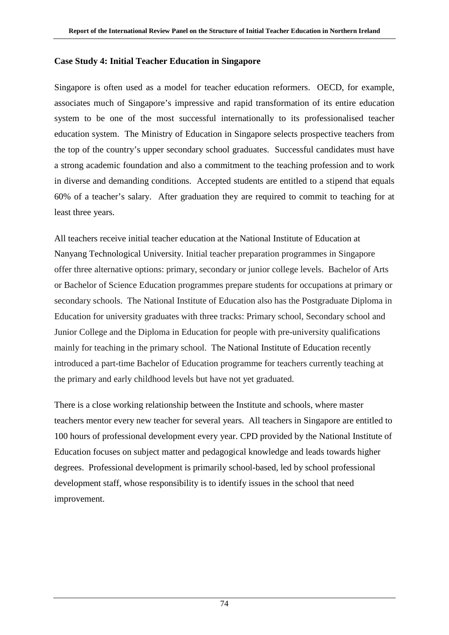### **Case Study 4: Initial Teacher Education in Singapore**

Singapore is often used as a model for teacher education reformers. OECD, for example, associates much of Singapore's impressive and rapid transformation of its entire education system to be one of the most successful internationally to its professionalised teacher education system. The Ministry of Education in Singapore selects prospective teachers from the top of the country's upper secondary school graduates. Successful candidates must have a strong academic foundation and also a commitment to the teaching profession and to work in diverse and demanding conditions. Accepted students are entitled to a stipend that equals 60% of a teacher's salary. After graduation they are required to commit to teaching for at least three years.

All teachers receive initial teacher education at the National Institute of Education at Nanyang Technological University. Initial teacher preparation programmes in Singapore offer three alternative options: primary, secondary or junior college levels. Bachelor of Arts or Bachelor of Science Education programmes prepare students for occupations at primary or secondary schools. The National Institute of Education also has the Postgraduate Diploma in Education for university graduates with three tracks: Primary school, Secondary school and Junior College and the Diploma in Education for people with pre-university qualifications mainly for teaching in the primary school. The National Institute of Education recently introduced a part-time Bachelor of Education programme for teachers currently teaching at the primary and early childhood levels but have not yet graduated.

There is a close working relationship between the Institute and schools, where master teachers mentor every new teacher for several years. All teachers in Singapore are entitled to 100 hours of professional development every year. CPD provided by the National Institute of Education focuses on subject matter and pedagogical knowledge and leads towards higher degrees. Professional development is primarily school-based, led by school professional development staff, whose responsibility is to identify issues in the school that need improvement.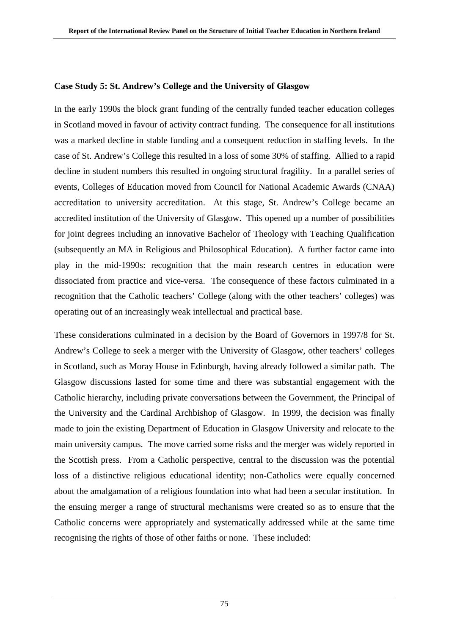### **Case Study 5: St. Andrew's College and the University of Glasgow**

In the early 1990s the block grant funding of the centrally funded teacher education colleges in Scotland moved in favour of activity contract funding. The consequence for all institutions was a marked decline in stable funding and a consequent reduction in staffing levels. In the case of St. Andrew's College this resulted in a loss of some 30% of staffing. Allied to a rapid decline in student numbers this resulted in ongoing structural fragility. In a parallel series of events, Colleges of Education moved from Council for National Academic Awards (CNAA) accreditation to university accreditation. At this stage, St. Andrew's College became an accredited institution of the University of Glasgow. This opened up a number of possibilities for joint degrees including an innovative Bachelor of Theology with Teaching Qualification (subsequently an MA in Religious and Philosophical Education). A further factor came into play in the mid-1990s: recognition that the main research centres in education were dissociated from practice and vice-versa. The consequence of these factors culminated in a recognition that the Catholic teachers' College (along with the other teachers' colleges) was operating out of an increasingly weak intellectual and practical base.

These considerations culminated in a decision by the Board of Governors in 1997/8 for St. Andrew's College to seek a merger with the University of Glasgow, other teachers' colleges in Scotland, such as Moray House in Edinburgh, having already followed a similar path. The Glasgow discussions lasted for some time and there was substantial engagement with the Catholic hierarchy, including private conversations between the Government, the Principal of the University and the Cardinal Archbishop of Glasgow. In 1999, the decision was finally made to join the existing Department of Education in Glasgow University and relocate to the main university campus. The move carried some risks and the merger was widely reported in the Scottish press. From a Catholic perspective, central to the discussion was the potential loss of a distinctive religious educational identity; non-Catholics were equally concerned about the amalgamation of a religious foundation into what had been a secular institution. In the ensuing merger a range of structural mechanisms were created so as to ensure that the Catholic concerns were appropriately and systematically addressed while at the same time recognising the rights of those of other faiths or none. These included: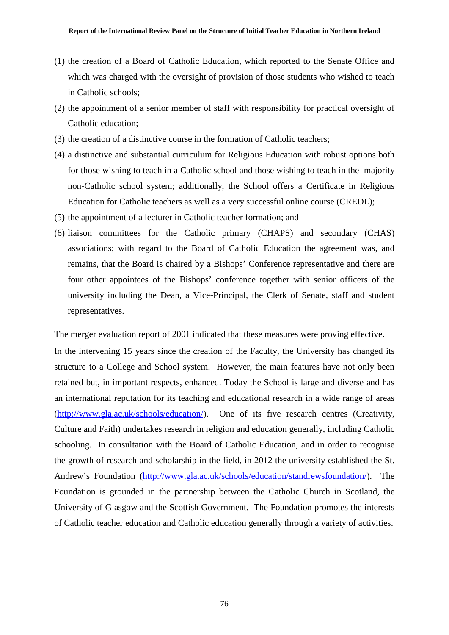- (1) the creation of a Board of Catholic Education, which reported to the Senate Office and which was charged with the oversight of provision of those students who wished to teach in Catholic schools;
- (2) the appointment of a senior member of staff with responsibility for practical oversight of Catholic education;
- (3) the creation of a distinctive course in the formation of Catholic teachers;
- (4) a distinctive and substantial curriculum for Religious Education with robust options both for those wishing to teach in a Catholic school and those wishing to teach in the majority non-Catholic school system; additionally, the School offers a Certificate in Religious Education for Catholic teachers as well as a very successful online course (CREDL);
- (5) the appointment of a lecturer in Catholic teacher formation; and
- (6) liaison committees for the Catholic primary (CHAPS) and secondary (CHAS) associations; with regard to the Board of Catholic Education the agreement was, and remains, that the Board is chaired by a Bishops' Conference representative and there are four other appointees of the Bishops' conference together with senior officers of the university including the Dean, a Vice-Principal, the Clerk of Senate, staff and student representatives.

The merger evaluation report of 2001 indicated that these measures were proving effective.

In the intervening 15 years since the creation of the Faculty, the University has changed its structure to a College and School system. However, the main features have not only been retained but, in important respects, enhanced. Today the School is large and diverse and has an international reputation for its teaching and educational research in a wide range of areas [\(http://www.gla.ac.uk/schools/education/\)](http://www.gla.ac.uk/schools/education/). One of its five research centres (Creativity, Culture and Faith) undertakes research in religion and education generally, including Catholic schooling. In consultation with the Board of Catholic Education, and in order to recognise the growth of research and scholarship in the field, in 2012 the university established the St. Andrew's Foundation [\(http://www.gla.ac.uk/schools/education/standrewsfoundation/\)](http://www.gla.ac.uk/schools/education/standrewsfoundation/). The Foundation is grounded in the partnership between the Catholic Church in Scotland, the University of Glasgow and the Scottish Government. The Foundation promotes the interests of Catholic teacher education and Catholic education generally through a variety of activities.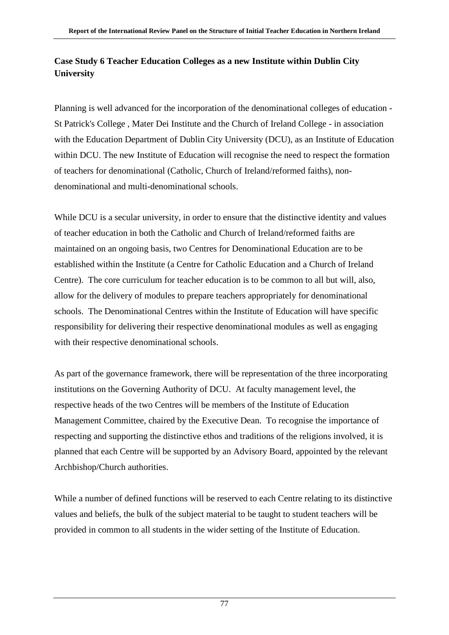## **Case Study 6 Teacher Education Colleges as a new Institute within Dublin City University**

Planning is well advanced for the incorporation of the denominational colleges of education - St Patrick's College , Mater Dei Institute and the Church of Ireland College - in association with the Education Department of Dublin City University (DCU), as an Institute of Education within DCU. The new Institute of Education will recognise the need to respect the formation of teachers for denominational (Catholic, Church of Ireland/reformed faiths), nondenominational and multi-denominational schools.

While DCU is a secular university, in order to ensure that the distinctive identity and values of teacher education in both the Catholic and Church of Ireland/reformed faiths are maintained on an ongoing basis, two Centres for Denominational Education are to be established within the Institute (a Centre for Catholic Education and a Church of Ireland Centre). The core curriculum for teacher education is to be common to all but will, also, allow for the delivery of modules to prepare teachers appropriately for denominational schools. The Denominational Centres within the Institute of Education will have specific responsibility for delivering their respective denominational modules as well as engaging with their respective denominational schools.

As part of the governance framework, there will be representation of the three incorporating institutions on the Governing Authority of DCU. At faculty management level, the respective heads of the two Centres will be members of the Institute of Education Management Committee, chaired by the Executive Dean. To recognise the importance of respecting and supporting the distinctive ethos and traditions of the religions involved, it is planned that each Centre will be supported by an Advisory Board, appointed by the relevant Archbishop/Church authorities.

While a number of defined functions will be reserved to each Centre relating to its distinctive values and beliefs, the bulk of the subject material to be taught to student teachers will be provided in common to all students in the wider setting of the Institute of Education.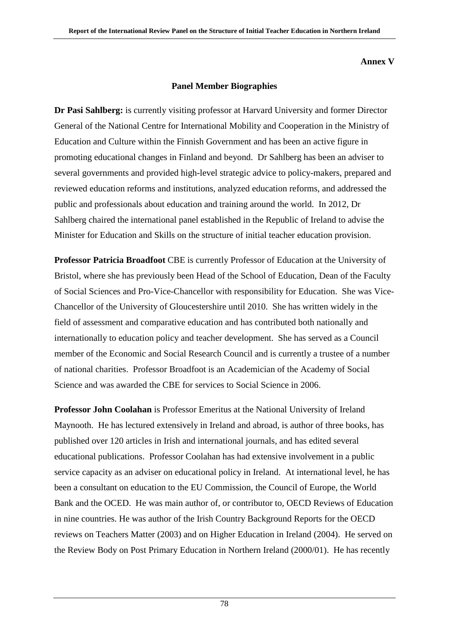### **Annex V**

### **Panel Member Biographies**

**Dr Pasi Sahlberg:** is currently visiting professor at Harvard University and former Director General of the National Centre for International Mobility and Cooperation in the Ministry of Education and Culture within the Finnish Government and has been an active figure in promoting educational changes in Finland and beyond. Dr Sahlberg has been an adviser to several governments and provided high-level strategic advice to policy-makers, prepared and reviewed education reforms and institutions, analyzed education reforms, and addressed the public and professionals about education and training around the world. In 2012, Dr Sahlberg chaired the international panel established in the Republic of Ireland to advise the Minister for Education and Skills on the structure of initial teacher education provision.

**Professor Patricia Broadfoot** CBE is currently Professor of Education at the University of Bristol, where she has previously been Head of the School of Education, Dean of the Faculty of Social Sciences and Pro-Vice-Chancellor with responsibility for Education. She was Vice-Chancellor of the University of Gloucestershire until 2010. She has written widely in the field of assessment and comparative education and has contributed both nationally and internationally to education policy and teacher development. She has served as a Council member of the Economic and Social Research Council and is currently a trustee of a number of national charities. Professor Broadfoot is an Academician of the Academy of Social Science and was awarded the CBE for services to Social Science in 2006.

**Professor John Coolahan** is Professor Emeritus at the National University of Ireland Maynooth. He has lectured extensively in Ireland and abroad, is author of three books, has published over 120 articles in Irish and international journals, and has edited several educational publications. Professor Coolahan has had extensive involvement in a public service capacity as an adviser on educational policy in Ireland. At international level, he has been a consultant on education to the EU Commission, the Council of Europe, the World Bank and the OCED. He was main author of, or contributor to, OECD Reviews of Education in nine countries. He was author of the Irish Country Background Reports for the OECD reviews on Teachers Matter (2003) and on Higher Education in Ireland (2004). He served on the Review Body on Post Primary Education in Northern Ireland (2000/01). He has recently